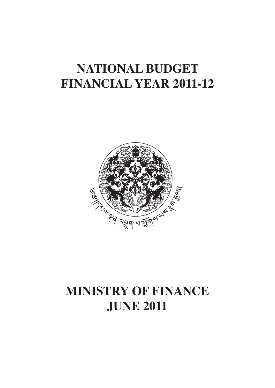# **National budget financial year 2011-12**



# **Ministry of finance june 2011**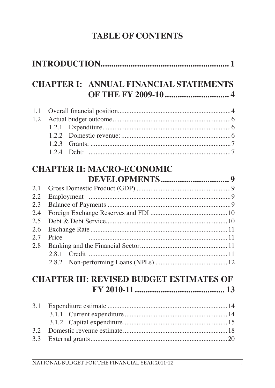# **TABLE OF CONTENTS**

|     | <b>CHAPTER I: ANNUAL FINANCIAL STATEMENTS</b>   |  |
|-----|-------------------------------------------------|--|
| 1.1 |                                                 |  |
| 1.2 |                                                 |  |
|     | 1.2.1                                           |  |
|     |                                                 |  |
|     | 1.2.3                                           |  |
|     | 1.2.4                                           |  |
|     | <b>CHAPTER II: MACRO-ECONOMIC</b>               |  |
|     |                                                 |  |
| 2.1 |                                                 |  |
| 2.2 |                                                 |  |
| 2.3 |                                                 |  |
| 2.4 |                                                 |  |
| 2.5 |                                                 |  |
| 2.6 |                                                 |  |
| 2.7 | Price                                           |  |
| 2.8 |                                                 |  |
|     | 2.8.1                                           |  |
|     |                                                 |  |
|     | <b>CHAPTER III: REVISED BUDGET ESTIMATES OF</b> |  |
|     |                                                 |  |
| 3.1 |                                                 |  |
|     | 3.1.1                                           |  |
|     |                                                 |  |
| 3.2 | 3.1.2                                           |  |
|     |                                                 |  |
| 3.3 |                                                 |  |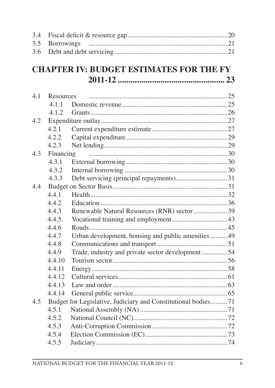| 3.4 |                   |                                                               |  |
|-----|-------------------|---------------------------------------------------------------|--|
| 3.5 | <b>Borrowings</b> |                                                               |  |
| 3.6 |                   |                                                               |  |
|     |                   | <b>CHAPTER IV: BUDGET ESTIMATES FOR THE FY</b>                |  |
|     |                   |                                                               |  |
| 4.1 | Resources         |                                                               |  |
|     | 4.1.1             |                                                               |  |
|     | 4.1.2             |                                                               |  |
| 4.2 |                   |                                                               |  |
|     | 4.2.1             |                                                               |  |
|     | 4.2.2             |                                                               |  |
|     | 4.2.3             |                                                               |  |
| 4.3 | Financing         |                                                               |  |
|     | 4.3.1             |                                                               |  |
|     | 4.3.2             |                                                               |  |
|     | 4.3.3             | Debt servicing (principal repayments)31                       |  |
| 4.4 |                   |                                                               |  |
|     | 4.4.1             |                                                               |  |
|     | 4.4.2             |                                                               |  |
|     | 4.4.3             | Renewable Natural Resources (RNR) sector39                    |  |
|     | 4.4.5.            |                                                               |  |
|     | 4.4.6             |                                                               |  |
|     | 4.4.7             | Urban development, housing and public amenities  49           |  |
|     | 4.4.8             |                                                               |  |
|     | 4.4.9             | Trade, industry and private sector development54              |  |
|     | 4.4.10            |                                                               |  |
|     | 4.4.11            |                                                               |  |
|     | 4.4.12            |                                                               |  |
|     | 4.4.13            | Law and order.                                                |  |
|     | 4.4.14            |                                                               |  |
| 4.5 |                   | Budget for Legislative, Judiciary and Constitutional bodies71 |  |
|     | 4.5.1             |                                                               |  |
|     | 4.5.2             |                                                               |  |
|     | 4.5.3             |                                                               |  |
|     | 4.5.4             |                                                               |  |
|     | 4.5.5             |                                                               |  |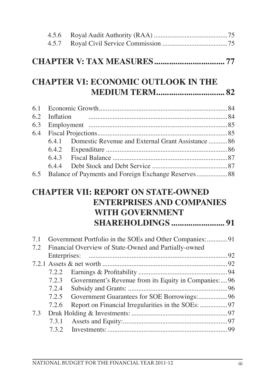|     | 4.5.6     |                                                                                                         |  |
|-----|-----------|---------------------------------------------------------------------------------------------------------|--|
|     | 4.5.7     |                                                                                                         |  |
|     |           |                                                                                                         |  |
|     |           | <b>CHAPTER VI: ECONOMIC OUTLOOK IN THE</b>                                                              |  |
|     |           |                                                                                                         |  |
| 6.1 |           |                                                                                                         |  |
| 6.2 | Inflation |                                                                                                         |  |
| 6.3 |           |                                                                                                         |  |
| 6.4 |           |                                                                                                         |  |
|     | 6.4.1     | Domestic Revenue and External Grant Assistance  86                                                      |  |
|     | 6.4.2     |                                                                                                         |  |
|     | 6.4.3     |                                                                                                         |  |
|     | 6.4.4     |                                                                                                         |  |
| 6.5 |           | Balance of Payments and Foreign Exchange Reserves 88                                                    |  |
|     |           | <b>CHAPTER VII: REPORT ON STATE-OWNED</b><br><b>ENTERPRISES AND COMPANIES</b><br><b>WITH GOVERNMENT</b> |  |
|     |           |                                                                                                         |  |
| 7.1 |           | Government Portfolio in the SOEs and Other Companies: 91                                                |  |
| 7.2 |           | Financial Overview of State-Owned and Partially-owned                                                   |  |
|     |           |                                                                                                         |  |
|     |           |                                                                                                         |  |
|     | 7.2.2     |                                                                                                         |  |
|     | 7.2.3     | Government's Revenue from its Equity in Companies:96                                                    |  |
|     |           |                                                                                                         |  |
|     | 7.2.5     | Government Guarantees for SOE Borrowings:96                                                             |  |
|     | 7.2.6     |                                                                                                         |  |
| 7.3 |           |                                                                                                         |  |
|     | 7.3.1     |                                                                                                         |  |
|     | 7.3.2     |                                                                                                         |  |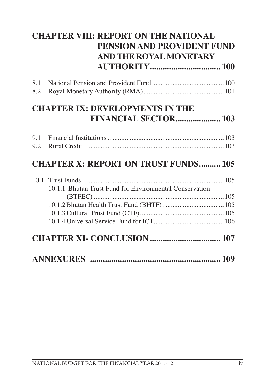| <b>CHAPTER VIII: REPORT ON THE NATIONAL</b> |                                                         |  |
|---------------------------------------------|---------------------------------------------------------|--|
|                                             | PENSION AND PROVIDENT FUND                              |  |
|                                             | AND THE ROYAL MONETARY                                  |  |
|                                             |                                                         |  |
| 8.1                                         |                                                         |  |
| 8.2                                         |                                                         |  |
|                                             | <b>CHAPTER IX: DEVELOPMENTS IN THE</b>                  |  |
|                                             | <b>FINANCIAL SECTOR 103</b>                             |  |
| 9.1                                         |                                                         |  |
| 9.2                                         |                                                         |  |
|                                             | <b>CHAPTER X: REPORT ON TRUST FUNDS 105</b>             |  |
|                                             | 10.1 Trust Funds                                        |  |
|                                             | 10.1.1 Bhutan Trust Fund for Environmental Conservation |  |
|                                             |                                                         |  |
|                                             |                                                         |  |
|                                             |                                                         |  |
|                                             |                                                         |  |
|                                             |                                                         |  |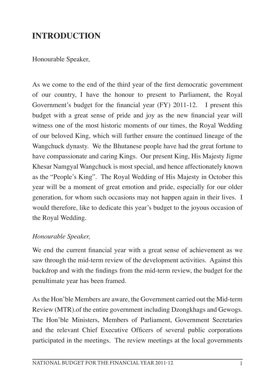#### **INTRODUCTION**

Honourable Speaker,

As we come to the end of the third year of the first democratic government of our country, I have the honour to present to Parliament, the Royal Government's budget for the financial year (FY) 2011-12. I present this budget with a great sense of pride and joy as the new financial year will witness one of the most historic moments of our times, the Royal Wedding of our beloved King, which will further ensure the continued lineage of the Wangchuck dynasty. We the Bhutanese people have had the great fortune to have compassionate and caring Kings. Our present King, His Majesty Jigme Khesar Namgyal Wangchuck is most special, and hence affectionately known as the "People's King". The Royal Wedding of His Majesty in October this year will be a moment of great emotion and pride, especially for our older generation, for whom such occasions may not happen again in their lives. I would therefore, like to dedicate this year's budget to the joyous occasion of the Royal Wedding.

#### *Honourable Speaker,*

We end the current financial year with a great sense of achievement as we saw through the mid-term review of the development activities. Against this backdrop and with the findings from the mid-term review, the budget for the penultimate year has been framed.

As the Hon'ble Members are aware, the Government carried out the Mid-term Review (MTR).of the entire government including Dzongkhags and Gewogs. The Hon'ble Ministers, Members of Parliament, Government Secretaries and the relevant Chief Executive Officers of several public corporations participated in the meetings. The review meetings at the local governments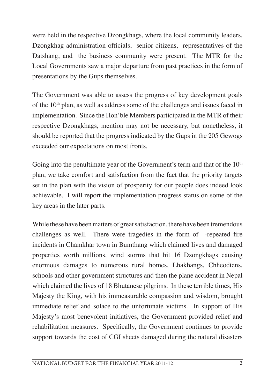were held in the respective Dzongkhags, where the local community leaders, Dzongkhag administration officials, senior citizens, representatives of the Datshang, and the business community were present. The MTR for the Local Governments saw a major departure from past practices in the form of presentations by the Gups themselves.

The Government was able to assess the progress of key development goals of the  $10<sup>th</sup>$  plan, as well as address some of the challenges and issues faced in implementation. Since the Hon'ble Members participated in the MTR of their respective Dzongkhags, mention may not be necessary, but nonetheless, it should be reported that the progress indicated by the Gups in the 205 Gewogs exceeded our expectations on most fronts.

Going into the penultimate year of the Government's term and that of the  $10<sup>th</sup>$ plan, we take comfort and satisfaction from the fact that the priority targets set in the plan with the vision of prosperity for our people does indeed look achievable. I will report the implementation progress status on some of the key areas in the later parts.

While these have been matters of great satisfaction, there have been tremendous challenges as well. There were tragedies in the form of -repeated fire incidents in Chamkhar town in Bumthang which claimed lives and damaged properties worth millions, wind storms that hit 16 Dzongkhags causing enormous damages to numerous rural homes, Lhakhangs, Chheodtens, schools and other government structures and then the plane accident in Nepal which claimed the lives of 18 Bhutanese pilgrims. In these terrible times, His Majesty the King, with his immeasurable compassion and wisdom, brought immediate relief and solace to the unfortunate victims. In support of His Majesty's most benevolent initiatives, the Government provided relief and rehabilitation measures. Specifically, the Government continues to provide support towards the cost of CGI sheets damaged during the natural disasters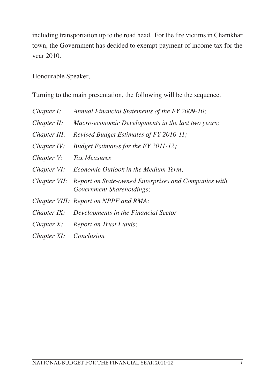including transportation up to the road head. For the fire victims in Chamkhar town, the Government has decided to exempt payment of income tax for the year 2010.

Honourable Speaker,

Turning to the main presentation, the following will be the sequence.

| Chapter I:     | Annual Financial Statements of the FY 2009-10;                                                 |
|----------------|------------------------------------------------------------------------------------------------|
| Chapter II:    | Macro-economic Developments in the last two years;                                             |
| Chapter III:   | Revised Budget Estimates of FY 2010-11;                                                        |
| Chapter IV:    | Budget Estimates for the FY 2011-12;                                                           |
| Chapter V:     | Tax Measures                                                                                   |
| Chapter VI:    | <i>Economic Outlook in the Medium Term;</i>                                                    |
|                | Chapter VII: Report on State-owned Enterprises and Companies with<br>Government Shareholdings; |
|                | Chapter VIII: Report on NPPF and RMA;                                                          |
| $Chapter IX$ : | Developments in the Financial Sector                                                           |
| Chapter $X$ :  | <b>Report on Trust Funds;</b>                                                                  |
| Chapter XI:    | Conclusion                                                                                     |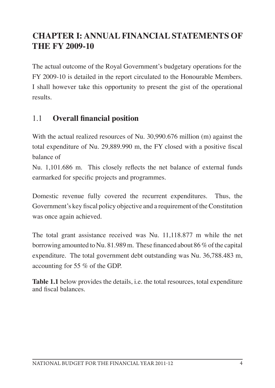## **CHAPTER I: ANNUALFINANCIALSTATEMENTS OF THE FY 2009-10**

The actual outcome of the Royal Government's budgetary operations for the FY 2009-10 is detailed in the report circulated to the Honourable Members. I shall however take this opportunity to present the gist of the operational results.

#### 1.1 **Overall financial position**

With the actual realized resources of Nu. 30,990.676 million (m) against the total expenditure of Nu. 29,889.990 m, the FY closed with a positive fiscal balance of

Nu. 1,101.686 m. This closely reflects the net balance of external funds earmarked for specific projects and programmes.

Domestic revenue fully covered the recurrent expenditures. Thus, the Government's key fiscal policy objective and a requirement of the Constitution was once again achieved.

The total grant assistance received was Nu. 11,118.877 m while the net borrowing amounted to Nu. 81.989 m. These financed about 86  $\%$  of the capital expenditure. The total government debt outstanding was Nu. 36,788.483 m, accounting for 55 % of the GDP.

**Table 1.1** below provides the details, i.e. the total resources, total expenditure and fiscal balances.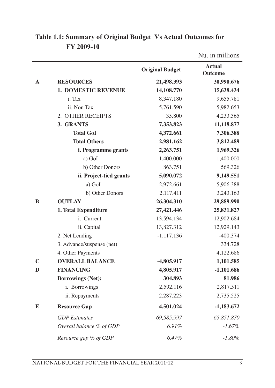|             |                            |                        | Nu. in millions                 |
|-------------|----------------------------|------------------------|---------------------------------|
|             |                            | <b>Original Budget</b> | <b>Actual</b><br><b>Outcome</b> |
| $\mathbf A$ | <b>RESOURCES</b>           | 21,498.393             | 30,990.676                      |
|             | <b>1. DOMESTIC REVENUE</b> | 14,108.770             | 15,638.434                      |
|             | i. Tax                     | 8,347.180              | 9,655.781                       |
|             | ii. Non Tax                | 5,761.590              | 5,982.653                       |
|             | 2. OTHER RECEIPTS          | 35.800                 | 4,233.365                       |
|             | 3. GRANTS                  | 7,353.823              | 11,118.877                      |
|             | <b>Total GoI</b>           | 4,372.661              | 7,306.388                       |
|             | <b>Total Others</b>        | 2,981.162              | 3,812.489                       |
|             | i. Programme grants        | 2,263.751              | 1,969.326                       |
|             | a) GoI                     | 1,400.000              | 1,400.000                       |
|             | b) Other Donors            | 863.751                | 569.326                         |
|             | ii. Project-tied grants    | 5,090.072              | 9,149.551                       |
|             | a) GoI                     | 2,972.661              | 5,906.388                       |
|             | b) Other Donors            | 2,117.411              | 3,243.163                       |
| B           | <b>OUTLAY</b>              | 26,304.310             | 29,889.990                      |
|             | 1. Total Expenditure       | 27,421.446             | 25,831.827                      |
|             | i. Current                 | 13,594.134             | 12,902.684                      |
|             | ii. Capital                | 13,827.312             | 12,929.143                      |
|             | 2. Net Lending             | $-1,117.136$           | $-400.374$                      |
|             | 3. Advance/suspense (net)  |                        | 334.728                         |
|             | 4. Other Payments          |                        | 4,122.686                       |
| $\mathbf C$ | <b>OVERALL BALANCE</b>     | $-4,805.917$           | 1,101.585                       |
| D           | <b>FINANCING</b>           | 4,805.917              | $-1,101.686$                    |
|             | <b>Borrowings (Net):</b>   | 304.893                | 81.986                          |
|             | i. Borrowings              | 2,592.116              | 2,817.511                       |
|             | ii. Repayments             | 2,287.223              | 2,735.525                       |
| Е           | <b>Resource Gap</b>        | 4,501.024              | $-1,183.672$                    |
|             | <b>GDP</b> Estimates       | 69,585.997             | 65,851.870                      |
|             | Overall balance % of GDP   | 6.91%                  | $-1.67%$                        |
|             | Resource gap % of GDP      | 6.47%                  | $-1.80\%$                       |

#### **Table 1.1: Summary of Original Budget Vs Actual Outcomes for FY 2009-10**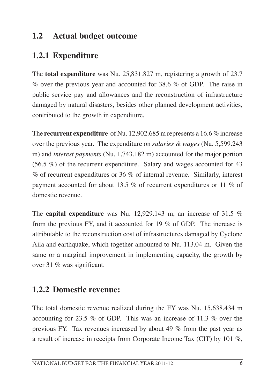#### **1.2 Actual budget outcome**

### **1.2.1 Expenditure**

The **total expenditure** was Nu. 25,831.827 m, registering a growth of 23.7 % over the previous year and accounted for 38.6 % of GDP. The raise in public service pay and allowances and the reconstruction of infrastructure damaged by natural disasters, besides other planned development activities, contributed to the growth in expenditure.

The **recurrent expenditure** of Nu. 12,902.685 m represents a 16.6 % increase over the previous year. The expenditure on *salaries & wages* (Nu. 5,599.243 m) and *interest payments* (Nu. 1,743.182 m) accounted for the major portion (56.5 %) of the recurrent expenditure. Salary and wages accounted for 43 % of recurrent expenditures or 36 % of internal revenue. Similarly, interest payment accounted for about 13.5 % of recurrent expenditures or 11 % of domestic revenue.

The **capital expenditure** was Nu. 12,929.143 m, an increase of 31.5 % from the previous FY, and it accounted for 19 % of GDP. The increase is attributable to the reconstruction cost of infrastructures damaged by Cyclone Aila and earthquake, which together amounted to Nu. 113.04 m. Given the same or a marginal improvement in implementing capacity, the growth by over 31 % was significant.

#### **1.2.2 Domestic revenue:**

The total domestic revenue realized during the FY was Nu. 15,638.434 m accounting for 23.5 % of GDP. This was an increase of 11.3 % over the previous FY. Tax revenues increased by about 49 % from the past year as a result of increase in receipts from Corporate Income Tax (CIT) by 101 %,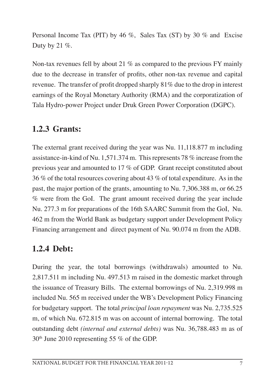Personal Income Tax (PIT) by 46 %, Sales Tax (ST) by 30 % and Excise Duty by 21  $\%$ .

Non-tax revenues fell by about 21  $\%$  as compared to the previous FY mainly due to the decrease in transfer of profits, other non-tax revenue and capital revenue. The transfer of profit dropped sharply 81% due to the drop in interest earnings of the Royal Monetary Authority (RMA) and the corporatization of Tala Hydro-power Project under Druk Green Power Corporation (DGPC).

#### **1.2.3 Grants:**

The external grant received during the year was Nu. 11,118.877 m including assistance-in-kind of Nu. 1,571.374 m. Thisrepresents 78 % increase from the previous year and amounted to 17 % of GDP. Grant receipt constituted about 36 % of the total resources covering about 43 % of total expenditure. As in the past, the major portion of the grants, amounting to Nu. 7,306.388 m, or 66.25 % were from the GoI. The grant amount received during the year include Nu. 277.3 m for preparations of the 16th SAARC Summit from the GoI, Nu. 462 m from the World Bank as budgetary support under Development Policy Financing arrangement and direct payment of Nu. 90.074 m from the ADB.

#### **1.2.4 Debt:**

During the year, the total borrowings (withdrawals) amounted to Nu. 2,817.511 m including Nu. 497.513 m raised in the domestic market through the issuance of Treasury Bills. The external borrowings of Nu. 2,319.998 m included Nu. 565 m received under the WB's Development Policy Financing for budgetary support. The total *principal loan repayment* was Nu. 2,735.525 m, of which Nu. 672.815 m was on account of internal borrowing. The total outstanding debt *(internal and external debts)* was Nu. 36,788.483 m as of 30th June 2010 representing 55 % of the GDP.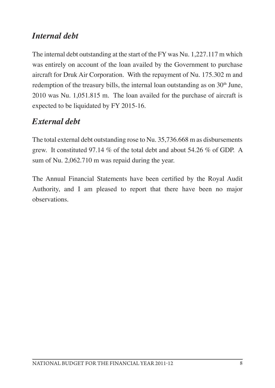#### *Internal debt*

The internal debt outstanding at the start of the FY was Nu. 1,227.117 m which was entirely on account of the loan availed by the Government to purchase aircraft for Druk Air Corporation. With the repayment of Nu. 175.302 m and redemption of the treasury bills, the internal loan outstanding as on  $30<sup>th</sup>$  June, 2010 was Nu. 1,051.815 m. The loan availed for the purchase of aircraft is expected to be liquidated by FY 2015-16.

#### *External debt*

The total external debt outstanding rose to Nu. 35,736.668 m as disbursements grew. It constituted 97.14 % of the total debt and about 54.26 % of GDP. A sum of Nu. 2,062.710 m was repaid during the year.

The Annual Financial Statements have been certified by the Royal Audit Authority, and I am pleased to report that there have been no major observations.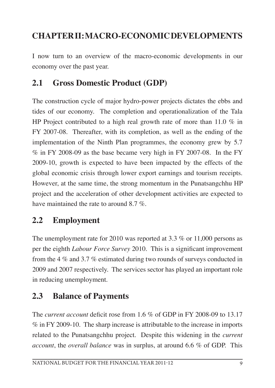## **CHAPTERII: MACRO-ECONOMICDEVELOPMENTS**

I now turn to an overview of the macro-economic developments in our economy over the past year.

### **2.1 Gross Domestic Product (GDP)**

The construction cycle of major hydro-power projects dictates the ebbs and tides of our economy. The completion and operationalization of the Tala HP Project contributed to a high real growth rate of more than 11.0 % in FY 2007-08. Thereafter, with its completion, as well as the ending of the implementation of the Ninth Plan programmes, the economy grew by 5.7 % in FY 2008-09 as the base became very high in FY 2007-08. In the FY 2009-10, growth is expected to have been impacted by the effects of the global economic crisis through lower export earnings and tourism receipts. However, at the same time, the strong momentum in the Punatsangchhu HP project and the acceleration of other development activities are expected to have maintained the rate to around 8.7 %.

#### **2.2 Employment**

The unemployment rate for 2010 was reported at 3.3  $\%$  or 11,000 persons as per the eighth *Labour Force Survey* 2010. This is a significant improvement from the 4 % and 3.7 % estimated during two rounds of surveys conducted in 2009 and 2007 respectively. The services sector has played an important role in reducing unemployment.

#### **2.3 Balance of Payments**

The *current account* deficit rose from 1.6 % of GDP in FY 2008-09 to 13.17 % in FY 2009-10. The sharp increase is attributable to the increase in imports related to the Punatsangchhu project. Despite this widening in the *current account*, the *overall balance* was in surplus, at around 6.6 % of GDP. This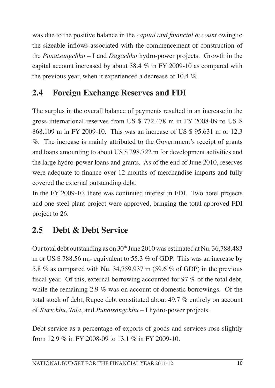was due to the positive balance in the *capital and financial account* owing to the sizeable inflows associated with the commencement of construction of the *Punatsangchhu* – I and *Dagachhu* hydro-power projects. Growth in the capital account increased by about 38.4 % in FY 2009-10 as compared with the previous year, when it experienced a decrease of 10.4 %.

# **2.4 Foreign Exchange Reserves and FDI**

The surplus in the overall balance of payments resulted in an increase in the gross international reserves from US \$ 772.478 m in FY 2008-09 to US \$ 868.109 m in FY 2009-10. This was an increase of US \$ 95.631 m or 12.3 %. The increase is mainly attributed to the Government's receipt of grants and loans amounting to about US \$ 298.722 m for development activities and the large hydro-power loans and grants. As of the end of June 2010, reserves were adequate to finance over 12 months of merchandise imports and fully covered the external outstanding debt.

In the FY 2009-10, there was continued interest in FDI. Two hotel projects and one steel plant project were approved, bringing the total approved FDI project to 26.

## **2.5 Debt & Debt Service**

Our total debt outstanding as on  $30<sup>th</sup>$  June 2010 was estimated at Nu. 36,788.483 m or US \$ 788.56 m,- equivalent to 55.3 % of GDP. This was an increase by 5.8 % as compared with Nu. 34,759.937 m (59.6 % of GDP) in the previous fiscal year. Of this, external borrowing accounted for 97 % of the total debt, while the remaining 2.9 % was on account of domestic borrowings. Of the total stock of debt, Rupee debt constituted about 49.7 % entirely on account of *Kurichhu*, *Tala*, and *Punatsangchhu* – I hydro-power projects.

Debt service as a percentage of exports of goods and services rose slightly from 12.9 % in FY 2008-09 to 13.1 % in FY 2009-10.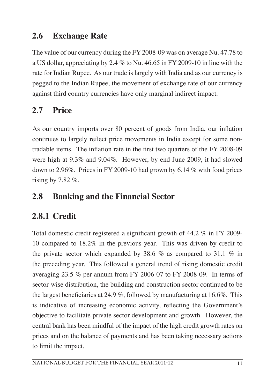### **2.6 Exchange Rate**

The value of our currency during the FY 2008-09 was on average Nu. 47.78 to a US dollar, appreciating by 2.4 % to Nu. 46.65 in FY 2009-10 in line with the rate for Indian Rupee. As our trade is largely with India and as our currency is pegged to the Indian Rupee, the movement of exchange rate of our currency against third country currencies have only marginal indirect impact.

# **2.7 Price**

As our country imports over 80 percent of goods from India, our inflation continues to largely reflect price movements in India except for some nontradable items. The inflation rate in the first two quarters of the FY 2008-09 were high at 9.3% and 9.04%. However, by end-June 2009, it had slowed down to 2.96%. Prices in FY 2009-10 had grown by 6.14 % with food prices rising by  $7.82\%$ .

### **2.8 Banking and the Financial Sector**

## **2.8.1 Credit**

Total domestic credit registered a significant growth of 44.2 % in FY 2009- 10 compared to 18.2% in the previous year. This was driven by credit to the private sector which expanded by 38.6 % as compared to 31.1 % in the preceding year. This followed a general trend of rising domestic credit averaging 23.5 % per annum from FY 2006-07 to FY 2008-09. In terms of sector-wise distribution, the building and construction sector continued to be the largest beneficiaries at 24.9 %, followed by manufacturing at 16.6%. This is indicative of increasing economic activity, reflecting the Government's objective to facilitate private sector development and growth. However, the central bank has been mindful of the impact of the high credit growth rates on prices and on the balance of payments and has been taking necessary actions to limit the impact.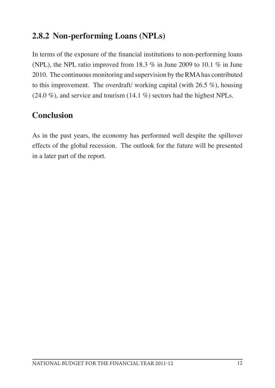#### **2.8.2 Non-performing Loans (NPLs)**

In terms of the exposure of the financial institutions to non-performing loans (NPL), the NPL ratio improved from 18.3 % in June 2009 to 10.1 % in June 2010. The continuous monitoring and supervision by the RMA has contributed to this improvement. The overdraft/ working capital (with 26.5 %), housing  $(24.0\%)$ , and service and tourism  $(14.1\%)$  sectors had the highest NPLs.

### **Conclusion**

As in the past years, the economy has performed well despite the spillover effects of the global recession. The outlook for the future will be presented in a later part of the report.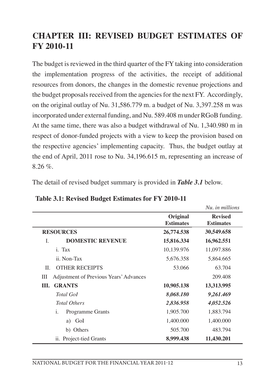### **CHAPTER III: REVISED BUDGET ESTIMATES OF FY 2010-11**

The budget is reviewed in the third quarter of the FY taking into consideration the implementation progress of the activities, the receipt of additional resources from donors, the changes in the domestic revenue projections and the budget proposals received from the agencies for the next FY. Accordingly, on the original outlay of Nu. 31,586.779 m. a budget of Nu. 3,397.258 m was incorporated under external funding, and Nu. 589.408 m under RGoB funding. At the same time, there was also a budget withdrawal of Nu. 1,340.980 m in respect of donor-funded projects with a view to keep the provision based on the respective agencies' implementing capacity. Thus, the budget outlay at the end of April, 2011 rose to Nu. 34,196.615 m, representing an increase of  $8.26 \%$ 

The detail of revised budget summary is provided in *Table 3.1* below.

|                                             |                              | Nu. in millions                    |
|---------------------------------------------|------------------------------|------------------------------------|
|                                             | Original<br><b>Estimates</b> | <b>Revised</b><br><b>Estimates</b> |
| <b>RESOURCES</b>                            | 26,774.538                   | 30,549.658                         |
| <b>DOMESTIC REVENUE</b><br>$\mathbf{I}$     | 15,816.334                   | 16,962.551                         |
| i. Tax                                      | 10,139.976                   | 11,097.886                         |
| ii. Non-Tax                                 | 5,676.358                    | 5,864.665                          |
| <b>OTHER RECEIPTS</b><br>II.                | 53,066                       | 63.704                             |
| Adjustment of Previous Years' Advances<br>Ш |                              | 209.408                            |
| <b>GRANTS</b><br>Ш.                         | 10,905.138                   | 13,313.995                         |
| <b>Total Gol</b>                            | 8,068.180                    | 9,261.469                          |
| <b>Total Others</b>                         | 2,836.958                    | 4,052.526                          |
| i.<br>Programme Grants                      | 1,905.700                    | 1,883.794                          |
| GoI<br>a)                                   | 1,400.000                    | 1,400.000                          |
| b) Others                                   | 505.700                      | 483.794                            |
| ii. Project-tied Grants                     | 8,999.438                    | 11,430.201                         |

**Table 3.1: Revised Budget Estimates for FY 2010-11**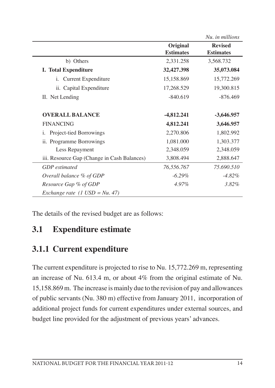|                                             |                              | Nu. in millions                    |
|---------------------------------------------|------------------------------|------------------------------------|
|                                             | Original<br><b>Estimates</b> | <b>Revised</b><br><b>Estimates</b> |
| b) Others                                   | 2,331.258                    | 3,568.732                          |
| <b>I. Total Expenditure</b>                 | 32,427.398                   | 35,073.084                         |
| Current Expenditure<br>i.                   | 15,158.869                   | 15,772.269                         |
| ii. Capital Expenditure                     | 17,268.529                   | 19,300.815                         |
| II. Net Lending                             | $-840.619$                   | $-876.469$                         |
| <b>OVERALL BALANCE</b>                      | -4,812.241                   | $-3,646.957$                       |
| <b>FINANCING</b>                            | 4,812.241                    | 3,646.957                          |
| Project-tied Borrowings<br>1.               | 2,270.806                    | 1,802.992                          |
| ii. Programme Borrowings                    | 1,081.000                    | 1,303.377                          |
| Less Repayment                              | 2,348.059                    | 2,348.059                          |
| iii. Resource Gap (Change in Cash Balances) | 3,808.494                    | 2,888.647                          |
| <b>GDP</b> estimated                        | 76,556.767                   | 75.690.510                         |
| Overall balance % of GDP                    | $-6.29\%$                    | $-4.82\%$                          |
| Resource Gap % of GDP                       | 4.97%                        | $3.82\%$                           |
| Exchange rate $(1 \text{ USD} = Nu. 47)$    |                              |                                    |

The details of the revised budget are as follows:

#### **3.1 Expenditure estimate**

#### **3.1.1 Current expenditure**

The current expenditure is projected to rise to Nu. 15,772.269 m, representing an increase of Nu. 613.4 m, or about 4% from the original estimate of Nu. 15,158.869m. The increase ismainly due to the revision of pay and allowances of public servants (Nu. 380 m) effective from January 2011, incorporation of additional project funds for current expenditures under external sources, and budget line provided for the adjustment of previous years' advances.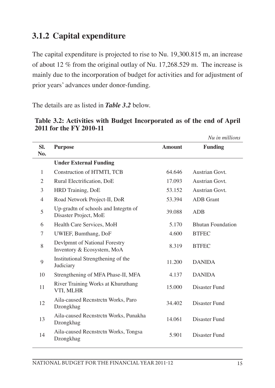### **3.1.2 Capital expenditure**

The capital expenditure is projected to rise to Nu. 19,300.815 m, an increase of about 12 % from the original outlay of Nu. 17,268.529 m. The increase is mainly due to the incorporation of budget for activities and for adjustment of prior years' advances under donor-funding.

The details are as listed in *Table 3.2* below.

|            |                                                               |               | Nu in millions           |
|------------|---------------------------------------------------------------|---------------|--------------------------|
| SI.<br>No. | <b>Purpose</b>                                                | <b>Amount</b> | <b>Funding</b>           |
|            | <b>Under External Funding</b>                                 |               |                          |
| 1          | Construction of HTMTI, TCB                                    | 64.646        | Austrian Govt.           |
| 2          | Rural Electrification, DoE                                    | 17.093        | Austrian Govt.           |
| 3          | HRD Training, DoE                                             | 53.152        | Austrian Govt.           |
| 4          | Road Network Project-II, DoR                                  | 53.394        | <b>ADB</b> Grant         |
| 5          | Up-gradtn of schools and Integrtn of<br>Disaster Project, MoE | 39.088        | <b>ADB</b>               |
| 6          | Health Care Services, MoH                                     | 5.170         | <b>Bhutan Foundation</b> |
| 7          | UWIEF, Bumthang, DoF                                          | 4.600         | <b>BTFEC</b>             |
| 8          | Devlpmnt of National Forestry<br>Inventory & Ecosystem, MoA   | 8.319         | <b>BTFEC</b>             |
| 9          | Institutional Strengthening of the<br>Judiciary               | 11.200        | <b>DANIDA</b>            |
| 10         | Strengthening of MFA Phase-II, MFA                            | 4.137         | <b>DANIDA</b>            |
| 11         | River Training Works at Khuruthang<br>VTI, MLHR               | 15,000        | Disaster Fund            |
| 12         | Aila-caused Recnstrctn Works, Paro<br>Dzongkhag               | 34.402        | Disaster Fund            |
| 13         | Aila-caused Recnstrctn Works, Punakha<br>Dzongkhag            | 14.061        | Disaster Fund            |
| 14         | Aila-caused Recnstrctn Works, Tongsa<br>Dzongkhag             | 5.901         | Disaster Fund            |

**Table 3.2: Activities with Budget Incorporated as of the end of April 2011 for the FY 2010-11**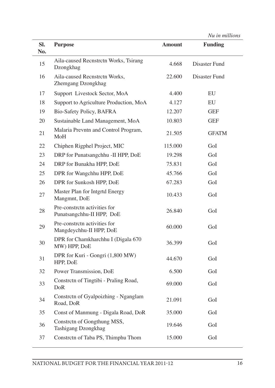|  | Nu in millions |
|--|----------------|
|  |                |

| SI.<br>No. | <b>Purpose</b>                                            | <b>Amount</b> | <b>Funding</b> |
|------------|-----------------------------------------------------------|---------------|----------------|
| 15         | Aila-caused Recnstrctn Works, Tsirang<br>Dzongkhag        | 4.668         | Disaster Fund  |
| 16         | Aila-caused Recnstrctn Works,<br>Zhemgang Dzongkhag       | 22.600        | Disaster Fund  |
| 17         | Support Livestock Sector, MoA                             | 4.400         | EU             |
| 18         | Support to Agriculture Production, MoA                    | 4.127         | EU             |
| 19         | Bio-Safety Policy, BAFRA                                  | 12.207        | <b>GEF</b>     |
| 20         | Sustainable Land Management, MoA                          | 10.803        | <b>GEF</b>     |
| 21         | Malaria Prevntn and Control Program,<br>MoH               | 21.505        | <b>GFATM</b>   |
| 22         | Chiphen Rigphel Project, MIC                              | 115.000       | GoI            |
| 23         | DRP for Punatsangchhu - II HPP, DoE                       | 19.298        | GoI            |
| 24         | DRP for Bunakha HPP, DoE                                  | 75.831        | GoI            |
| 25         | DPR for Wangchhu HPP, DoE                                 | 45.766        | GoI            |
| 26         | DPR for Sunkosh HPP, DoE                                  | 67.283        | GoI            |
| 27         | Master Plan for Intgrtd Energy<br>Mangmnt, DoE            | 10.433        | GoI            |
| 28         | Pre-constrctn activities for<br>Punatsangchhu-II HPP, DoE | 26.840        | GoI            |
| 29         | Pre-constrctn activities for<br>Mangdeychhu-II HPP, DoE   | 60.000        | GoI            |
| 30         | DPR for Chamkharchhu I (Digala 670<br>MW) HPP, DoE        | 36.399        | GoI            |
| 31         | DPR for Kuri - Gongri (1,800 MW)<br>HPP, DoE              | 44.670        | GoI            |
| 32         | Power Transmission, DoE                                   | 6.500         | GoI            |
| 33         | Constrctn of Tingtibi - Praling Road,<br>DoR              | 69.000        | GoI            |
| 34         | Constrctn of Gyalpoizhing - Nganglam<br>Road, DoR         | 21.091        | GoI            |
| 35         | Const of Manmung - Digala Road, DoR                       | 35.000        | GoI            |
| 36         | Constretn of Gongthung MSS,<br>Tashigang Dzongkhag        | 19.646        | GoI            |
| 37         | Constrctn of Taba PS, Thimphu Thom                        | 15.000        | GoI            |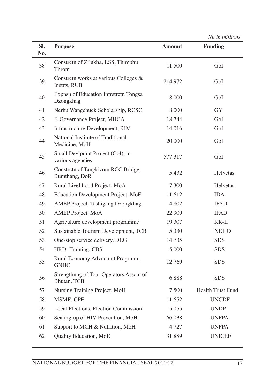| Sl.<br>No. | <b>Purpose</b>                                         | <b>Amount</b> | <b>Funding</b>           |
|------------|--------------------------------------------------------|---------------|--------------------------|
| 38         | Constrctn of Zilukha, LSS, Thimphu<br>Throm            | 11.500        | GoI                      |
| 39         | Constrctn works at various Colleges &<br>Insttts, RUB  | 214.972       | GoI                      |
| 40         | Expnsn of Education Infrstrctr, Tongsa<br>Dzongkhag    | 8.000         | GoI                      |
| 41         | Nerhu Wangchuck Scholarship, RCSC                      | 8.000         | <b>GY</b>                |
| 42         | E-Governance Project, MHCA                             | 18.744        | GoI                      |
| 43         | Infrastructure Development, RIM                        | 14.016        | GoI                      |
| 44         | National Institute of Traditional<br>Medicine, MoH     | 20.000        | GoI                      |
| 45         | Small Devlpmnt Project (GoI), in<br>various agencies   | 577.317       | GoI                      |
| 46         | Constrctn of Tangkizom RCC Bridge,<br>Bumthang, DoR    | 5.432         | Helvetas                 |
| 47         | Rural Livelihood Project, MoA                          | 7.300         | Helvetas                 |
| 48         | Education Development Project, MoE                     | 11.612        | <b>IDA</b>               |
| 49         | AMEP Project, Tashigang Dzongkhag                      | 4.802         | <b>IFAD</b>              |
| 50         | AMEP Project, MoA                                      | 22.909        | <b>IFAD</b>              |
| 51         | Agriculture development programme                      | 19.307        | $KR-II$                  |
| 52         | Sustainable Tourism Development, TCB                   | 5.330         | NET O                    |
| 53         | One-stop service delivery, DLG                         | 14.735        | <b>SDS</b>               |
| 54         | HRD-Training, CBS                                      | 5.000         | <b>SDS</b>               |
| 55         | Rural Economy Advncmnt Progrmm,<br><b>GNHC</b>         | 12.769        | <b>SDS</b>               |
| 56         | Strengthnng of Tour Operators Assctn of<br>Bhutan, TCB | 6.888         | <b>SDS</b>               |
| 57         | Nursing Training Project, MoH                          | 7.500         | <b>Health Trust Fund</b> |
| 58         | MSME, CPE                                              | 11.652        | <b>UNCDF</b>             |
| 59         | Local Elections, Election Commission                   | 5.055         | <b>UNDP</b>              |
| 60         | Scaling-up of HIV Prevention, MoH                      | 66.038        | <b>UNFPA</b>             |
| 61         | Support to MCH & Nutrition, MoH                        | 4.727         | <b>UNFPA</b>             |
| 62         | Quality Education, MoE                                 | 31.889        | <b>UNICEF</b>            |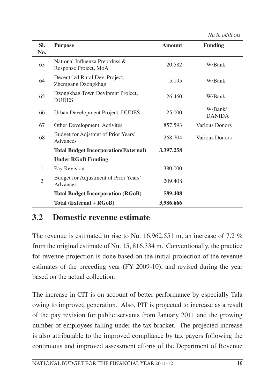*Nu in millions*

| SI.<br>No.     | <b>Purpose</b>                                          | <b>Amount</b> | <b>Funding</b>           |
|----------------|---------------------------------------------------------|---------------|--------------------------|
| 63             | National Influenza Preprdnss &<br>Response Project, MoA | 20.582        | W/Bank                   |
| 64             | Decentrizd Rural Dev. Project,<br>Zhemgang Dzongkhag    | 5.195         | W/Bank                   |
| 65             | Dzongkhag Town Devlpmnt Project,<br><b>DUDES</b>        | 26.460        | W/Bank                   |
| 66             | Urban Development Project, DUDES                        | 25.000        | W/Bank/<br><b>DANIDA</b> |
| 67             | Other Development Activites                             | 857.593       | Various Donors           |
| 68             | Budget for Adjstmnt of Prior Years'<br>Advances         | 268.704       | Various Donors           |
|                | <b>Total Budget Incorporation (External)</b>            | 3,397.258     |                          |
|                | <b>Under RGoB Funding</b>                               |               |                          |
| 1              | Pay Revision                                            | 380.000       |                          |
| $\overline{2}$ | Budget for Adjustment of Prior Years'<br>Advances       | 209.408       |                          |
|                | <b>Total Budget Incorporation (RGoB)</b>                | 589.408       |                          |
|                | Total (External + RGoB)                                 | 3,986.666     |                          |

#### **3.2 Domestic revenue estimate**

The revenue is estimated to rise to Nu. 16,962.551 m, an increase of 7.2 % from the original estimate of Nu. 15, 816.334 m. Conventionally, the practice for revenue projection is done based on the initial projection of the revenue estimates of the preceding year (FY 2009-10), and revised during the year based on the actual collection.

The increase in CIT is on account of better performance by especially Tala owing to improved generation. Also, PIT is projected to increase as a result of the pay revision for public servants from January 2011 and the growing number of employees falling under the tax bracket. The projected increase is also attributable to the improved compliance by tax payers following the continuous and improved assessment efforts of the Department of Revenue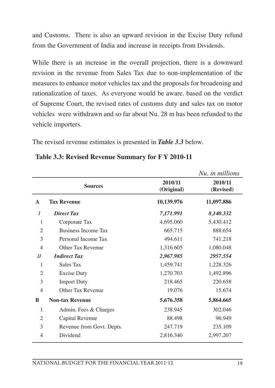and Customs. There is also an upward revision in the Excise Duty refund from the Government of India and increase in receipts from Dividends.

While there is an increase in the overall projection, there is a downward revision in the revenue from Sales Tax due to non-implementation of the measures to enhance motor vehicles tax and the proposals for broadening and rationalization of taxes. As everyone would be aware. based on the verdict of Supreme Court, the revised rates of customs duty and sales tax on motor vehicles were withdrawn and so far about Nu. 28 m has been refunded to the vehicle importers.

The revised revenue estimates is presented in *Table 3.3* below.

|                |                            |                       | Nu. in millions      |
|----------------|----------------------------|-----------------------|----------------------|
|                | <b>Sources</b>             | 2010/11<br>(Original) | 2010/11<br>(Revised) |
| $\mathbf{A}$   | <b>Tax Revenue</b>         | 10,139.976            | 11,097.886           |
| $\overline{I}$ | <b>Direct Tax</b>          | 7,171.991             | 8,140.332            |
| 1              | Corporate Tax              | 4,695.060             | 5,430.412            |
| $\overline{2}$ | <b>Business Income Tax</b> | 665.715               | 888.654              |
| 3              | Personal Income Tax        | 494.611               | 741.218              |
| $\overline{4}$ | Other Tax Revenue          | 1,316.605             | 1,080.048            |
| II             | <b>Indirect Tax</b>        | 2,967.985             | 2957.554             |
| 1              | Sales Tax                  | 1,459.741             | 1,228.326            |
| $\overline{2}$ | <b>Excise Duty</b>         | 1,270.703             | 1,492.896            |
| 3              | <b>Import Duty</b>         | 218.465               | 220.658              |
| $\overline{4}$ | Other Tax Revenue          | 19.076                | 15.674               |
| B              | <b>Non-tax Revenue</b>     | 5,676.358             | 5,864.665            |
| 1              | Admin. Fees & Charges      | 238.945               | 302.046              |
| $\overline{2}$ | Capital Revenue            | 88.498                | 96.949               |
| 3              | Revenue from Govt. Depts.  | 247.719               | 235.109              |
| $\overline{4}$ | Dividend                   | 2,816.340             | 2,997.207            |
|                |                            |                       |                      |

**Table 3.3: Revised Revenue Summary for F Y 2010-11**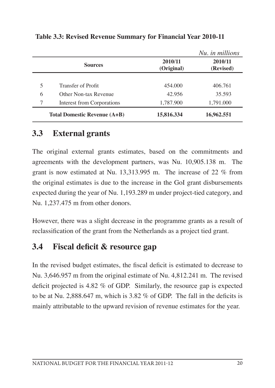|   |                              |                       | Nu. in millions      |
|---|------------------------------|-----------------------|----------------------|
|   | <b>Sources</b>               | 2010/11<br>(Original) | 2010/11<br>(Revised) |
|   |                              |                       |                      |
| 5 | Transfer of Profit           | 454,000               | 406.761              |
| 6 | Other Non-tax Revenue        | 42.956                | 35.593               |
| 7 | Interest from Corporations   | 1,787.900             | 1,791.000            |
|   | Total Domestic Revenue (A+B) | 15,816.334            | 16,962.551           |

**Table 3.3: Revised Revenue Summary for Financial Year 2010-11**

#### **3.3 External grants**

The original external grants estimates, based on the commitments and agreements with the development partners, was Nu. 10,905.138 m. The grant is now estimated at Nu. 13,313.995 m. The increase of 22 % from the original estimates is due to the increase in the GoI grant disbursements expected during the year of Nu. 1,193.289 m under project-tied category, and Nu. 1,237.475 m from other donors.

However, there was a slight decrease in the programme grants as a result of reclassification of the grant from the Netherlands as a project tied grant.

#### **3.4 Fiscal deficit & resource gap**

In the revised budget estimates, the fiscal deficit is estimated to decrease to Nu. 3,646.957 m from the original estimate of Nu. 4,812.241 m. The revised deficit projected is 4.82 % of GDP. Similarly, the resource gap is expected to be at Nu. 2,888.647 m, which is 3.82 % of GDP. The fall in the deficits is mainly attributable to the upward revision of revenue estimates for the year.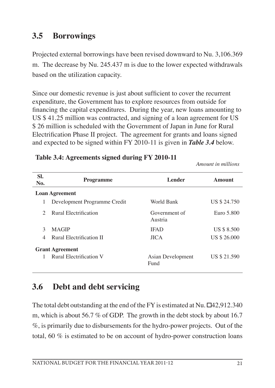#### **3.5 Borrowings**

Projected external borrowings have been revised downward to Nu. 3,106.369 m. The decrease by Nu. 245.437 m is due to the lower expected withdrawals based on the utilization capacity.

Since our domestic revenue is just about sufficient to cover the recurrent expenditure, the Government has to explore resources from outside for financing the capital expenditures. During the year, new loans amounting to US \$ 41.25 million was contracted, and signing of a loan agreement for US \$ 26 million is scheduled with the Government of Japan in June for Rural Electrification Phase II project. The agreement for grants and loans signed and expected to be signed within FY 2010-11 is given in *Table 3.4* below.

| SI.<br>No.    | <b>Programme</b>                                  | <b>Lender</b>            | Amount             |
|---------------|---------------------------------------------------|--------------------------|--------------------|
|               | <b>Loan Agreement</b>                             |                          |                    |
| 1             | Development Programme Credit                      | World Bank               | US \$ 24.750       |
| $\mathcal{D}$ | Rural Electrification                             | Government of<br>Austria | Euro 5.800         |
| 3             | <b>MAGIP</b>                                      | <b>IFAD</b>              | <b>US \$ 8.500</b> |
| 4             | Rural Electrification II                          | <b>JICA</b>              | US \$ 26.000       |
|               | <b>Grant Agreement</b><br>Rural Electrification V | Asian Development        | US \$ 21.590       |
|               |                                                   | Fund                     |                    |

#### **Table 3.4: Agreements signed during FY 2010-11**

#### **3.6 Debt and debt servicing**

The total debt outstanding at the end of the FY is estimated at Nu.  $\Box$ 42,912.340 m, which is about 56.7 % of GDP. The growth in the debt stock by about 16.7 %, is primarily due to disbursements for the hydro-power projects. Out of the total, 60  $\%$  is estimated to be on account of hydro-power construction loans

*Amount in millions*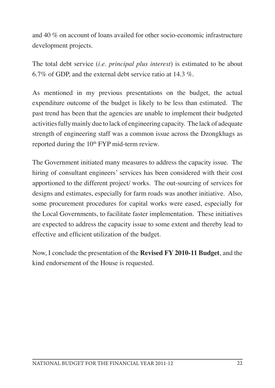and 40 % on account of loans availed for other socio-economic infrastructure development projects.

The total debt service (*i.e. principal plus interest*) is estimated to be about 6.7% of GDP, and the external debt service ratio at 14.3 %.

As mentioned in my previous presentations on the budget, the actual expenditure outcome of the budget is likely to be less than estimated. The past trend has been that the agencies are unable to implement their budgeted activitiesfullymainly due to lack of engineering capacity. The lack of adequate strength of engineering staff was a common issue across the Dzongkhags as reported during the 10<sup>th</sup> FYP mid-term review.

The Government initiated many measures to address the capacity issue. The hiring of consultant engineers' services has been considered with their cost apportioned to the different project/ works. The out-sourcing of services for designs and estimates, especially for farm roads was another initiative. Also, some procurement procedures for capital works were eased, especially for the Local Governments, to facilitate faster implementation. These initiatives are expected to address the capacity issue to some extent and thereby lead to effective and efficient utilization of the budget.

Now, I conclude the presentation of the **Revised FY 2010-11 Budget**, and the kind endorsement of the House is requested.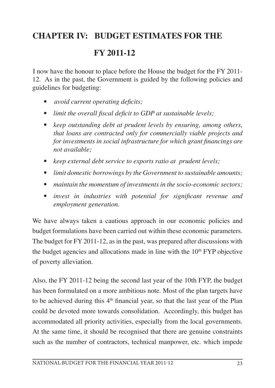#### **CHAPTER IV: BUDGET ESTIMATES FOR THE**

#### **FY 2011-12**

I now have the honour to place before the House the budget for the FY 2011- 12. As in the past, the Government is guided by the following policies and guidelines for budgeting:

- *avoid current operating deficits;*
- *limit the overall fiscal deficit to GDP at sustainable levels;*
- *keep outstanding debt at prudent levels by ensuring, among others, that loans are contracted only for commercially viable projects and for investments in social infrastructure for which grant financings are not available;*
- *keep external debt service to exports ratio at prudent levels;*
- *limit domestic borrowings by the Government to sustainable amounts;*
- *maintain the momentum of investments in the socio-economic sectors;*
- *invest in industries with potential for significant revenue and employment generation.*

We have always taken a cautious approach in our economic policies and budget formulations have been carried out within these economic parameters. The budget for FY 2011-12, as in the past, was prepared after discussions with the budget agencies and allocations made in line with the  $10<sup>th</sup> FYP$  objective of poverty alleviation.

Also, the FY 2011-12 being the second last year of the 10th FYP, the budget has been formulated on a more ambitious note. Most of the plan targets have to be achieved during this  $4<sup>th</sup>$  financial year, so that the last year of the Plan could be devoted more towards consolidation. Accordingly, this budget has accommodated all priority activities, especially from the local governments. At the same time, it should be recognised that there are genuine constraints such as the number of contractors, technical manpower, etc. which impede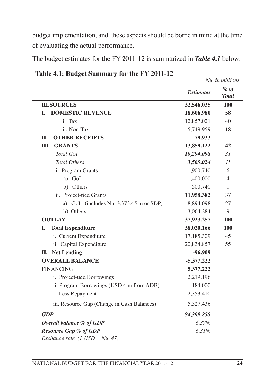budget implementation, and these aspects should be borne in mind at the time of evaluating the actual performance.

The budget estimates for the FY 2011-12 is summarized in *Table 4.1* below:

|                                             |                  | Nu. in millions        |
|---------------------------------------------|------------------|------------------------|
|                                             | <b>Estimates</b> | $%$ of<br><b>Total</b> |
| <b>RESOURCES</b>                            | 32,546.035       | 100                    |
| <b>DOMESTIC REVENUE</b><br>I.               | 18,606.980       | 58                     |
| i. Tax                                      | 12,857.021       | 40                     |
| ii. Non-Tax                                 | 5,749.959        | 18                     |
| <b>OTHER RECEIPTS</b><br>П.                 | 79.933           |                        |
| Ш.<br><b>GRANTS</b>                         | 13,859.122       | 42                     |
| <b>Total GoI</b>                            | 10,294.098       | 31                     |
| <b>Total Others</b>                         | 3,565.024        | $\overline{11}$        |
| i. Program Grants                           | 1,900.740        | 6                      |
| a) GoI                                      | 1,400.000        | $\overline{4}$         |
| b) Others                                   | 500.740          | 1                      |
| ii. Project-tied Grants                     | 11,958.382       | 37                     |
| a) GoI: (includes Nu. 3,373.45 m or SDP)    | 8,894.098        | 27                     |
| b) Others                                   | 3,064.284        | 9                      |
| <b>OUTLAY</b>                               | 37,923.257       | 100                    |
| I.<br><b>Total Expenditure</b>              | 38,020.166       | 100                    |
| i. Current Expenditure                      | 17,185.309       | 45                     |
| ii. Capital Expenditure                     | 20,834.857       | 55                     |
| <b>II.</b> Net Lending                      | $-96.909$        |                        |
| <b>OVERALL BALANCE</b>                      | $-5,377.222$     |                        |
| <b>FINANCING</b>                            | 5,377.222        |                        |
| i. Project-tied Borrowings                  | 2,219.196        |                        |
| ii. Program Borrowings (USD 4 m from ADB)   | 184.000          |                        |
| Less Repayment                              | 2,353.410        |                        |
| iii. Resource Gap (Change in Cash Balances) | 5,327.436        |                        |
| <b>GDP</b>                                  | 84,399.858       |                        |
| Overall balance % of GDP                    | 6.37%            |                        |
| <b>Resource Gap % of GDP</b>                | 6.31%            |                        |
| Exchange rate $(1 \text{ USD} = Nu. 47)$    |                  |                        |

**Table 4.1: Budget Summary for the FY 2011-12**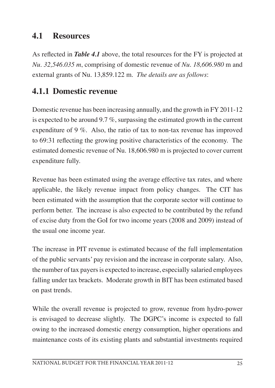#### **4.1 Resources**

As reflected in *Table 4.1* above, the total resources for the FY is projected at *Nu. 32,546.035 m*, comprising of domestic revenue of *Nu. 18,606.980* m and external grants of Nu. 13,859.122 m. *The details are as follows*:

#### **4.1.1 Domestic revenue**

Domestic revenue has been increasing annually, and the growth in FY 2011-12 is expected to be around 9.7 %, surpassing the estimated growth in the current expenditure of 9 %. Also, the ratio of tax to non-tax revenue has improved to 69:31 reflecting the growing positive characteristics of the economy. The estimated domestic revenue of Nu. 18,606.980 m is projected to cover current expenditure fully.

Revenue has been estimated using the average effective tax rates, and where applicable, the likely revenue impact from policy changes. The CIT has been estimated with the assumption that the corporate sector will continue to perform better. The increase is also expected to be contributed by the refund of excise duty from the GoI for two income years (2008 and 2009) instead of the usual one income year.

The increase in PIT revenue is estimated because of the full implementation of the public servants' pay revision and the increase in corporate salary. Also, the number of tax payers is expected to increase, especially salaried employees falling under tax brackets. Moderate growth in BIT has been estimated based on past trends.

While the overall revenue is projected to grow, revenue from hydro-power is envisaged to decrease slightly. The DGPC's income is expected to fall owing to the increased domestic energy consumption, higher operations and maintenance costs of its existing plants and substantial investments required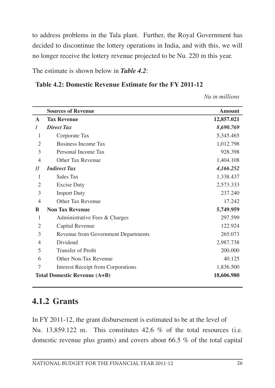to address problems in the Tala plant. Further, the Royal Government has decided to discontinue the lottery operations in India, and with this, we will no longer receive the lottery revenue projected to be Nu. 220 m this year.

The estimate is shown below in *Table 4.2*:

#### **Table 4.2: Domestic Revenue Estimate for the FY 2011-12**

*Nu in millions*

|                | <b>Sources of Revenue</b>           | <b>Amount</b> |
|----------------|-------------------------------------|---------------|
| $\mathbf{A}$   | <b>Tax Revenue</b>                  | 12,857.021    |
| I              | <b>Direct Tax</b>                   | 8,690.769     |
| 1              | Corporate Tax                       | 5,345.465     |
| 2              | Business Income Tax                 | 1,012.798     |
| 3              | Personal Income Tax                 | 928.398       |
| 4              | Other Tax Revenue                   | 1,404.108     |
| $_{II}$        | <b>Indirect Tax</b>                 | 4,166.252     |
| 1              | Sales Tax                           | 1,338.437     |
| 2              | <b>Excise Duty</b>                  | 2,573.333     |
| 3              | <b>Import Duty</b>                  | 237.240       |
| 4              | Other Tax Revenue                   | 17.242        |
| B              | <b>Non Tax Revenue</b>              | 5,749.959     |
| 1              | Administrative Fees & Charges       | 297.599       |
| $\overline{c}$ | Capital Revenue                     | 122.924       |
| 3              | Revenue from Government Departments | 265.073       |
| 4              | Dividend                            | 2,987.738     |
| 5              | Transfer of Profit                  | 200.000       |
| 6              | Other Non-Tax Revenue               | 40.125        |
| 7              | Interest Receipt from Corporations  | 1,836.500     |
|                | <b>Total Domestic Revenue (A+B)</b> | 18,606.980    |

#### **4.1.2 Grants**

In FY 2011-12, the grant disbursement is estimated to be at the level of Nu. 13,859.122 m. This constitutes 42.6 % of the total resources (i.e. domestic revenue plus grants) and covers about 66.5 % of the total capital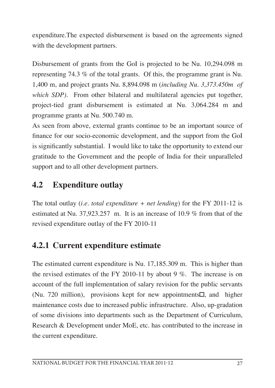expenditure.The expected disbursement is based on the agreements signed with the development partners.

Disbursement of grants from the GoI is projected to be Nu. 10,294.098 m representing 74.3 % of the total grants. Of this, the programme grant is Nu. 1,400 m, and project grants Nu. 8,894.098 m (*including Nu. 3,373.450m of which SDP*). From other bilateral and multilateral agencies put together, project-tied grant disbursement is estimated at Nu. 3,064.284 m and programme grants at Nu. 500.740 m.

As seen from above, external grants continue to be an important source of finance for our socio-economic development, and the support from the GoI is significantly substantial. I would like to take the opportunity to extend our gratitude to the Government and the people of India for their unparalleled support and to all other development partners.

## **4.2 Expenditure outlay**

The total outlay (*i.e. total expenditure + net lending*) for the FY 2011-12 is estimated at Nu. 37,923.257 m. It is an increase of 10.9 *%* from that of the revised expenditure outlay of the FY 2010-11

## **4.2.1 Current expenditure estimate**

The estimated current expenditure is Nu. 17,185.309 m. This is higher than the revised estimates of the FY 2010-11 by about 9 %. The increase is on account of the full implementation of salary revision for the public servants (Nu. 720 million), provisions kept for new appointments $\Box$ , and higher maintenance costs due to increased public infrastructure. Also, up-gradation of some divisions into departments such as the Department of Curriculum, Research & Development under MoE, etc. has contributed to the increase in the current expenditure.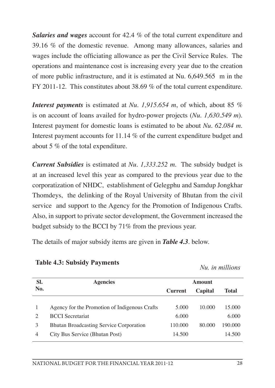*Salaries and wages* account for 42.4 % of the total current expenditure and 39.16 % of the domestic revenue. Among many allowances, salaries and wages include the officiating allowance as per the Civil Service Rules. The operations and maintenance cost is increasing every year due to the creation of more public infrastructure, and it is estimated at Nu. 6,649.565 m in the FY 2011-12. This constitutes about 38.69 % of the total current expenditure.

*Interest payments* is estimated at *Nu. 1,915.654 m*, of which, about 85 *%* is on account of loans availed for hydro-power projects (*Nu. 1,630.549 m*). Interest payment for domestic loans is estimated to be about *Nu. 62.084 m*. Interest payment accounts for 11.14 % of the current expenditure budget and about 5 % of the total expenditure.

*Current Subsidies* is estimated at *Nu. 1,333.252 m*. The subsidy budget is at an increased level this year as compared to the previous year due to the corporatization of NHDC, establishment of Gelegphu and Samdup Jongkhar Thomdeys, the delinking of the Royal University of Bhutan from the civil service and support to the Agency for the Promotion of Indigenous Crafts. Also, in support to private sector development, the Government increased the budget subsidy to the BCCI by 71% from the previous year.

The details of major subsidy items are given in *Table 4.3*. below.

| Nu. in millions |
|-----------------|
|                 |
|                 |

| Nu. in millions |
|-----------------|
|-----------------|

| SI.           | <b>Agencies</b>                                | <b>Amount</b>  |         |         |
|---------------|------------------------------------------------|----------------|---------|---------|
| No.           |                                                | <b>Current</b> | Capital | Total   |
|               |                                                |                |         |         |
|               | Agency for the Promotion of Indigenous Crafts  | 5.000          | 10.000  | 15.000  |
| $\mathcal{D}$ | <b>BCCI</b> Secretariat                        | 6.000          |         | 6.000   |
| 3             | <b>Bhutan Broadcasting Service Corporation</b> | 110.000        | 80,000  | 190.000 |
| 4             | City Bus Service (Bhutan Post)                 | 14.500         |         | 14.500  |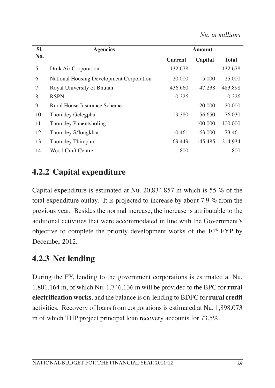| SI.            | <b>Agencies</b>                          |                | Amount  |              |
|----------------|------------------------------------------|----------------|---------|--------------|
| No.            |                                          | <b>Current</b> | Capital | <b>Total</b> |
| $\overline{5}$ | Druk Air Corporation                     | 132.678        |         | 132.678      |
| 6              | National Housing Development Corporation | 20,000         | 5.000   | 25,000       |
| 7              | Royal University of Bhutan               | 436.660        | 47.238  | 483.898      |
| 8              | <b>RSPN</b>                              | 0.326          |         | 0.326        |
| 9              | Rural House Insurance Scheme             |                | 20,000  | 20,000       |
| 10             | Thomdey Gelegphu                         | 19.380         | 56.650  | 76.030       |
| 11             | Thomdey Phuentsholing                    |                | 100,000 | 100,000      |
| 12             | Thomdey S/Jongkhar                       | 10.461         | 63,000  | 73.461       |
| 13             | Thomdey Thimphu                          | 69.449         | 145.485 | 214.934      |
| 14             | <b>Wood Craft Centre</b>                 | 1.800          |         | 1.800        |

## **4.2.2 Capital expenditure**

Capital expenditure is estimated at Nu. 20,834.857 m which is 55 % of the total expenditure outlay. It is projected to increase by about 7.9 % from the previous year. Besides the normal increase, the increase is attributable to the additional activities that were accommodated in line with the Government's objective to complete the priority development works of the 10<sup>th</sup> FYP by December 2012.

## **4.2.3 Net lending**

During the FY, lending to the government corporations is estimated at Nu. 1,801.164 m, of which Nu. 1,746.136 m will be provided to the BPC for **rural electrification works**, and the balance is on-lending to BDFC for **rural credit** activities. Recovery of loans from corporations is estimated at Nu. 1,898.073 m of which THP project principal loan recovery accounts for 73.5%.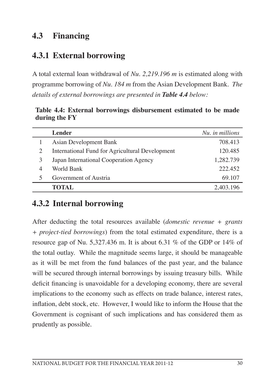#### **4.3 Financing**

#### **4.3.1 External borrowing**

A total external loan withdrawal of *Nu. 2,219.196 m* is estimated along with programme borrowing of *Nu. 184 m* from the Asian Development Bank. *The details of external borrowings are presented in Table 4.4 below:*

**Table 4.4: External borrowings disbursement estimated to be made during the FY**

|   | <b>Lender</b>                                   | Nu, in millions |
|---|-------------------------------------------------|-----------------|
|   | Asian Development Bank                          | 708.413         |
|   | International Fund for Agricultural Development | 120.485         |
| 3 | Japan International Cooperation Agency          | 1,282.739       |
|   | World Bank                                      | 222.452         |
|   | Government of Austria                           | 69.107          |
|   | TOTAL                                           | 2,403.196       |

#### **4.3.2 Internal borrowing**

After deducting the total resources available (*domestic revenue + grants + project-tied borrowings*) from the total estimated expenditure, there is a resource gap of Nu. 5,327.436 m. It is about 6.31 % of the GDP or 14% of the total outlay. While the magnitude seems large, it should be manageable as it will be met from the fund balances of the past year, and the balance will be secured through internal borrowings by issuing treasury bills. While deficit financing is unavoidable for a developing economy, there are several implications to the economy such as effects on trade balance, interest rates, inflation, debt stock, etc. However, I would like to inform the House that the Government is cognisant of such implications and has considered them as prudently as possible.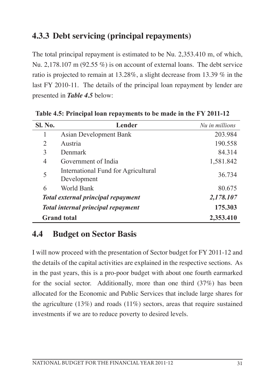# **4.3.3 Debt servicing (principal repayments)**

The total principal repayment is estimated to be Nu. 2,353.410 m, of which, Nu. 2,178,107 m (92.55  $\%$ ) is on account of external loans. The debt service ratio is projected to remain at 13.28%, a slight decrease from 13.39 % in the last FY 2010-11. The details of the principal loan repayment by lender are presented in *Table 4.5* below:

| <b>Sl. No.</b>                            | <b>Lender</b>                                      | Nu in millions |
|-------------------------------------------|----------------------------------------------------|----------------|
|                                           | Asian Development Bank                             | 203.984        |
| $\mathcal{D}_{\mathcal{L}}$               | Austria                                            | 190.558        |
| 3                                         | Denmark                                            | 84.314         |
| 4                                         | Government of India                                | 1,581.842      |
| 5                                         | International Fund for Agricultural<br>Development | 36.734         |
| 6                                         | World Bank                                         | 80.675         |
|                                           | <b>Total external principal repayment</b>          | 2,178.107      |
| <b>Total internal principal repayment</b> |                                                    | 175.303        |
|                                           | <b>Grand</b> total                                 | 2,353.410      |

**Table 4.5: Principal loan repayments to be made in the FY 2011-12**

### **4.4 Budget on Sector Basis**

I will now proceed with the presentation of Sector budget for FY 2011-12 and the details of the capital activities are explained in the respective sections. As in the past years, this is a pro-poor budget with about one fourth earmarked for the social sector. Additionally, more than one third (37%) has been allocated for the Economic and Public Services that include large shares for the agriculture  $(13\%)$  and roads  $(11\%)$  sectors, areas that require sustained investments if we are to reduce poverty to desired levels.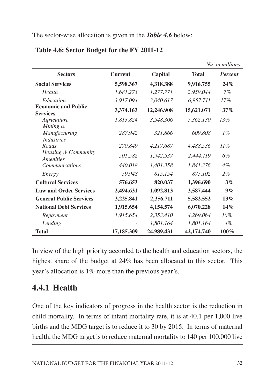The sector-wise allocation is given in the *Table 4.6* below:

|                                               |                |            |              | Nu, in millions |
|-----------------------------------------------|----------------|------------|--------------|-----------------|
| <b>Sectors</b>                                | <b>Current</b> | Capital    | <b>Total</b> | <b>Percent</b>  |
| <b>Social Services</b>                        | 5,598.367      | 4,318.388  | 9,916.755    | 24%             |
| Health                                        | 1,681.273      | 1,277.771  | 2,959.044    | 7%              |
| Education                                     | 3,917.094      | 3,040.617  | 6,957.711    | $17\%$          |
| <b>Economic and Public</b><br><b>Services</b> | 3,374.163      | 12,246.908 | 15,621.071   | 37%             |
| Agriculture<br>Mining &                       | 1,813.824      | 3,548.306  | 5,362.130    | 13%             |
| Manufacturing<br><i>Industries</i>            | 287.942        | 321.866    | 609.808      | $1\%$           |
| Roads                                         | 270.849        | 4,217.687  | 4,488.536    | 11%             |
| Housing & Community<br>Amenities              | 501.582        | 1,942.537  | 2,444.119    | 6%              |
| <i>Communications</i>                         | 440.018        | 1,401.358  | 1,841.376    | $4\%$           |
| Energy                                        | 59.948         | 815.154    | 875.102      | $2\%$           |
| <b>Cultural Services</b>                      | 576.653        | 820.037    | 1,396.690    | 3%              |
| <b>Law and Order Services</b>                 | 2,494.631      | 1,092.813  | 3,587.444    | 9%              |
| <b>General Public Services</b>                | 3,225.841      | 2,356.711  | 5,582.552    | 13%             |
| <b>National Debt Services</b>                 | 1,915.654      | 4,154.574  | 6,070.228    | 14%             |
| Repayment                                     | 1,915.654      | 2,353.410  | 4,269.064    | 10%             |
| Lending                                       |                | 1,801.164  | 1,801.164    | 4%              |
| <b>Total</b>                                  | 17,185.309     | 24,989.431 | 42,174.740   | 100%            |

#### **Table 4.6: Sector Budget for the FY 2011-12**

In view of the high priority accorded to the health and education sectors, the highest share of the budget at 24% has been allocated to this sector. This year's allocation is 1% more than the previous year's.

### **4.4.1 Health**

One of the key indicators of progress in the health sector is the reduction in child mortality. In terms of infant mortality rate, it is at 40.1 per 1,000 live births and the MDG target is to reduce it to 30 by 2015. In terms of maternal health, the MDG target is to reduce maternal mortality to 140 per 100,000 live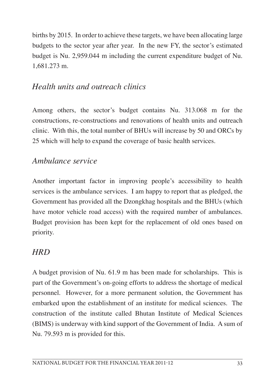births by 2015. In order to achieve these targets, we have been allocating large budgets to the sector year after year. In the new FY, the sector's estimated budget is Nu. 2,959.044 m including the current expenditure budget of Nu. 1,681.273 m.

### *Health units and outreach clinics*

Among others, the sector's budget contains Nu. 313.068 m for the constructions, re-constructions and renovations of health units and outreach clinic. With this, the total number of BHUs will increase by 50 and ORCs by 25 which will help to expand the coverage of basic health services.

#### *Ambulance service*

Another important factor in improving people's accessibility to health services is the ambulance services. I am happy to report that as pledged, the Government has provided all the Dzongkhag hospitals and the BHUs (which have motor vehicle road access) with the required number of ambulances. Budget provision has been kept for the replacement of old ones based on priority.

# *HRD*

A budget provision of Nu. 61.9 m has been made for scholarships. This is part of the Government's on-going efforts to address the shortage of medical personnel. However, for a more permanent solution, the Government has embarked upon the establishment of an institute for medical sciences. The construction of the institute called Bhutan Institute of Medical Sciences (BIMS) is underway with kind support of the Government of India. A sum of Nu. 79.593 m is provided for this.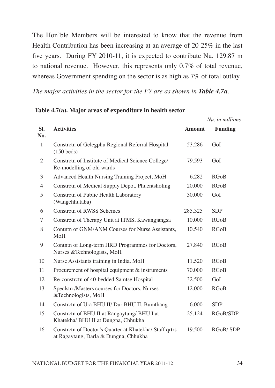The Hon'ble Members will be interested to know that the revenue from Health Contribution has been increasing at an average of 20-25% in the last five years. During FY 2010-11, it is expected to contribute Nu. 129.87 m to national revenue. However, this represents only 0.7% of total revenue, whereas Government spending on the sector is as high as 7% of total outlay.

*The major activities in the sector for the FY are as shown in Table 4.7a.* 

|                |                                                                                                 |               | Nu. in millions |
|----------------|-------------------------------------------------------------------------------------------------|---------------|-----------------|
| SI.<br>No.     | <b>Activities</b>                                                                               | <b>Amount</b> | <b>Funding</b>  |
| 1              | Constrctn of Gelegphu Regional Referral Hospital<br>$(150$ beds)                                | 53.286        | GoI             |
| $\mathfrak{2}$ | Constrctn of Institute of Medical Science College/<br>Re-modelling of old wards                 | 79.593        | GoI             |
| 3              | Advanced Health Nursing Training Project, MoH                                                   | 6.282         | RGoB            |
| $\overline{4}$ | Constrctn of Medical Supply Depot, Phuentsholing                                                | 20.000        | RGoB            |
| 5              | Constrctn of Public Health Laboratory<br>(Wangchhutaba)                                         | 30.000        | GoI             |
| 6              | <b>Constrctn of RWSS Schemes</b>                                                                | 285.325       | <b>SDP</b>      |
| 7              | Constrctn of Therapy Unit at ITMS, Kawangjangsa                                                 | 10.000        | <b>RGoB</b>     |
| 8              | Contntn of GNM/ANM Courses for Nurse Assistants,<br>MoH                                         | 10.540        | <b>RGoB</b>     |
| 9              | Contntn of Long-term HRD Programmes for Doctors,<br>Nurses & Technologists, MoH                 | 27.840        | <b>RGoB</b>     |
| 10             | Nurse Assistants training in India, MoH                                                         | 11.520        | <b>RGoB</b>     |
| 11             | Procurement of hospital equipment & instruments                                                 | 70.000        | <b>RGoB</b>     |
| 12             | Re-constrctn of 40-bedded Samtse Hospital                                                       | 32.500        | GoI             |
| 13             | Speclstn /Masters courses for Doctors, Nurses<br>&Technologists, MoH                            | 12.000        | <b>RGoB</b>     |
| 14             | Constrctn of Ura BHU II/ Dur BHU II, Bumthang                                                   | 6.000         | <b>SDP</b>      |
| 15             | Constrctn of BHU II at Rangaytung/ BHU I at<br>Khatekha/ BHU II at Dungna, Chhukha              | 25.124        | RGoB/SDP        |
| 16             | Constrctn of Doctor's Quarter at Khatekha/ Staff qrtrs<br>at Ragaytang, Darla & Dungna, Chhukha | 19.500        | RGoB/SDP        |

**Table 4.7(a). Major areas of expenditure in health sector**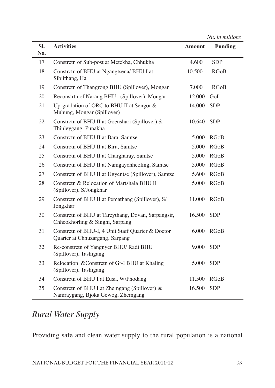*Nu. in millions*

| SI. | <b>Activities</b>                                                                     | <b>Amount</b> | <b>Funding</b> |
|-----|---------------------------------------------------------------------------------------|---------------|----------------|
| No. |                                                                                       |               |                |
| 17  | Constrctn of Sub-post at Metekha, Chhukha                                             | 4.600         | <b>SDP</b>     |
| 18  | Constrctn of BHU at Ngangtsena/ BHU I at<br>Sibjithang, Ha                            | 10.500        | <b>RGoB</b>    |
| 19  | Constrctn of Thangrong BHU (Spillover), Mongar                                        | 7.000         | <b>RGoB</b>    |
| 20  | Reconstrtn of Narang BHU, (Spillover), Mongar                                         | 12.000        | GoI            |
| 21  | Up-gradation of ORC to BHU II at Sengor &<br>Muhung, Mongar (Spillover)               | 14.000        | <b>SDP</b>     |
| 22  | Constrctn of BHU II at Goenshari (Spillover) &<br>Thinleygang, Punakha                | 10.640        | <b>SDP</b>     |
| 23  | Constrctn of BHU II at Bara, Samtse                                                   | 5.000         | <b>RGoB</b>    |
| 24  | Constrctn of BHU II at Biru, Samtse                                                   | 5.000         | <b>RGoB</b>    |
| 25  | Constrctn of BHU II at Chargharay, Samtse                                             | 5.000         | <b>RGoB</b>    |
| 26  | Constrctn of BHU II at Namgaychheoling, Samtse                                        | 5.000         | <b>RGoB</b>    |
| 27  | Constrctn of BHU II at Ugyentse (Spillover), Samtse                                   | 5.600         | <b>RGoB</b>    |
| 28  | Constrctn & Relocation of Martshala BHU II<br>(Spillover), S/Jongkhar                 | 5.000         | <b>RGoB</b>    |
| 29  | Constrctn of BHU II at Pemathang (Spillover), S/<br>Jongkhar                          | 11.000        | <b>RGoB</b>    |
| 30  | Constrctn of BHU at Tareythang, Dovan, Sarpangsir,<br>Chheokhorling & Singhi, Sarpang | 16.500        | <b>SDP</b>     |
| 31  | Constrctn of BHU-I, 4 Unit Staff Quarter & Doctor<br>Quarter at Chhuzargang, Sarpang  | 6.000         | <b>RGoB</b>    |
| 32  | Re-constrctn of Yangnyer BHU/ Radi BHU<br>(Spillover), Tashigang                      | 9.000         | <b>SDP</b>     |
| 33  | Relocation & Constrctn of Gr-I BHU at Khaling<br>(Spillover), Tashigang               | 5.000         | <b>SDP</b>     |
| 34  | Constrctn of BHU I at Eusa, W/Phodang                                                 | 11.500        | <b>RGoB</b>    |
| 35  | Constrctn of BHU I at Zhemgang (Spillover) &<br>Namraygang, Bjoka Gewog, Zhemgang     | 16.500        | <b>SDP</b>     |

# *Rural Water Supply*

Providing safe and clean water supply to the rural population is a national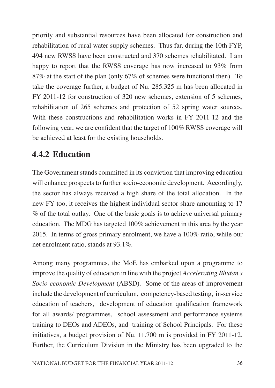priority and substantial resources have been allocated for construction and rehabilitation of rural water supply schemes. Thus far, during the 10th FYP, 494 new RWSS have been constructed and 370 schemes rehabilitated. I am happy to report that the RWSS coverage has now increased to 93% from 87% at the start of the plan (only 67% of schemes were functional then). To take the coverage further, a budget of Nu. 285.325 m has been allocated in FY 2011-12 for construction of 320 new schemes, extension of 5 schemes, rehabilitation of 265 schemes and protection of 52 spring water sources. With these constructions and rehabilitation works in FY 2011-12 and the following year, we are confident that the target of 100% RWSS coverage will be achieved at least for the existing households.

### **4.4.2 Education**

The Government stands committed in its conviction that improving education will enhance prospects to further socio-economic development. Accordingly, the sector has always received a high share of the total allocation. In the new FY too, it receives the highest individual sector share amounting to 17 % of the total outlay. One of the basic goals is to achieve universal primary education. The MDG has targeted 100% achievement in this area by the year 2015. In terms of gross primary enrolment, we have a 100% ratio, while our net enrolment ratio, stands at 93.1%.

Among many programmes, the MoE has embarked upon a programme to improve the quality of education in line with the project *Accelerating Bhutan's Socio-economic Development* (ABSD). Some of the areas of improvement include the development of curriculum, competency-based testing, in-service education of teachers, development of education qualification framework for all awards/ programmes, school assessment and performance systems training to DEOs and ADEOs, and training of School Principals. For these initiatives, a budget provision of Nu. 11.700 m is provided in FY 2011-12. Further, the Curriculum Division in the Ministry has been upgraded to the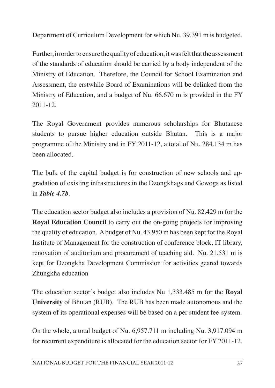Department of Curriculum Development for which Nu. 39.391 m is budgeted.

Further, in order to ensure the quality of education, it was felt that the assessment of the standards of education should be carried by a body independent of the Ministry of Education. Therefore, the Council for School Examination and Assessment, the erstwhile Board of Examinations will be delinked from the Ministry of Education, and a budget of Nu. 66.670 m is provided in the FY 2011-12.

The Royal Government provides numerous scholarships for Bhutanese students to pursue higher education outside Bhutan. This is a major programme of the Ministry and in FY 2011-12, a total of Nu. 284.134 m has been allocated.

The bulk of the capital budget is for construction of new schools and upgradation of existing infrastructures in the Dzongkhags and Gewogs as listed in *Table 4.7b*.

The education sector budget also includes a provision of Nu. 82.429 m for the **Royal Education Council** to carry out the on-going projects for improving the quality of education. Abudget of Nu. 43.950 m has been kept for the Royal Institute of Management for the construction of conference block, IT library, renovation of auditorium and procurement of teaching aid. Nu. 21.531 m is kept for Dzongkha Development Commission for activities geared towards Zhungkha education

The education sector's budget also includes Nu 1,333.485 m for the **Royal University** of Bhutan (RUB). The RUB has been made autonomous and the system of its operational expenses will be based on a per student fee-system.

On the whole, a total budget of Nu. 6,957.711 m including Nu. 3,917.094 m for recurrent expenditure is allocated for the education sector for FY 2011-12.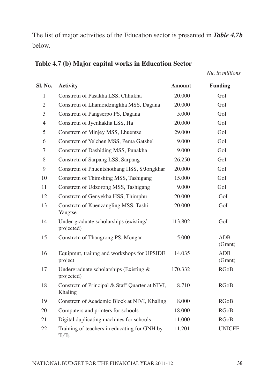The list of major activities of the Education sector is presented in *Table 4.7b* below.

| Sl. No.        | <b>Activity</b>                                             | <b>Amount</b> | <b>Funding</b>        |
|----------------|-------------------------------------------------------------|---------------|-----------------------|
| 1              | Constrctn of Pasakha LSS, Chhukha                           | 20.000        | GoI                   |
| $\mathfrak{2}$ | Constrctn of Lhamoidzingkha MSS, Dagana                     | 20.000        | GoI                   |
| 3              | Constrctn of Pangserpo PS, Dagana                           | 5.000         | GoI                   |
| $\overline{4}$ | Constrctn of Jyenkakha LSS, Ha                              | 20.000        | GoI                   |
| 5              | Constrctn of Minjey MSS, Lhuentse                           | 29.000        | GoI                   |
| 6              | Constrctn of Yelchen MSS, Pema Gatshel                      | 9.000         | GoI                   |
| 7              | Constrctn of Dashiding MSS, Punakha                         | 9.000         | GoI                   |
| 8              | Constrctn of Sarpang LSS, Sarpang                           | 26.250        | GoI                   |
| 9              | Constrctn of Phuentshothang HSS, S/Jongkhar                 | 20.000        | GoI                   |
| 10             | Constrctn of Thimshing MSS, Tashigang                       | 15.000        | GoI                   |
| 11             | Constrctn of Udzorong MSS, Tashigang                        | 9.000         | GoI                   |
| 12             | Constrctn of Genyekha HSS, Thimphu                          | 20.000        | GoI                   |
| 13             | Constrctn of Kuenzangling MSS, Tashi<br>Yangtse             | 20.000        | GoI                   |
| 14             | Under-graduate scholarships (existing/<br>projected)        | 113.802       | GoI                   |
| 15             | Constrctn of Thangrong PS, Mongar                           | 5.000         | <b>ADB</b><br>(Grant) |
| 16             | Equipmnt, training and workshops for UPSIDE<br>project      | 14.035        | <b>ADB</b><br>(Grant) |
| 17             | Undergraduate scholarships (Existing &<br>projected)        | 170.332       | <b>RGoB</b>           |
| 18             | Constrctn of Principal & Staff Quarter at NIVI,<br>Khaling  | 8.710         | <b>RGoB</b>           |
| 19             | Constrctn of Academic Block at NIVI, Khaling                | 8.000         | <b>RGoB</b>           |
| 20             | Computers and printers for schools                          | 18.000        | <b>RGoB</b>           |
| 21             | Digital duplicating machines for schools                    | 11.000        | <b>RGoB</b>           |
| 22             | Training of teachers in educating for GNH by<br><b>ToTs</b> | 11.201        | <b>UNICEF</b>         |

**Table 4.7 (b) Major capital works in Education Sector**

*Nu. in millions*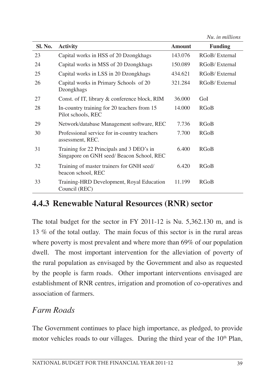*Nu. in millions*

| Sl. No. | <b>Activity</b>                                                                       | <b>Amount</b> | <b>Funding</b> |
|---------|---------------------------------------------------------------------------------------|---------------|----------------|
| 23      | Capital works in HSS of 20 Dzongkhags                                                 | 143.076       | RGoB/External  |
| 24      | Capital works in MSS of 20 Dzongkhags                                                 | 150.089       | RGoB/External  |
| 25      | Capital works in LSS in 20 Dzongkhags                                                 | 434.621       | RGoB/External  |
| 26      | Capital works in Primary Schools of 20<br>Dzongkhags                                  | 321.284       | RGoB/External  |
| 27      | Const. of IT, library & conference block, RIM                                         | 36,000        | GoI            |
| 28      | In-country training for 20 teachers from 15<br>Pilot schools, REC                     | 14.000        | <b>RGoB</b>    |
| 29      | Network/database Management software, REC                                             | 7.736         | <b>RGoB</b>    |
| 30      | Professional service for in-country teachers<br>assessment, REC.                      | 7.700         | <b>RGoB</b>    |
| 31      | Training for 22 Principals and 3 DEO's in<br>Singapore on GNH seed/Beacon School, REC | 6.400         | <b>RGoB</b>    |
| 32      | Training of master trainers for GNH seed/<br>beacon school, REC                       | 6.420         | <b>RGoB</b>    |
| 33      | Training-HRD Development, Royal Education<br>Council (REC)                            | 11.199        | RGoB           |

### **4.4.3 Renewable Natural Resources (RNR) sector**

The total budget for the sector in FY 2011-12 is Nu. 5,362.130 m, and is 13 % of the total outlay. The main focus of this sector is in the rural areas where poverty is most prevalent and where more than 69% of our population dwell. The most important intervention for the alleviation of poverty of the rural population as envisaged by the Government and also as requested by the people is farm roads. Other important interventions envisaged are establishment of RNR centres, irrigation and promotion of co-operatives and association of farmers.

#### *Farm Roads*

The Government continues to place high importance, as pledged, to provide motor vehicles roads to our villages. During the third year of the 10<sup>th</sup> Plan,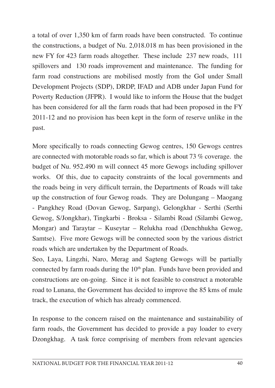a total of over 1,350 km of farm roads have been constructed. To continue the constructions, a budget of Nu. 2,018.018 m has been provisioned in the new FY for 423 farm roads altogether. These include 237 new roads, 111 spillovers and 130 roads improvement and maintenance. The funding for farm road constructions are mobilised mostly from the GoI under Small Development Projects (SDP), DRDP, IFAD and ADB under Japan Fund for Poverty Reduction (JFPR). I would like to inform the House that the budget has been considered for all the farm roads that had been proposed in the FY 2011-12 and no provision has been kept in the form of reserve unlike in the past.

More specifically to roads connecting Gewog centres, 150 Gewogs centres are connected with motorable roads so far, which is about 73 % coverage. the budget of Nu. 952.490 m will connect 45 more Gewogs including spillover works. Of this, due to capacity constraints of the local governments and the roads being in very difficult terrain, the Departments of Roads will take up the construction of four Gewog roads. They are Dolungang – Maogang - Pangkhey Road (Dovan Gewog, Sarpang), Gelongkhar - Serthi (Serthi Gewog, S/Jongkhar), Tingkarbi - Broksa - Silambi Road (Silambi Gewog, Mongar) and Taraytar – Kuseytar – Relukha road (Denchhukha Gewog, Samtse). Five more Gewogs will be connected soon by the various district roads which are undertaken by the Department of Roads.

Seo, Laya, Lingzhi, Naro, Merag and Sagteng Gewogs will be partially connected by farm roads during the  $10<sup>th</sup>$  plan. Funds have been provided and constructions are on-going. Since it is not feasible to construct a motorable road to Lunana, the Government has decided to improve the 85 kms of mule track, the execution of which has already commenced.

In response to the concern raised on the maintenance and sustainability of farm roads, the Government has decided to provide a pay loader to every Dzongkhag. A task force comprising of members from relevant agencies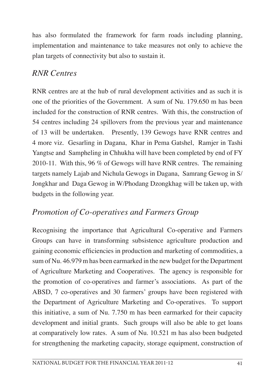has also formulated the framework for farm roads including planning, implementation and maintenance to take measures not only to achieve the plan targets of connectivity but also to sustain it.

# *RNR Centres*

RNR centres are at the hub of rural development activities and as such it is one of the priorities of the Government. A sum of Nu. 179.650 m has been included for the construction of RNR centres. With this, the construction of 54 centres including 24 spillovers from the previous year and maintenance of 13 will be undertaken. Presently, 139 Gewogs have RNR centres and 4 more viz. Gesarling in Dagana, Khar in Pema Gatshel, Ramjer in Tashi Yangtse and Sampheling in Chhukha will have been completed by end of FY 2010-11. With this, 96 % of Gewogs will have RNR centres. The remaining targets namely Lajab and Nichula Gewogs in Dagana, Samrang Gewog in S/ Jongkhar and Daga Gewog in W/Phodang Dzongkhag will be taken up, with budgets in the following year.

# *Promotion of Co-operatives and Farmers Group*

Recognising the importance that Agricultural Co-operative and Farmers Groups can have in transforming subsistence agriculture production and gaining economic efficiencies in production and marketing of commodities, a sum of Nu. 46.979 m has been earmarked in the new budget for the Department of Agriculture Marketing and Cooperatives. The agency is responsible for the promotion of co-operatives and farmer's associations. As part of the ABSD, 7 co-operatives and 30 farmers' groups have been registered with the Department of Agriculture Marketing and Co-operatives. To support this initiative, a sum of Nu. 7.750 m has been earmarked for their capacity development and initial grants. Such groups will also be able to get loans at comparatively low rates. A sum of Nu. 10.521 m has also been budgeted for strengthening the marketing capacity, storage equipment, construction of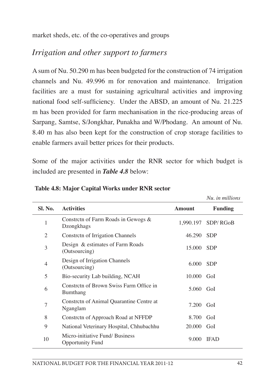market sheds, etc. of the co-operatives and groups

### *Irrigation and other support to farmers*

Asum of Nu. 50.290 m has been budgeted for the construction of 74 irrigation channels and Nu. 49.996 m for renovation and maintenance. Irrigation facilities are a must for sustaining agricultural activities and improving national food self-sufficiency. Under the ABSD, an amount of Nu. 21.225 m has been provided for farm mechanisation in the rice-producing areas of Sarpang, Samtse, S/Jongkhar, Punakha and W/Phodang. An amount of Nu. 8.40 m has also been kept for the construction of crop storage facilities to enable farmers avail better prices for their products.

Some of the major activities under the RNR sector for which budget is included are presented in *Table 4.8* below:

|                |                                                            |               | Nu. in millions    |
|----------------|------------------------------------------------------------|---------------|--------------------|
| Sl. No.        | <b>Activities</b>                                          | <b>Amount</b> | <b>Funding</b>     |
| 1              | Constrctn of Farm Roads in Gewogs &<br>Dzongkhags          |               | 1,990.197 SDP/RGoB |
| $\overline{c}$ | Constrctn of Irrigation Channels                           | 46.290        | <b>SDP</b>         |
| 3              | Design & estimates of Farm Roads<br>(Outsourcing)          | 15.000        | <b>SDP</b>         |
| 4              | Design of Irrigation Channels<br>(Outsourcing)             | 6.000         | <b>SDP</b>         |
| 5              | Bio-security Lab building, NCAH                            | 10.000        | GoI                |
| 6              | Constretn of Brown Swiss Farm Office in<br>Bumthang        | 5.060         | GoI                |
| 7              | Constrctn of Animal Quarantine Centre at<br>Nganglam       | 7.200         | GoI                |
| 8              | Constrctn of Approach Road at NFFDP                        | 8.700         | GoI                |
| 9              | National Veterinary Hospital, Chhubachhu                   | 20,000        | GoI                |
| 10             | Micro-initiative Fund/ Business<br><b>Opportunity Fund</b> | 9.000         | <b>IFAD</b>        |

**Table 4.8: Major Capital Works under RNR sector**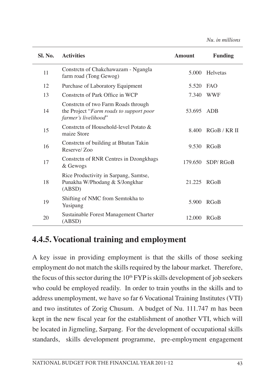*Nu. in millions*

| Sl. No. | <b>Activities</b>                                                                                      | <b>Amount</b> | <b>Funding</b> |
|---------|--------------------------------------------------------------------------------------------------------|---------------|----------------|
| 11      | Constrctn of Chakchawazam - Ngangla<br>farm road (Tong Gewog)                                          | 5.000         | Helvetas       |
| 12      | Purchase of Laboratory Equipment                                                                       | 5.520         | <b>FAO</b>     |
| 13      | Constretn of Park Office in WCP                                                                        | 7.340         | <b>WWF</b>     |
| 14      | Constrctn of two Farm Roads through<br>the Project "Farm roads to support poor<br>farmer's livelihood" | 53.695        | ADB            |
| 15      | Constrctn of Household-level Potato &<br>maize Store                                                   | 8.400         | RGoB/KRII      |
| 16      | Constrctn of building at Bhutan Takin<br>Reserve/Zoo                                                   | 9.530         | <b>RGoB</b>    |
| 17      | Constrctn of RNR Centres in Dzongkhags<br>& Gewogs                                                     | 179.650       | SDP/RGoB       |
| 18      | Rice Productivity in Sarpang, Samtse,<br>Punakha W/Phodang & S/Jongkhar<br>(ABSD)                      | 21.225        | <b>RGoB</b>    |
| 19      | Shifting of NMC from Semtokha to<br>Yusipang                                                           | 5.900         | <b>RGoB</b>    |
| 20      | Sustainable Forest Management Charter<br>(ABSD)                                                        | 12.000        | <b>RGoB</b>    |

### **4.4.5. Vocational training and employment**

A key issue in providing employment is that the skills of those seeking employment do not match the skills required by the labour market. Therefore, the focus of this sector during the  $10<sup>th</sup> FYP$  is skills development of job seekers who could be employed readily. In order to train youths in the skills and to address unemployment, we have so far 6 Vocational Training Institutes (VTI) and two institutes of Zorig Chusum. A budget of Nu. 111.747 m has been kept in the new fiscal year for the establishment of another VTI, which will be located in Jigmeling, Sarpang. For the development of occupational skills standards, skills development programme, pre-employment engagement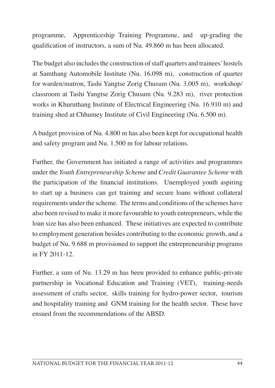programme, Apprenticeship Training Programme, and up-grading the qualification of instructors, a sum of Nu. 49.860 m has been allocated.

The budget also includes the construction of staff quarters and trainees' hostels at Samthang Automobile Institute (Nu. 16.098 m), construction of quarter for warden/matron, Tashi Yangtse Zorig Chusum (Nu. 3.005 m), workshop/ classroom at Tashi Yangtse Zorig Chusum (Nu. 9.283 m), river protection works in Khuruthang Institute of Electrical Engineering (Nu. 16.910 m) and training shed at Chhumey Institute of Civil Engineering (Nu. 6.500 m).

A budget provision of Nu. 4.800 m has also been kept for occupational health and safety program and Nu. 1.500 m for labour relations.

Further, the Government has initiated a range of activities and programmes under the *Youth Entrepreneurship Scheme* and *Credit Guarantee Scheme* with the participation of the financial institutions. Unemployed youth aspiring to start up a business can get training and secure loans without collateral requirements under the scheme. The terms and conditions of the schemes have also been revised to make it more favourable to youth entrepreneurs, while the loan size has also been enhanced. These initiatives are expected to contribute to employment generation besides contributing to the economic growth, and a budget of Nu. 9.688 m provisioned to support the entrepreneurship programs in FY 2011-12.

Further, a sum of Nu. 13.29 m has been provided to enhance public-private partnership in Vocational Education and Training (VET), training-needs assessment of crafts sector, skills training for hydro-power sector, tourism and hospitality training and GNM training for the health sector. These have ensued from the recommendations of the ABSD.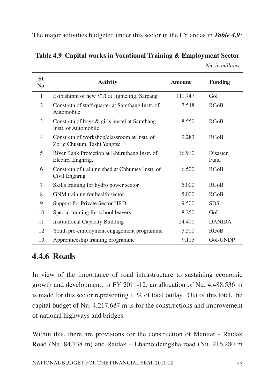The major activities budgeted under this sector in the FY are as in *Table 4.9:*

| SI.<br>No.     | <b>Activity</b>                                                             | <b>Amount</b> | <b>Funding</b>   |
|----------------|-----------------------------------------------------------------------------|---------------|------------------|
| 1              | Estblshmnt of new VTI at Jigmeling, Sarpang                                 | 111.747       | GoI              |
| $\mathfrak{D}$ | Constrctn of staff quarter at Samthang Instt. of<br>Automobile              | 7.548         | <b>RGoB</b>      |
| 3              | Constrctn of boys & girls hostel at Samthang<br>Instt. of Automobile        | 8.550         | <b>RGoB</b>      |
| 4              | Constretn of workshop/classroom at Instt. of<br>Zorig Chusum, Tashi Yangtse | 9.283         | <b>RGoB</b>      |
| 5              | River Bank Protection at Khuruthang Instt. of<br>Electrol Engnrng.          | 16.910        | Disaster<br>Fund |
| 6              | Constrctn of training shed at Chhumey Instt. of<br>Civil Engnrng            | 6.500         | <b>RGoB</b>      |
| 7              | Skills training for hydro power sector                                      | 5.000         | <b>RGoB</b>      |
| 8              | GNM training for health sector                                              | 5.000         | <b>RGoB</b>      |
| 9              | <b>Support for Private Sector HRD</b>                                       | 9.500         | <b>SDS</b>       |
| 10             | Special training for school leavers                                         | 8.250         | GoI              |
| 11             | <b>Institutional Capacity Building</b>                                      | 24.400        | <b>DANIDA</b>    |
| 12             | Youth pre-employment engagement programme                                   | 5.500         | <b>RGoB</b>      |
| 13             | Apprenticeship training programme                                           | 9.115         | GoI/UNDP         |

**Table 4.9 Capital works in Vocational Training & Employment Sector** *Nu. in millions*

# **4.4.6 Roads**

In view of the importance of road infrastructure to sustaining economic growth and development, in FY 2011-12, an allocation of Nu. 4,488.536 m is made for this sector representing 11% of total outlay. Out of this total, the capital budget of Nu. 4,217.687 m is for the constructions and improvement of national highways and bridges.

Within this, there are provisions for the construction of Manitar - Raidak Road (Nu. 84.738 m) and Raidak – Lhamoidzingkha road (Nu. 216.280 m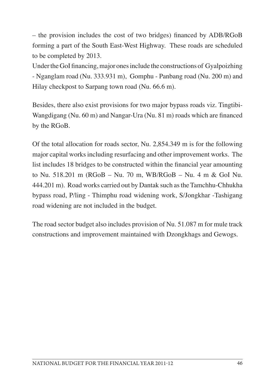– the provision includes the cost of two bridges) financed by ADB/RGoB forming a part of the South East-West Highway. These roads are scheduled to be completed by 2013.

Under the GoI financing, major ones include the constructions of Gyalpoizhing - Nganglam road (Nu. 333.931 m), Gomphu - Panbang road (Nu. 200 m) and Hilay checkpost to Sarpang town road (Nu. 66.6 m).

Besides, there also exist provisions for two major bypass roads viz. Tingtibi-Wangdigang (Nu. 60 m) and Nangar-Ura (Nu. 81 m) roads which are financed by the RGoB.

Of the total allocation for roads sector, Nu. 2,854.349 m is for the following major capital works including resurfacing and other improvement works. The list includes 18 bridges to be constructed within the financial year amounting to Nu. 518.201 m (RGoB – Nu. 70 m, WB/RGoB – Nu. 4 m & GoI Nu. 444.201 m). Road works carried out by Dantak such asthe Tamchhu-Chhukha bypass road, P/ling - Thimphu road widening work, S/Jongkhar -Tashigang road widening are not included in the budget.

The road sector budget also includes provision of Nu. 51.087 m for mule track constructions and improvement maintained with Dzongkhags and Gewogs.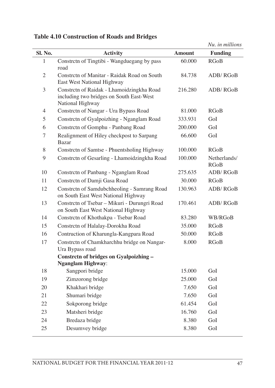|               |                                                                                                           |               | Nu, in millions      |
|---------------|-----------------------------------------------------------------------------------------------------------|---------------|----------------------|
| Sl. No.       | <b>Activity</b>                                                                                           | <b>Amount</b> | <b>Funding</b>       |
| 1             | Constrctn of Tingtibi - Wangduegang by pass<br>road                                                       | 60.000        | <b>RGoB</b>          |
| 2             | Constrctn of Manitar - Raidak Road on South<br>East West National Highway                                 | 84.738        | ADB/RGoB             |
| 3             | Constrctn of Raidak - Lhamoidzingkha Road<br>including two bridges on South East-West<br>National Highway | 216.280       | ADB/RGoB             |
| 4             | Constrctn of Nangar - Ura Bypass Road                                                                     | 81.000        | <b>RGoB</b>          |
| $\mathfrak s$ | Constrctn of Gyalpoizhing - Nganglam Road                                                                 | 333.931       | GoI                  |
| 6             | Constrctn of Gomphu - Panbang Road                                                                        | 200.000       | GoI                  |
| 7             | Realignment of Hiley checkpost to Sarpang<br><b>Bazar</b>                                                 | 66.600        | GoI                  |
| 8             | Constrctn of Samtse - Phuentsholing Highway                                                               | 100.000       | <b>RGoB</b>          |
| 9             | Constrctn of Gesarling - Lhamoidzingkha Road                                                              | 100.000       | Netherlands/<br>RGoB |
| 10            | Constrctn of Panbang - Nganglam Road                                                                      | 275.635       | ADB/RGoB             |
| 11            | Constrctn of Damji Gasa Road                                                                              | 30.000        | <b>RGoB</b>          |
| 12            | Constrctn of Samdubchheoling - Samrang Road<br>on South East West National Highway                        | 130.963       | ADB/RGoB             |
| 13            | Constrctn of Tsebar - Mikuri - Durungri Road<br>on South East West National Highway                       | 170.461       | ADB/RGoB             |
| 14            | Constrctn of Khothakpa - Tsebar Road                                                                      | 83.280        | WB/RGoB              |
| 15            | Constrctn of Halalay-Dorokha Road                                                                         | 35,000        | RGoB                 |
| 16            | Contruction of Kharungla-Kangpara Road                                                                    | 50.000        | <b>RGoB</b>          |
| 17            | Constrctn of Chamkharchhu bridge on Nangar-<br>Ura Bypass road                                            | 8.000         | <b>RGoB</b>          |
|               | Constrctn of bridges on Gyalpoizhing -                                                                    |               |                      |
|               | <b>Nganglam Highway:</b>                                                                                  |               |                      |
| 18            | Sangpori bridge                                                                                           | 15.000        | GoI                  |
| 19            | Zimzorong bridge                                                                                          | 25.000        | GoI                  |
| 20            | Khakhari bridge                                                                                           | 7.650         | GoI                  |
| 21            | Shumari bridge                                                                                            | 7.650         | GoI                  |
| 22            | Sokporong bridge                                                                                          | 61.454        | GoI                  |
| 23            | Matsheri bridge                                                                                           | 16.760        | GoI                  |
| 24            | Bredaza bridge                                                                                            | 8.380         | GoI                  |
| 25            | Desumvey bridge                                                                                           | 8.380         | GoI                  |

**Table 4.10 Construction of Roads and Bridges**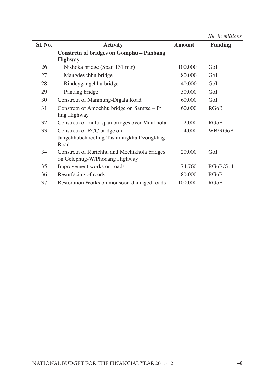*Nu. in millions*

| Sl. No. | <b>Activity</b>                                                                 | <b>Amount</b> | <b>Funding</b> |
|---------|---------------------------------------------------------------------------------|---------------|----------------|
|         | <b>Constrctn of bridges on Gomphu - Panbang</b>                                 |               |                |
|         | <b>Highway</b>                                                                  |               |                |
| 26      | Nishoka bridge (Span 151 mtr)                                                   | 100.000       | GoI            |
| 27      | Mangdeychhu bridge                                                              | 80.000        | GoI            |
| 28      | Rindeygangchhu bridge                                                           | 40.000        | GoI            |
| 29      | Pantang bridge                                                                  | 50.000        | GoI            |
| 30      | Constrctn of Manmung-Digala Road                                                | 60.000        | GoI            |
| 31      | Constrctn of Amochhu bridge on Samtse $- P$ /<br>ling Highway                   | 60.000        | <b>RGoB</b>    |
| 32      | Constrctn of multi-span bridges over Maukhola                                   | 2.000         | <b>RGoB</b>    |
| 33      | Constretn of RCC bridge on<br>Jangchhubchheoling-Tashidingkha Dzongkhag<br>Road | 4.000         | WB/RGoB        |
| 34      | Constrctn of Rurichhu and Mechikhola bridges<br>on Gelephug-W/Phodang Highway   | 20.000        | GoI            |
| 35      | Improvement works on roads                                                      | 74.760        | RGoB/GoI       |
| 36      | Resurfacing of roads                                                            | 80.000        | <b>RGoB</b>    |
| 37      | Restoration Works on monsoon-damaged roads                                      | 100.000       | <b>RGoB</b>    |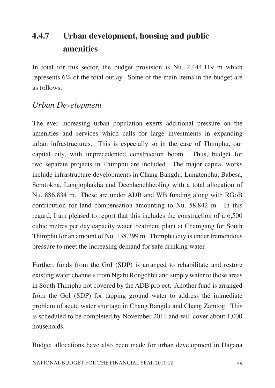# **4.4.7 Urban development, housing and public amenities**

In total for this sector, the budget provision is Nu. 2,444.119 m which represents 6% of the total outlay. Some of the main items in the budget are as follows:

# *Urban Development*

The ever increasing urban population exerts additional pressure on the amenities and services which calls for large investments in expanding urban infrastructures. This is especially so in the case of Thimphu, our capital city, with unprecedented construction boom. Thus, budget for two separate projects in Thimphu are included. The major capital works include infrastructure developments in Chang Bangdu, Lungtenphu, Babesa, Semtokha, Langjophakha and Dechhenchheoling with a total allocation of Nu. 886.834 m. These are under ADB and WB funding along with RGoB contribution for land compensation amounting to Nu. 58.842 m. In this regard, I am pleased to report that this includes the construction of a 6,500 cubic metres per day capacity water treatment plant at Chamgang for South Thimphu for an amount of Nu. 138.299 m. Thimphu city is under tremendous pressure to meet the increasing demand for safe drinking water.

Further, funds from the GoI (SDP) is arranged to rehabilitate and restore existing water channels from Ngabi Rongchhu and supply water to those areas in South Thimphu not covered by the ADB project. Another fund is arranged from the GoI (SDP) for tapping ground water to address the immediate problem of acute water shortage in Chang Bangdu and Chang Zamtog. This is scheduled to be completed by November 2011 and will cover about 1,000 households.

Budget allocations have also been made for urban development in Dagana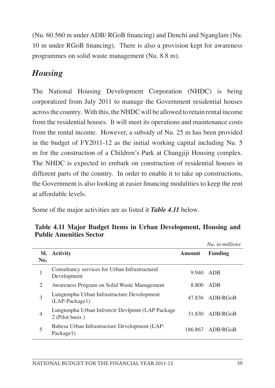(Nu. 60.560 m under ADB/ RGoB financing) and Denchi and Nganglam (Nu. 10 m under RGoB financing). There is also a provision kept for awareness programmes on solid waste management (Nu. 8.8 m).

# *Housing*

The National Housing Development Corporation (NHDC) is being corporatized from July 2011 to manage the Government residential houses acrossthe country. With this, the NHDC will be allowed to retain rental income from the residential houses. It will meet its operations and maintenance costs from the rental income. However, a subsidy of Nu. 25 m has been provided in the budget of FY2011-12 as the initial working capital including Nu. 5 m for the construction of a Children's Park at Changjiji Housing complex. The NHDC is expected to embark on construction of residential houses in different parts of the country. In order to enable it to take up constructions, the Government is also looking at easier financing modalities to keep the rent at affordable levels.

Some of the major activities are as listed it *Table 4.11* below.

|                |                                                                      |        | Nu, in millions  |
|----------------|----------------------------------------------------------------------|--------|------------------|
| SI.<br>No.     | <b>Activity</b>                                                      | Amount | <b>Funding</b>   |
| 1              | Consultancy services for Urban Infrastructural<br>Development        | 9.940  | ADB              |
| 2              | Awareness Program on Solid Waste Management                          | 8.800  | ADB              |
| 3              | Lungtenphu Urban Infrastructure Development<br>(LAP-Package1)        |        | 47.836 ADB/RGoB  |
| $\overline{4}$ | Lungtenphu Urban Infrstrctr Devlpmnt (LAP Package<br>2 (Pilot basis) | 31.830 | ADB/RGoB         |
| 5              | Babesa Urban Infrastructure Development (LAP-<br>Package1)           |        | 186.867 ADB/RGoB |

**Table 4.11 Major Budget Items in Urban Development, Housing and Public Amenities Sector**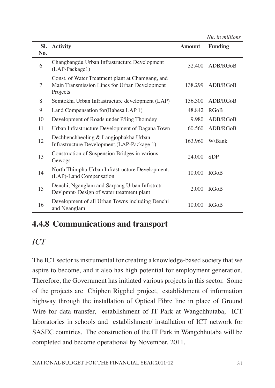*Nu. in millions*

| SI.<br>No. | <b>Activity</b>                                                                                               | <b>Amount</b> | <b>Funding</b> |
|------------|---------------------------------------------------------------------------------------------------------------|---------------|----------------|
| 6          | Changbangdu Urban Infrastructure Development<br>(LAP-Package1)                                                | 32.400        | ADB/RGoB       |
| 7          | Const. of Water Treatment plant at Chamgang, and<br>Main Transmission Lines for Urban Development<br>Projects | 138.299       | ADB/RGoB       |
| 8          | Semtokha Urban Infrastructure development (LAP)                                                               | 156.300       | ADB/RGoB       |
| 9          | Land Compensation for (Babesa LAP 1)                                                                          | 48.842        | <b>RGoB</b>    |
| 10         | Development of Roads under P/ling Thomdey                                                                     | 9.980         | ADB/RGoB       |
| 11         | Urban Infrastructure Development of Dagana Town                                                               | 60.560        | ADB/RGoB       |
| 12         | Dechhenchheoling & Langjophakha Urban<br>Infrastructure Development.(LAP-Package 1)                           | 163.960       | W/Bank         |
| 13         | Construction of Suspension Bridges in various<br>Gewogs                                                       | 24,000        | <b>SDP</b>     |
| 14         | North Thimphu Urban Infrastructure Development.<br>(LAP)-Land Compensation                                    | 10.000        | RGoB           |
| 15         | Denchi, Nganglam and Sarpang Urban Infrstrctr<br>Devlpmnt- Design of water treatment plant                    | 2.000         | RGoB           |
| 16         | Development of all Urban Towns including Denchi<br>and Nganglam                                               | 10.000        | <b>RGoB</b>    |

# **4.4.8 Communications and transport**

# *ICT*

The ICT sector is instrumental for creating a knowledge-based society that we aspire to become, and it also has high potential for employment generation. Therefore, the Government has initiated various projects in this sector. Some of the projects are Chiphen Rigphel project, establishment of information highway through the installation of Optical Fibre line in place of Ground Wire for data transfer, establishment of IT Park at Wangchhutaba, ICT laboratories in schools and establishment/ installation of ICT network for SASEC countries. The construction of the IT Park in Wangchhutaba will be completed and become operational by November, 2011.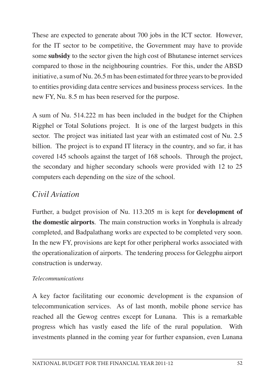These are expected to generate about 700 jobs in the ICT sector. However, for the IT sector to be competitive, the Government may have to provide some **subsidy** to the sector given the high cost of Bhutanese internet services compared to those in the neighbouring countries. For this, under the ABSD initiative, a sum of Nu. 26.5 m has been estimated for three years to be provided to entities providing data centre services and business process services. In the new FY, Nu. 8.5 m has been reserved for the purpose.

A sum of Nu. 514.222 m has been included in the budget for the Chiphen Rigphel or Total Solutions project. It is one of the largest budgets in this sector. The project was initiated last year with an estimated cost of Nu. 2.5 billion. The project is to expand IT literacy in the country, and so far, it has covered 145 schools against the target of 168 schools. Through the project, the secondary and higher secondary schools were provided with 12 to 25 computers each depending on the size of the school.

### *Civil Aviation*

Further, a budget provision of Nu. 113.205 m is kept for **development of the domestic airports**. The main construction works in Yonphula is already completed, and Badpalathang works are expected to be completed very soon. In the new FY, provisions are kept for other peripheral works associated with the operationalization of airports. The tendering process for Gelegphu airport construction is underway.

#### *Telecommunications*

A key factor facilitating our economic development is the expansion of telecommunication services. As of last month, mobile phone service has reached all the Gewog centres except for Lunana. This is a remarkable progress which has vastly eased the life of the rural population. With investments planned in the coming year for further expansion, even Lunana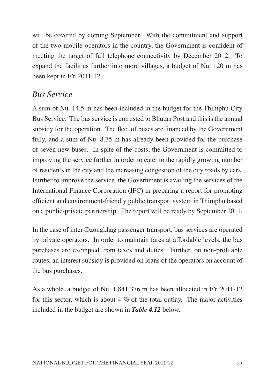will be covered by coming September. With the commitment and support of the two mobile operators in the country, the Government is confident of meeting the target of full telephone connectivity by December 2012. To expand the facilities further into more villages, a budget of Nu. 120 m has been kept in FY 2011-12.

#### *Bus Service*

A sum of Nu. 14.5 m has been included in the budget for the Thimphu City Bus Service. The bus service is entrusted to Bhutan Post and this is the annual subsidy for the operation. The fleet of buses are financed by the Government fully, and a sum of Nu. 8.75 m has already been provided for the purchase of seven new buses. In spite of the costs, the Government is committed to improving the service further in order to cater to the rapidly growing number of residents in the city and the increasing congestion of the city roads by cars. Further to improve the service, the Government is availing the services of the International Finance Corporation (IFC) in preparing a report for promoting efficient and environment-friendly public transport system in Thimphu based on a public-private partnership. The report will be ready by September 2011.

In the case of inter-Dzongkhag passenger transport, bus services are operated by private operators. In order to maintain fares at affordable levels, the bus purchases are exempted from taxes and duties. Further, on non-profitable routes, an interest subsidy is provided on loans of the operators on account of the bus purchases.

As a whole, a budget of Nu. 1,841.376 m has been allocated in FY 2011-12 for this sector, which is about 4  $\%$  of the total outlay. The major activities included in the budget are shown in *Table 4.12* below.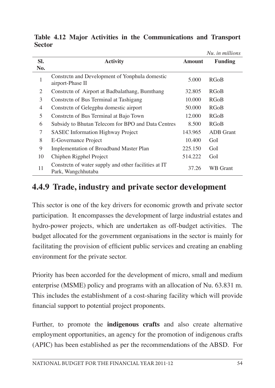|     |                                                                            |               | Nu. in millions  |
|-----|----------------------------------------------------------------------------|---------------|------------------|
| SI. | <b>Activity</b>                                                            | <b>Amount</b> | <b>Funding</b>   |
| No. |                                                                            |               |                  |
| 1   | Constrctn and Development of Yonphula domestic<br>airport-Phase II         | 5.000         | RGoB             |
| 2   | Constrctn of Airport at Badbalathang, Bumthang                             | 32.805        | RGoB             |
| 3   | Constrctn of Bus Terminal at Tashigang                                     | 10.000        | RGoB             |
| 4   | Constrctn of Gelegphu domestic airport                                     | 50.000        | RGoB             |
| 5   | Constreth of Bus Terminal at Bajo Town                                     | 12.000        | RGoB             |
| 6   | Subsidy to Bhutan Telecom for BPO and Data Centres                         | 8.500         | <b>RGoB</b>      |
| 7   | <b>SASEC</b> Information Highway Project                                   | 143.965       | <b>ADB</b> Grant |
| 8   | <b>E-Governance Project</b>                                                | 10.400        | GoI              |
| 9   | Implementation of Broadband Master Plan                                    | 225.150       | GoI              |
| 10  | Chiphen Rigphel Project                                                    | 514.222       | GoI              |
| 11  | Constrctn of water supply and other facilities at IT<br>Park, Wangchhutaba | 37.26         | WB Grant         |

**Table 4.12 Major Activities in the Communications and Transport Sector**

### **4.4.9 Trade, industry and private sector development**

This sector is one of the key drivers for economic growth and private sector participation. It encompasses the development of large industrial estates and hydro-power projects, which are undertaken as off-budget activities. The budget allocated for the government organisations in the sector is mainly for facilitating the provision of efficient public services and creating an enabling environment for the private sector.

Priority has been accorded for the development of micro, small and medium enterprise (MSME) policy and programs with an allocation of Nu. 63.831 m. This includes the establishment of a cost-sharing facility which will provide financial support to potential project proponents.

Further, to promote the **indigenous crafts** and also create alternative employment opportunities, an agency for the promotion of indigenous crafts (APIC) has been established as per the recommendations of the ABSD. For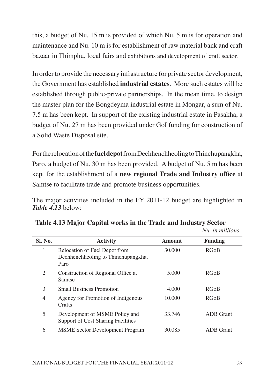this, a budget of Nu. 15 m is provided of which Nu. 5 m is for operation and maintenance and Nu. 10 m is for establishment of raw material bank and craft bazaar in Thimphu, local fairs and exhibitions and development of craft sector.

In order to provide the necessary infrastructure for private sector development, the Government has established **industrial estates**. More such estates will be established through public-private partnerships. In the mean time, to design the master plan for the Bongdeyma industrial estate in Mongar, a sum of Nu. 7.5 m has been kept. In support of the existing industrial estate in Pasakha, a budget of Nu. 27 m has been provided under GoI funding for construction of a Solid Waste Disposal site.

Fortherelocationofthe**fuel depot**fromDechhenchheolingtoThinchupangkha, Paro, a budget of Nu. 30 m has been provided. A budget of Nu. 5 m has been kept for the establishment of a **new regional Trade and Industry office** at Samtse to facilitate trade and promote business opportunities.

The major activities included in the FY 2011-12 budget are highlighted in *Table 4.13* below:

| <b>Activity</b>                                                              | Amount | <b>Funding</b>   |
|------------------------------------------------------------------------------|--------|------------------|
| Relocation of Fuel Depot from<br>Dechhenchheoling to Thinchupangkha,<br>Paro | 30,000 | <b>RGoB</b>      |
| Construction of Regional Office at<br>Samtse                                 | 5.000  | <b>RGoB</b>      |
| <b>Small Business Promotion</b>                                              | 4.000  | <b>RGoB</b>      |
| Agency for Promotion of Indigenous<br>Crafts                                 | 10.000 | <b>RGoB</b>      |
| Development of MSME Policy and<br><b>Support of Cost Sharing Facilities</b>  | 33.746 | <b>ADB</b> Grant |
| <b>MSME</b> Sector Development Program                                       | 30.085 | <b>ADB</b> Grant |
|                                                                              |        |                  |

#### **Table 4.13 Major Capital works in the Trade and Industry Sector** *Nu. in millions*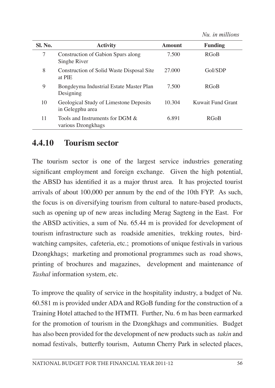*Nu. in millions*

| Sl. No. | <b>Activity</b>                                            | Amount | <b>Funding</b>    |
|---------|------------------------------------------------------------|--------|-------------------|
| 7       | Construction of Gabion Spurs along<br>Singhe River         | 7.500  | <b>RGoB</b>       |
| 8       | Construction of Solid Waste Disposal Site<br>at PIE        | 27.000 | GoI/SDP           |
| 9       | Bongdeyma Industrial Estate Master Plan<br>Designing       | 7.500  | <b>RGoB</b>       |
| 10      | Geological Study of Limestone Deposits<br>in Gelegphu area | 10.304 | Kuwait Fund Grant |
| 11      | Tools and Instruments for DGM &<br>various Dzongkhags      | 6.891  | <b>RGoB</b>       |

#### **4.4.10 Tourism sector**

The tourism sector is one of the largest service industries generating significant employment and foreign exchange. Given the high potential, the ABSD has identified it as a major thrust area. It has projected tourist arrivals of about 100,000 per annum by the end of the 10th FYP. As such, the focus is on diversifying tourism from cultural to nature-based products, such as opening up of new areas including Merag Sagteng in the East. For the ABSD activities, a sum of Nu. 65.44 m is provided for development of tourism infrastructure such as roadside amenities, trekking routes, birdwatching campsites, cafeteria, etc.; promotions of unique festivals in various Dzongkhags; marketing and promotional programmes such as road shows, printing of brochures and magazines, development and maintenance of *Tashal* information system, etc.

To improve the quality of service in the hospitality industry, a budget of Nu. 60.581 m is provided under ADA and RGoB funding for the construction of a Training Hotel attached to the HTMTI. Further, Nu. 6 m has been earmarked for the promotion of tourism in the Dzongkhags and communities. Budget has also been provided for the development of new productssuch as *takin* and nomad festivals, butterfly tourism, Autumn Cherry Park in selected places,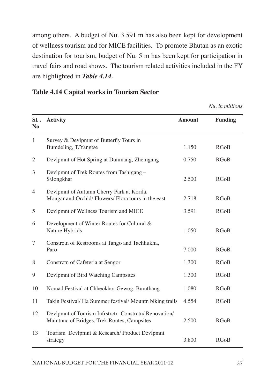among others. A budget of Nu. 3.591 m has also been kept for development of wellness tourism and for MICE facilities. To promote Bhutan as an exotic destination for tourism, budget of Nu. 5 m has been kept for participation in travel fairs and road shows. The tourism related activities included in the FY are highlighted in *Table 4.14.*

#### **Table 4.14 Capital works in Tourism Sector**

*Nu. in millions* 

| SL.<br>N <sub>o</sub> | <b>Activity</b>                                                                                       | <b>Amount</b> | <b>Funding</b> |
|-----------------------|-------------------------------------------------------------------------------------------------------|---------------|----------------|
| $\mathbf{1}$          | Survey & Devlpmnt of Butterfly Tours in<br>Bumdeling, T/Yangtse                                       | 1.150         | <b>RGoB</b>    |
| $\overline{2}$        | Devlpmnt of Hot Spring at Dunmang, Zhemgang                                                           | 0.750         | <b>RGoB</b>    |
| 3                     | Devlpmnt of Trek Routes from Tashigang -<br>S/Jongkhar                                                | 2.500         | <b>RGoB</b>    |
| 4                     | Devlpmnt of Autumn Cherry Park at Korila,<br>Mongar and Orchid/Flowers/Flora tours in the east        | 2.718         | <b>RGoB</b>    |
| 5                     | Devlpmnt of Wellness Tourism and MICE                                                                 | 3.591         | <b>RGoB</b>    |
| 6                     | Development of Winter Routes for Cultural &<br>Nature Hybrids                                         | 1.050         | <b>RGoB</b>    |
| 7                     | Constrctn of Restrooms at Tango and Tachhukha,<br>Paro                                                | 7.000         | <b>RGoB</b>    |
| 8                     | Constrctn of Cafeteria at Sengor                                                                      | 1.300         | <b>RGoB</b>    |
| 9                     | Devlpmnt of Bird Watching Campsites                                                                   | 1.300         | <b>RGoB</b>    |
| 10                    | Nomad Festival at Chheokhor Gewog, Bumthang                                                           | 1.080         | <b>RGoB</b>    |
| 11                    | Takin Festival/ Ha Summer festival/ Mountn biking trails                                              | 4.554         | <b>RGoB</b>    |
| 12                    | Devlpmnt of Tourism Infrstrctr- Constrctn/ Renovation/<br>Maintnnc of Bridges, Trek Routes, Campsites | 2.500         | <b>RGoB</b>    |
| 13                    | Tourism Devlpmnt & Research/ Product Devlpmnt<br>strategy                                             | 3.800         | <b>RGoB</b>    |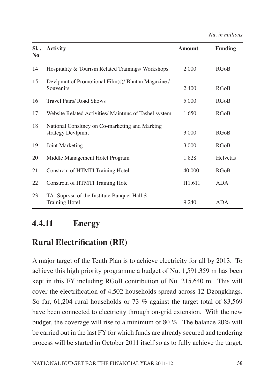*Nu. in millions* 

| SL.<br>N <sub>0</sub> | <b>Activity</b>                                                         | <b>Amount</b> | <b>Funding</b> |
|-----------------------|-------------------------------------------------------------------------|---------------|----------------|
| 14                    | Hospitality & Tourism Related Trainings/Workshops                       | 2.000         | <b>RGoB</b>    |
| 15                    | Devlpmnt of Promotional Film(s)/ Bhutan Magazine /<br>Souvenirs         | 2.400         | <b>RGoB</b>    |
| 16                    | Travel Fairs/ Road Shows                                                | 5.000         | <b>RGoB</b>    |
| 17                    | Website Related Activities/ Maintnnc of Tashel system                   | 1.650         | <b>RGoB</b>    |
| 18                    | National Consltncy on Co-marketing and Marktng<br>strategy Devlpmnt     | 3.000         | <b>RGoB</b>    |
| 19                    | Joint Marketing                                                         | 3.000         | <b>RGoB</b>    |
| 20                    | Middle Management Hotel Program                                         | 1.828         | Helvetas       |
| 21                    | Constrctn of HTMTI Training Hotel                                       | 40.000        | <b>RGoB</b>    |
| 22                    | Constrctn of HTMTI Training Hote                                        | 111.611       | <b>ADA</b>     |
| 23                    | TA- Suprvsn of the Institute Banquet Hall $\&$<br><b>Training Hotel</b> | 9.240         | <b>ADA</b>     |

### **4.4.11 Energy**

# **Rural Electrification (RE)**

A major target of the Tenth Plan is to achieve electricity for all by 2013. To achieve this high priority programme a budget of Nu. 1,591.359 m has been kept in this FY including RGoB contribution of Nu. 215.640 m. This will cover the electrification of 4,502 households spread across 12 Dzongkhags. So far, 61,204 rural households or 73 % against the target total of 83,569 have been connected to electricity through on-grid extension. With the new budget, the coverage will rise to a minimum of 80 %. The balance 20% will be carried out in the last FY for which funds are already secured and tendering process will be started in October 2011 itself so as to fully achieve the target.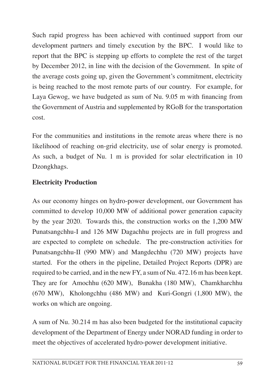Such rapid progress has been achieved with continued support from our development partners and timely execution by the BPC. I would like to report that the BPC is stepping up efforts to complete the rest of the target by December 2012, in line with the decision of the Government. In spite of the average costs going up, given the Government's commitment, electricity is being reached to the most remote parts of our country. For example, for Laya Gewog, we have budgeted as sum of Nu. 9.05 m with financing from the Government of Austria and supplemented by RGoB for the transportation cost.

For the communities and institutions in the remote areas where there is no likelihood of reaching on-grid electricity, use of solar energy is promoted. As such, a budget of Nu. 1 m is provided for solar electrification in 10 Dzongkhags.

#### **Electricity Production**

As our economy hinges on hydro-power development, our Government has committed to develop 10,000 MW of additional power generation capacity by the year 2020. Towards this, the construction works on the 1,200 MW Punatsangchhu-I and 126 MW Dagachhu projects are in full progress and are expected to complete on schedule. The pre-construction activities for Punatsangchhu-II (990 MW) and Mangdechhu (720 MW) projects have started. For the others in the pipeline, Detailed Project Reports (DPR) are required to be carried, and in the new FY, a sum of Nu. 472.16 m has been kept. They are for Amochhu (620 MW), Bunakha (180 MW), Chamkharchhu (670 MW), Kholongchhu (486 MW) and Kuri-Gongri (1,800 MW), the works on which are ongoing.

A sum of Nu. 30.214 m has also been budgeted for the institutional capacity development of the Department of Energy under NORAD funding in order to meet the objectives of accelerated hydro-power development initiative.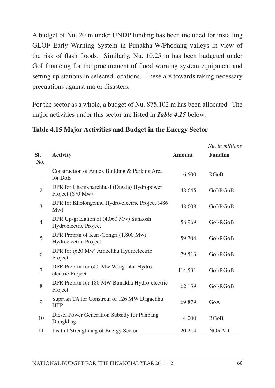A budget of Nu. 20 m under UNDP funding has been included for installing GLOF Early Warning System in Punakha-W/Phodang valleys in view of the risk of flash floods. Similarly, Nu. 10.25 m has been budgeted under GoI financing for the procurement of flood warning system equipment and setting up stations in selected locations. These are towards taking necessary precautions against major disasters.

For the sector as a whole, a budget of Nu. 875.102 m has been allocated. The major activities under this sector are listed in *Table 4.15* below.

|                |                                                                 |               | Nu, in millions |
|----------------|-----------------------------------------------------------------|---------------|-----------------|
| SI.<br>No.     | <b>Activity</b>                                                 | <b>Amount</b> | <b>Funding</b>  |
| $\mathbf{1}$   | Construction of Annex Building & Parking Area<br>for DoE        | 6.500         | <b>RGoB</b>     |
| $\overline{2}$ | DPR for Chamkharchhu-I (Digala) Hydropower<br>Project (670 Mw)  | 48.645        | GoI/RGoB        |
| 3              | DPR for Kholongchhu Hydro-electric Project (486<br>Mw)          | 48.608        | GoI/RGoB        |
| 4              | DPR Up-gradation of (4,060 Mw) Sunkosh<br>Hydroelectric Project | 58.969        | GoI/RGoB        |
| 5              | DPR Preprtn of Kuri-Gongri (1,800 Mw)<br>Hydroelectric Project  | 59.704        | GoI/RGoB        |
| 6              | DPR for (620 Mw) Amochhu Hydroelectric<br>Project               | 79.513        | GoI/RGoB        |
| 7              | DPR Preprtn for 600 Mw Wangchhu Hydro-<br>electric Project      | 114.531       | GoI/RGoB        |
| 8              | DPR Preprtn for 180 MW Bunakha Hydro-electric<br>Project        | 62.139        | GoI/RGoB        |
| 9              | Suprvsn TA for Constrctn of 126 MW Dagachhu<br><b>HEP</b>       | 69.879        | GoA             |
| 10             | Diesel Power Generation Subsidy for Panbang<br>Dungkhag         | 4.000         | <b>RGoB</b>     |
| 11             | Institul Strengthnng of Energy Sector                           | 20.214        | <b>NORAD</b>    |

#### **Table 4.15 Major Activities and Budget in the Energy Sector**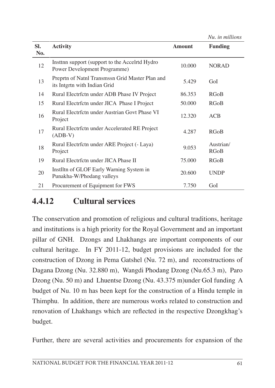| SI.<br>No. | <b>Activity</b>                                                                 | <b>Amount</b> | <b>Funding</b>    |
|------------|---------------------------------------------------------------------------------|---------------|-------------------|
| 12         | Insttnn support (support to the Accelrtd Hydro<br>Power Development Programme)  | 10.000        | <b>NORAD</b>      |
| 13         | Preprtn of Natnl Transmssn Grid Master Plan and<br>its Intgrtn with Indian Grid | 5.429         | GoI               |
| 14         | Rural Electrfctn under ADB Phase IV Project                                     | 86.353        | RGoB              |
| 15         | Rural Electrfctn under JICA Phase I Project                                     | 50.000        | RGoB              |
| 16         | Rural Electrfctn under Austrian Govt Phase VI<br>Project                        | 12.320        | ACB               |
| 17         | Rural Electrictn under Accelerated RE Project<br>$(ADB-V)$                      | 4.287         | RGoB              |
| 18         | Rural Electrfctn under ARE Project (- Laya)<br>Project                          | 9.053         | Austrian/<br>RGoB |
| 19         | Rural Electrfctn under JICA Phase II                                            | 75.000        | <b>RGoB</b>       |
| 20         | Instiltn of GLOF Early Warning System in<br>Punakha-W/Phodang valleys           | 20.600        | <b>UNDP</b>       |
| 21         | Procurement of Equipment for FWS                                                | 7.750         | GoI               |

### **4.4.12 Cultural services**

The conservation and promotion of religious and cultural traditions, heritage and institutions is a high priority for the Royal Government and an important pillar of GNH. Dzongs and Lhakhangs are important components of our cultural heritage. In FY 2011-12, budget provisions are included for the construction of Dzong in Pema Gatshel (Nu. 72 m), and reconstructions of Dagana Dzong (Nu. 32.880 m), Wangdi Phodang Dzong (Nu.65.3 m), Paro Dzong (Nu. 50 m) and Lhuentse Dzong (Nu. 43.375 m)under GoI funding A budget of Nu. 10 m has been kept for the construction of a Hindu temple in Thimphu. In addition, there are numerous works related to construction and renovation of Lhakhangs which are reflected in the respective Dzongkhag's budget.

Further, there are several activities and procurements for expansion of the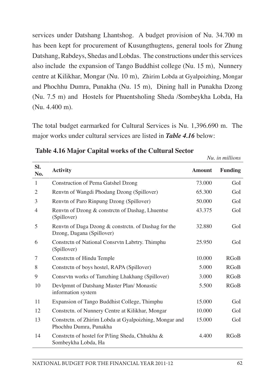services under Datshang Lhantshog. A budget provision of Nu. 34.700 m has been kept for procurement of Kusungthugtens, general tools for Zhung Datshang, Rabdeys, Shedas and Lobdas. The constructions under this services also include the expansion of Tango Buddhist college (Nu. 15 m), Nunnery centre at Kilikhar, Mongar (Nu. 10 m), Zhirim Lobda at Gyalpoizhing, Mongar and Phochhu Dumra, Punakha (Nu. 15 m), Dining hall in Punakha Dzong (Nu. 7.5 m) and Hostels for Phuentsholing Sheda /Sombeykha Lobda, Ha (Nu. 4.400 m).

The total budget earmarked for Cultural Services is Nu. 1,396.690 m. The major works under cultural services are listed in *Table 4.16* below:

|                |                                                                                  |               | <i>Nu. in millions</i> |
|----------------|----------------------------------------------------------------------------------|---------------|------------------------|
| SI.<br>No.     | <b>Activity</b>                                                                  | <b>Amount</b> | <b>Funding</b>         |
| 1              | <b>Construction of Pema Gatshel Dzong</b>                                        | 73.000        | GoI                    |
| 2              | Renvtn of Wangdi Phodang Dzong (Spillover)                                       | 65.300        | GoI                    |
| 3              | Renvtn of Paro Rinpung Dzong (Spillover)                                         | 50.000        | GoI                    |
| $\overline{4}$ | Renvtn of Dzong & constrctn of Dashag, Lhuentse<br>(Spillover)                   | 43.375        | GoI                    |
| 5              | Renvtn of Daga Dzong & constrctn. of Dashag for the<br>Dzong, Dagana (Spillover) | 32.880        | GoI                    |
| 6              | Constrctn of National Consrvtn Labrtry. Thimphu<br>(Spillover)                   | 25.950        | GoI                    |
| 7              | Constrctn of Hindu Temple                                                        | 10.000        | <b>RGoB</b>            |
| 8              | Constrctn of boys hostel, RAPA (Spillover)                                       | 5.000         | <b>RGoB</b>            |
| 9              | Consrvtn works of Tamzhing Lhakhang (Spillover)                                  | 3.000         | <b>RGoB</b>            |
| 10             | Devlpmnt of Datshang Master Plan/ Monastic<br>information system                 | 5.500         | <b>RGoB</b>            |
| 11             | Expansion of Tango Buddhist College, Thimphu                                     | 15.000        | GoI                    |
| 12             | Constrctn. of Nunnery Centre at Kilikhar, Mongar                                 | 10.000        | GoI                    |
| 13             | Constrctn. of Zhirim Lobda at Gyalpoizhing, Mongar and<br>Phochhu Dumra, Punakha | 15.000        | GoI                    |
| 14             | Constrctn of hostel for P/ling Sheda, Chhukha &<br>Sombeykha Lobda, Ha           | 4.400         | <b>RGoB</b>            |

**Table 4.16 Major Capital works of the Cultural Sector**

*Nu. in millions*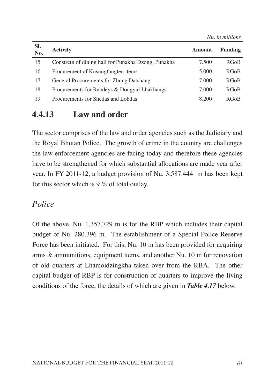|            |                                                     |               | Nu. in millions |
|------------|-----------------------------------------------------|---------------|-----------------|
| SI.<br>No. | <b>Activity</b>                                     | <b>Amount</b> | Funding         |
| 15         | Constreth of dining hall for Punakha Dzong, Punakha | 7.500         | <b>RGoB</b>     |
| 16         | Procurement of Kusungthugten items                  | 5.000         | <b>RGoB</b>     |
| 17         | General Procurements for Zhung Datshang             | 7.000         | <b>RGoB</b>     |
| 18         | Procurements for Rabdeys & Dongyul Lhakhangs        | 7.000         | <b>RGoB</b>     |
| 19         | Procurements for Shedas and Lobdas                  | 8.200         | <b>RGoB</b>     |
|            |                                                     |               |                 |

### **4.4.13 Law and order**

The sector comprises of the law and order agencies such as the Judiciary and the Royal Bhutan Police. The growth of crime in the country are challenges the law enforcement agencies are facing today and therefore these agencies have to be strengthened for which substantial allocations are made year after year. In FY 2011-12, a budget provision of Nu. 3,587.444 m has been kept for this sector which is 9 % of total outlay.

#### *Police*

Of the above, Nu. 1,357.729 m is for the RBP which includes their capital budget of Nu. 280.396 m. The establishment of a Special Police Reserve Force has been initiated. For this, Nu. 10 m has been provided for acquiring arms & ammunitions, equipment items, and another Nu. 10 m for renovation of old quarters at Lhamoidzingkha taken over from the RBA. The other capital budget of RBP is for construction of quarters to improve the living conditions of the force, the details of which are given in *Table 4.17* below.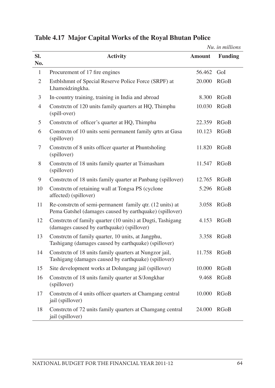|                |                                                                                                                     |               | Nu. in millions |
|----------------|---------------------------------------------------------------------------------------------------------------------|---------------|-----------------|
| SI.<br>No.     | <b>Activity</b>                                                                                                     | <b>Amount</b> | <b>Funding</b>  |
| 1              | Procurement of 17 fire engines                                                                                      | 56.462        | GoI             |
| $\overline{2}$ | Estblshmnt of Special Reserve Police Force (SRPF) at<br>Lhamoidzingkha.                                             | 20.000        | <b>RGoB</b>     |
| 3              | In-country training, training in India and abroad                                                                   | 8.300         | <b>RGoB</b>     |
| $\overline{4}$ | Constrctn of 120 units family quarters at HQ, Thimphu<br>(spill-over)                                               | 10.030        | <b>RGoB</b>     |
| 5              | Constretn of officer's quarter at HQ, Thimphu                                                                       | 22.359        | <b>RGoB</b>     |
| 6              | Constrctn of 10 units semi permanent family qrtrs at Gasa<br>(spillover)                                            | 10.123        | <b>RGoB</b>     |
| 7              | Constrctn of 8 units officer quarter at Phuntsholing<br>(spillover)                                                 | 11.820        | <b>RGoB</b>     |
| 8              | Constrctn of 18 units family quarter at Tsimasham<br>(spillover)                                                    | 11.547        | <b>RGoB</b>     |
| 9              | Constrctn of 18 units family quarter at Panbang (spillover)                                                         | 12.765        | <b>RGoB</b>     |
| 10             | Constrctn of retaining wall at Tongsa PS (cyclone<br>affected) (spillover)                                          | 5.296         | RGoB            |
| 11             | Re-constrctn of semi-permanent family qtr. (12 units) at<br>Pema Gatshel (damages caused by earthquake) (spillover) | 3.058         | RGoB            |
| 12             | Constrctn of family quarter (10 units) at Dugti, Tashigang<br>(damages caused by earthquake) (spillover)            | 4.153         | <b>RGoB</b>     |
| 13             | Constrctn of family quarter, 10 units, at Jangphu,<br>Tashigang (damages caused by earthquake) (spillover)          | 3.358         | <b>RGoB</b>     |
| 14             | Constrctn of 18 units family quarters at Nungzor jail,<br>Tashigang (damages caused by earthquake) (spillover)      | 11.758        | <b>RGoB</b>     |
| 15             | Site development works at Dolungang jail (spillover)                                                                | 10.000        | RGoB            |
| 16             | Constrctn of 18 units family quarter at S/Jongkhar<br>(spillover)                                                   | 9.468         | <b>RGoB</b>     |
| 17             | Constrctn of 4 units officer quarters at Chamgang central<br>jail (spillover)                                       | 10.000        | RGoB            |
| 18             | Constrctn of 72 units family quarters at Chamgang central<br>jail (spillover)                                       | 24.000        | <b>RGoB</b>     |

#### **Table 4.17 Major Capital Works of the Royal Bhutan Police**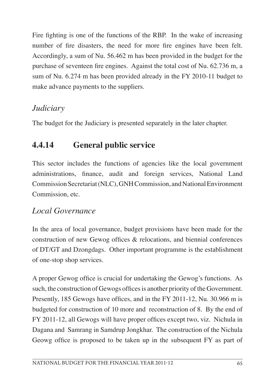Fire fighting is one of the functions of the RBP. In the wake of increasing number of fire disasters, the need for more fire engines have been felt. Accordingly, a sum of Nu. 56.462 m has been provided in the budget for the purchase of seventeen fire engines. Against the total cost of Nu. 62.736 m, a sum of Nu. 6.274 m has been provided already in the FY 2010-11 budget to make advance payments to the suppliers.

### *Judiciary*

The budget for the Judiciary is presented separately in the later chapter.

# **4.4.14 General public service**

This sector includes the functions of agencies like the local government administrations, finance, audit and foreign services, National Land Commission Secretariat (NLC), GNH Commission, and National Environment Commission, etc.

# *Local Governance*

In the area of local governance, budget provisions have been made for the construction of new Gewog offices & relocations, and biennial conferences of DT/GT and Dzongdags. Other important programme is the establishment of one-stop shop services.

A proper Gewog office is crucial for undertaking the Gewog's functions. As such, the construction of Gewogs offices is another priority of the Government. Presently, 185 Gewogs have offices, and in the FY 2011-12, Nu. 30.966 m is budgeted for construction of 10 more and reconstruction of 8. By the end of FY 2011-12, all Gewogs will have proper offices except two, viz. Nichula in Dagana and Samrang in Samdrup Jongkhar. The construction of the Nichula Geowg office is proposed to be taken up in the subsequent FY as part of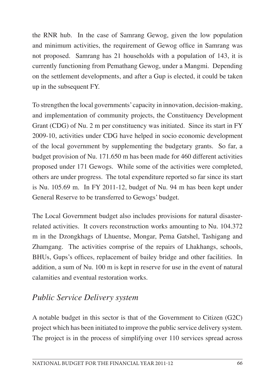the RNR hub. In the case of Samrang Gewog, given the low population and minimum activities, the requirement of Gewog office in Samrang was not proposed. Samrang has 21 households with a population of 143, it is currently functioning from Pemathang Gewog, under a Mangmi. Depending on the settlement developments, and after a Gup is elected, it could be taken up in the subsequent FY.

To strengthen the local governments'capacity in innovation, decision-making, and implementation of community projects, the Constituency Development Grant (CDG) of Nu. 2 m per constituency was initiated. Since its start in FY 2009-10, activities under CDG have helped in socio economic development of the local government by supplementing the budgetary grants. So far, a budget provision of Nu. 171.650 m has been made for 460 different activities proposed under 171 Gewogs. While some of the activities were completed, others are under progress. The total expenditure reported so far since its start is Nu. 105.69 m. In FY 2011-12, budget of Nu. 94 m has been kept under General Reserve to be transferred to Gewogs' budget.

The Local Government budget also includes provisions for natural disasterrelated activities. It covers reconstruction works amounting to Nu. 104.372 m in the Dzongkhags of Lhuentse, Mongar, Pema Gatshel, Tashigang and Zhamgang. The activities comprise of the repairs of Lhakhangs, schools, BHUs, Gups's offices, replacement of bailey bridge and other facilities. In addition, a sum of Nu. 100 m is kept in reserve for use in the event of natural calamities and eventual restoration works.

# *Public Service Delivery system*

A notable budget in this sector is that of the Government to Citizen (G2C) project which has been initiated to improve the public service delivery system. The project is in the process of simplifying over 110 services spread across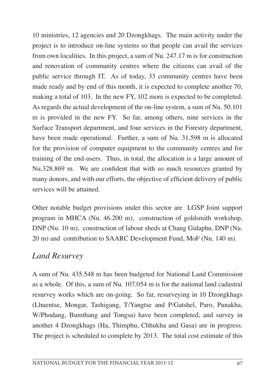10 ministries, 12 agencies and 20 Dzongkhags. The main activity under the project is to introduce on-line systems so that people can avail the services from own localities. In this project, a sum of Nu. 247.17 m is for construction and renovation of community centres where the citizens can avail of the public service through IT. As of today, 33 community centres have been made ready and by end of this month, it is expected to complete another 70, making a total of 103. In the new FY, 102 more is expected to be completed. As regards the actual development of the on-line system, a sum of Nu. 50.101 m is provided in the new FY. So far, among others, nine services in the Surface Transport department, and four services in the Forestry department, have been made operational. Further, a sum of Nu. 31.598 m is allocated for the provision of computer equipment to the community centres and for training of the end-users. Thus, in total, the allocation is a large amount of Nu.328.869 m. We are confident that with so much resources granted by many donors, and with our efforts, the objective of efficient delivery of public services will be attained.

Other notable budget provisions under this sector are LGSP Joint support program in MHCA (Nu. 46.200 m), construction of goldsmith workshop, DNP (Nu. 10 m), construction of labour sheds at Chang Gidaphu, DNP (Nu. 20 m) and contribution to SAARC Development Fund, MoF (Nu. 140 m).

## *Land Resurvey*

A sum of Nu. 435.548 m has been budgeted for National Land Commission as a whole. Of this, a sum of Nu. 107.054 m is for the national land cadastral resurvey works which are on-going. So far, resurveying in 10 Dzongkhags (Lhuentse, Mongar, Tashigang, T/Yangtse and P/Gatshel, Paro, Punakha, W/Phodang, Bumthang and Tongsa) have been completed, and survey in another 4 Dzongkhags (Ha, Thimphu, Chhukha and Gasa) are in progress. The project is scheduled to complete by 2013. The total cost estimate of this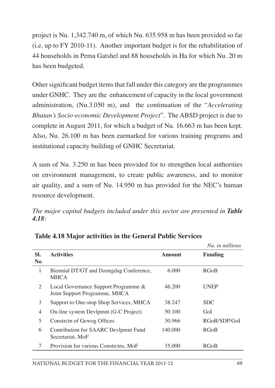project is Nu. 1,342.740 m, of which Nu. 635.958 m has been provided so far (i.e. up to FY 2010-11). Another important budget is for the rehabilitation of 44 households in Pema Gatshel and 88 households in Ha for which Nu. 20 m has been budgeted.

Other significant budget items that fall under this category are the programmes under GNHC. They are the enhancement of capacity in the local government administration, (Nu.3.050 m), and the continuation of the "*Accelerating Bhutan's Socio-economic Development Project*". The ABSD project is due to complete in August 2011, for which a budget of Nu. 16.663 m has been kept. Also, Nu. 26.100 m has been earmarked for various training programs and institutional capacity building of GNHC Secretariat.

A sum of Nu. 3.250 m has been provided for to strengthen local authorities on environment management, to create public awareness, and to monitor air quality, and a sum of Nu. 14.950 m has provided for the NEC's human resource development.

*The major capital budgets included under this sector are presented in Table 4.18:*

|                       |                                                                       |         | Nu, in millions |
|-----------------------|-----------------------------------------------------------------------|---------|-----------------|
| SI.<br>N <sub>0</sub> | <b>Activities</b>                                                     | Amount  | <b>Funding</b>  |
| 1                     | Biennial DT/GT and Dzongdag Conference,<br><b>MHCA</b>                | 6.000   | <b>RGoB</b>     |
| 2                     | Local Governance Support Programme &<br>Joint Support Programme, MHCA | 46.200  | UNEP            |
| 3                     | Support to One-stop Shop Services, MHCA                               | 38.247  | <b>SDC</b>      |
| 4                     | On-line system Devlpmnt (G-C Project)                                 | 50.100  | GoI             |
| 5                     | Constreth of Gewog Offices                                            | 30.966  | RGoB/SDP/GoI    |
| 6                     | Contribution for SAARC Devlpmnt Fund<br>Secretariat, MoF              | 140,000 | <b>RGoB</b>     |
|                       | Provision for various Constretns, MoF                                 | 35,000  | <b>RGoB</b>     |

**Table 4.18 Major activities in the General Public Services**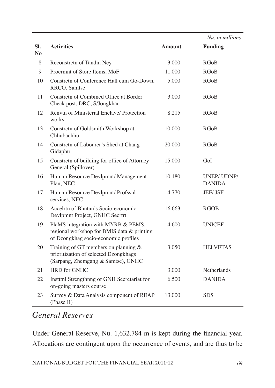|                       |                                                                                                                           |        | Nu. in millions             |
|-----------------------|---------------------------------------------------------------------------------------------------------------------------|--------|-----------------------------|
| SI.<br>N <sub>0</sub> | <b>Activities</b>                                                                                                         | Amount | <b>Funding</b>              |
| 8                     | Reconstrctn of Tandin Ney                                                                                                 | 3.000  | <b>RGoB</b>                 |
| 9                     | Procrmnt of Store Items, MoF                                                                                              | 11.000 | <b>RGoB</b>                 |
| 10                    | Constrctn of Conference Hall cum Go-Down,<br>RRCO, Samtse                                                                 | 5.000  | <b>RGoB</b>                 |
| 11                    | Constrctn of Combined Office at Border<br>Check post, DRC, S/Jongkhar                                                     | 3.000  | <b>RGoB</b>                 |
| 12                    | Renvtn of Ministerial Enclave/ Protection<br>works                                                                        | 8.215  | <b>RGoB</b>                 |
| 13                    | Constrctn of Goldsmith Workshop at<br>Chhubachhu                                                                          | 10.000 | <b>RGoB</b>                 |
| 14                    | Constrctn of Labourer's Shed at Chang<br>Gidaphu                                                                          | 20.000 | <b>RGoB</b>                 |
| 15                    | Constretn of building for office of Attorney<br>General (Spillover)                                                       | 15.000 | GoI                         |
| 16                    | Human Resource Devlpmnt/ Management<br>Plan, NEC                                                                          | 10.180 | UNEP/UDNP/<br><b>DANIDA</b> |
| 17                    | Human Resource Devlpmnt/ Profssnl<br>services, NEC                                                                        | 4.770  | <b>JEF/JSF</b>              |
| 18                    | Accelrtn of Bhutan's Socio-economic<br>Devlpmnt Project, GNHC Secrtrt.                                                    | 16.663 | <b>RGOB</b>                 |
| 19                    | PlaMS integration with MYRB & PEMS,<br>regional workshop for BMIS data & printing<br>of Dzongkhag socio-economic profiles | 4.600  | <b>UNICEF</b>               |
| 20                    | Training of GT members on planning $&$<br>prioritization of selected Dzongkhags<br>(Sarpang, Zhemgang & Samtse), GNHC     | 3.050  | <b>HELVETAS</b>             |
| 21                    | <b>HRD</b> for GNHC                                                                                                       | 3.000  | Netherlands                 |
| 22                    | Institul Strengthnng of GNH Secretariat for<br>on-going masters course                                                    | 6.500  | <b>DANIDA</b>               |
| 23                    | Survey & Data Analysis component of REAP<br>(Phase II)                                                                    | 13.000 | <b>SDS</b>                  |

#### *General Reserves*

Under General Reserve, Nu. 1,632.784 m is kept during the financial year. Allocations are contingent upon the occurrence of events, and are thus to be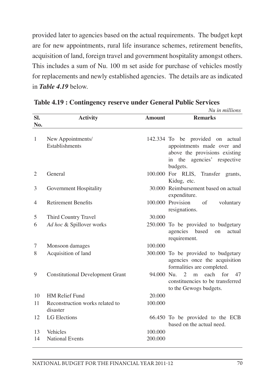provided later to agencies based on the actual requirements. The budget kept are for new appointments, rural life insurance schemes, retirement benefits, acquisition of land, foreign travel and government hospitality amongst others. This includes a sum of Nu. 100 m set aside for purchase of vehicles mostly for replacements and newly established agencies. The details are as indicated in *Table 4.19* below.

|                |                                             |               | Nu in millions                                                                                                                                   |
|----------------|---------------------------------------------|---------------|--------------------------------------------------------------------------------------------------------------------------------------------------|
| Sl.<br>No.     | <b>Activity</b>                             | <b>Amount</b> | <b>Remarks</b>                                                                                                                                   |
| 1              | New Appointments/<br>Establishments         |               | 142.334 To be provided on<br>actual<br>appointments made over and<br>above the provisions existing<br>in the agencies'<br>respective<br>budgets. |
| 2              | General                                     |               | 100.000 For RLIS, Transfer grants,<br>Kidug, etc.                                                                                                |
| 3              | Government Hospitality                      |               | 30.000 Reimbursement based on actual<br>expenditure.                                                                                             |
| $\overline{4}$ | <b>Retirement Benefits</b>                  |               | 100.000 Provision<br>$\sigma$ f<br>voluntary<br>resignations.                                                                                    |
| 5              | Third Country Travel                        | 30,000        |                                                                                                                                                  |
| 6              | Ad hoc & Spillover works                    |               | 250.000 To be provided to budgetary<br>agencies<br>based<br>on<br>actual<br>requirement.                                                         |
| 7              | Monsoon damages                             | 100.000       |                                                                                                                                                  |
| 8              | Acquisition of land                         |               | 300.000 To be provided to budgetary<br>agencies once the acquisition<br>formalities are completed.                                               |
| 9              | <b>Constitutional Development Grant</b>     | 94.000 Nu.    | each<br>$\mathfrak{D}$<br>for<br>m<br>47<br>constituencies to be transferred<br>to the Gewogs budgets.                                           |
| 10             | <b>HM Relief Fund</b>                       | 20,000        |                                                                                                                                                  |
| 11             | Reconstruction works related to<br>disaster | 100.000       |                                                                                                                                                  |
| 12             | <b>LG</b> Elections                         |               | 66.450 To be provided to the ECB<br>based on the actual need.                                                                                    |
| 13             | Vehicles                                    | 100.000       |                                                                                                                                                  |
| 14             | <b>National Events</b>                      | 200,000       |                                                                                                                                                  |

#### **Table 4.19 : Contingency reserve under General Public Services**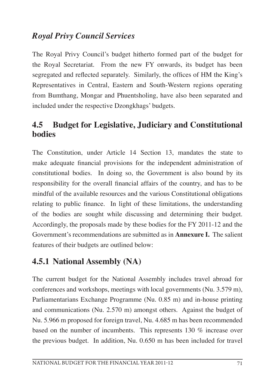### *Royal Privy Council Services*

The Royal Privy Council's budget hitherto formed part of the budget for the Royal Secretariat. From the new FY onwards, its budget has been segregated and reflected separately. Similarly, the offices of HM the King's Representatives in Central, Eastern and South-Western regions operating from Bumthang, Mongar and Phuentsholing, have also been separated and included under the respective Dzongkhags' budgets.

#### **4.5 Budget for Legislative, Judiciary and Constitutional bodies**

The Constitution, under Article 14 Section 13, mandates the state to make adequate financial provisions for the independent administration of constitutional bodies. In doing so, the Government is also bound by its responsibility for the overall financial affairs of the country, and has to be mindful of the available resources and the various Constitutional obligations relating to public finance. In light of these limitations, the understanding of the bodies are sought while discussing and determining their budget. Accordingly, the proposals made by these bodies for the FY 2011-12 and the Government's recommendations are submitted as in **Annexure I.** The salient features of their budgets are outlined below:

## **4.5.1 National Assembly (NA)**

The current budget for the National Assembly includes travel abroad for conferences and workshops, meetings with local governments (Nu. 3.579 m), Parliamentarians Exchange Programme (Nu. 0.85 m) and in-house printing and communications (Nu. 2.570 m) amongst others. Against the budget of Nu. 5.966 m proposed for foreign travel, Nu. 4.685 m has been recommended based on the number of incumbents. This represents 130 % increase over the previous budget. In addition, Nu. 0.650 m has been included for travel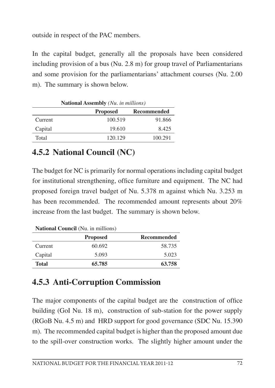outside in respect of the PAC members.

In the capital budget, generally all the proposals have been considered including provision of a bus (Nu. 2.8 m) for group travel of Parliamentarians and some provision for the parliamentarians' attachment courses (Nu. 2.00 m). The summary is shown below.

| <b>National Assembly</b> (Nu. in millions) |                 |             |  |  |  |  |
|--------------------------------------------|-----------------|-------------|--|--|--|--|
|                                            | <b>Proposed</b> | Recommended |  |  |  |  |
| Current                                    | 100.519         | 91.866      |  |  |  |  |
| Capital                                    | 19.610          | 8.425       |  |  |  |  |
| Total                                      | 120.129         | 100.291     |  |  |  |  |

# **4.5.2 National Council (NC)**

The budget for NC is primarily for normal operations including capital budget for institutional strengthening, office furniture and equipment. The NC had proposed foreign travel budget of Nu. 5.378 m against which Nu. 3.253 m has been recommended. The recommended amount represents about 20% increase from the last budget. The summary is shown below.

| <b>National Council</b> (Nu. in millions) |                 |             |  |  |  |  |
|-------------------------------------------|-----------------|-------------|--|--|--|--|
|                                           | <b>Proposed</b> | Recommended |  |  |  |  |
| Current                                   | 60.692          | 58.735      |  |  |  |  |
| Capital                                   | 5.093           | 5.023       |  |  |  |  |
| <b>Total</b>                              | 65.785          | 63.758      |  |  |  |  |

**National Council** (Nu. in millions)

# **4.5.3 Anti-Corruption Commission**

The major components of the capital budget are the construction of office building (GoI Nu. 18 m), construction of sub-station for the power supply (RGoB Nu. 4.5 m) and HRD support for good governance (SDC Nu. 15.390 m). The recommended capital budget is higher than the proposed amount due to the spill-over construction works. The slightly higher amount under the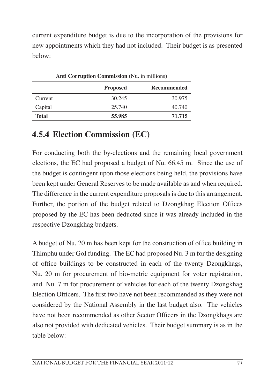current expenditure budget is due to the incorporation of the provisions for new appointments which they had not included. Their budget is as presented below:

| Anu Corruption Commission (190, in minions) |                 |                    |  |  |  |
|---------------------------------------------|-----------------|--------------------|--|--|--|
|                                             | <b>Proposed</b> | <b>Recommended</b> |  |  |  |
| Current                                     | 30.245          | 30.975             |  |  |  |
| Capital                                     | 25.740          | 40.740             |  |  |  |
| <b>Total</b>                                | 55.985          | 71.715             |  |  |  |

**Anti Corruption Commission** (Nu. in millions)

#### **4.5.4 Election Commission (EC)**

For conducting both the by-elections and the remaining local government elections, the EC had proposed a budget of Nu. 66.45 m. Since the use of the budget is contingent upon those elections being held, the provisions have been kept under General Reserves to be made available as and when required. The difference in the current expenditure proposals is due to this arrangement. Further, the portion of the budget related to Dzongkhag Election Offices proposed by the EC has been deducted since it was already included in the respective Dzongkhag budgets.

A budget of Nu. 20 m has been kept for the construction of office building in Thimphu under GoI funding. The EC had proposed Nu. 3 m for the designing of office buildings to be constructed in each of the twenty Dzongkhags, Nu. 20 m for procurement of bio-metric equipment for voter registration, and Nu. 7 m for procurement of vehicles for each of the twenty Dzongkhag Election Officers. The first two have not been recommended as they were not considered by the National Assembly in the last budget also. The vehicles have not been recommended as other Sector Officers in the Dzongkhags are also not provided with dedicated vehicles. Their budget summary is as in the table below: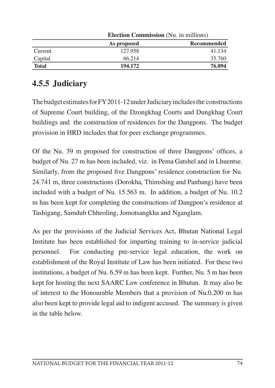|              | <b>Election Commission</b> (Nu. in millions) |             |  |  |
|--------------|----------------------------------------------|-------------|--|--|
|              | As proposed                                  | Recommended |  |  |
| Current      | 127.958                                      | 41.134      |  |  |
| Capital      | 66.214                                       | 35.760      |  |  |
| <b>Total</b> | 194.172                                      | 76.894      |  |  |

# **4.5.5 Judiciary**

The budget estimates for FY 2011-12 under Judiciary includes the constructions of Supreme Court building, of the Dzongkhag Courts and Dungkhag Court buildings and the construction of residences for the Dangpons. The budget provision in HRD includes that for peer exchange programmes.

Of the Nu. 39 m proposed for construction of three Dangpons' offices, a budget of Nu. 27 m has been included, viz. in Pema Gatshel and in Lhuentse. Similarly, from the proposed five Dangpons' residence construction for Nu. 24.741 m, three constructions (Dorokha, Thimshing and Panbang) have been included with a budget of Nu. 15.563 m. In addition, a budget of Nu. 10.2 m has been kept for completing the constructions of Dangpon's residence at Tashigang, Samdub Chheoling, Jomotsangkha and Nganglam.

As per the provisions of the Judicial Services Act, Bhutan National Legal Institute has been established for imparting training to in-service judicial personnel. For conducting pre-service legal education, the work on establishment of the Royal Institute of Law has been initiated. For these two institutions, a budget of Nu. 6.59 m has been kept. Further, Nu. 5 m has been kept for hosting the next SAARC Law conference in Bhutan. It may also be of interest to the Honourable Members that a provision of Nu.0.200 m has also been kept to provide legal aid to indigent accused. The summary is given in the table below.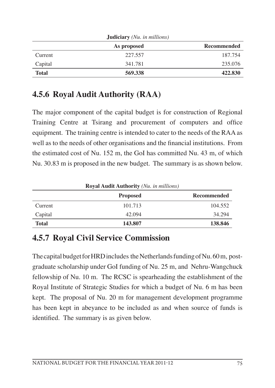| <b>JUGICIALY</b> ( <i>INU. In millions</i> ) |             |                    |  |  |
|----------------------------------------------|-------------|--------------------|--|--|
|                                              | As proposed | <b>Recommended</b> |  |  |
| Current                                      | 227.557     | 187.754            |  |  |
| Capital                                      | 341.781     | 235,076            |  |  |
| <b>Total</b>                                 | 569.338     | 422.830            |  |  |

 $\overline{J}$ **Judiciary** *(Nu. in millions)* 

# **4.5.6 Royal Audit Authority (RAA)**

The major component of the capital budget is for construction of Regional Training Centre at Tsirang and procurement of computers and office equipment. The training centre is intended to cater to the needs of the RAA as well as to the needs of other organisations and the financial institutions. From the estimated cost of Nu. 152 m, the GoI has committed Nu. 43 m, of which Nu. 30.83 m is proposed in the new budget. The summary is as shown below.

| <b>Royal Audit Authority</b> (Nu. in millions) |                 |                    |  |  |
|------------------------------------------------|-----------------|--------------------|--|--|
|                                                | <b>Proposed</b> | <b>Recommended</b> |  |  |
| Current                                        | 101.713         | 104.552            |  |  |
| Capital                                        | 42.094          | 34.294             |  |  |
| <b>Total</b>                                   | 143.807         | 138.846            |  |  |

# **4.5.7 Royal Civil Service Commission**

The capital budget for HRD includes the Netherlands funding of Nu. 60 m, postgraduate scholarship under GoI funding of Nu. 25 m, and Nehru-Wangchuck fellowship of Nu. 10 m. The RCSC is spearheading the establishment of the Royal Institute of Strategic Studies for which a budget of Nu. 6 m has been kept. The proposal of Nu. 20 m for management development programme has been kept in abeyance to be included as and when source of funds is identified. The summary is as given below.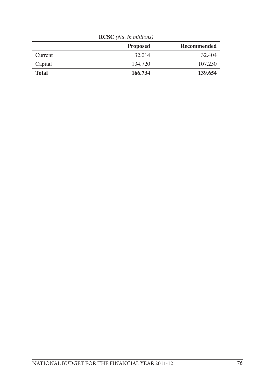| $\bf{R}$     |                 |             |  |  |
|--------------|-----------------|-------------|--|--|
|              | <b>Proposed</b> | Recommended |  |  |
| Current      | 32.014          | 32.404      |  |  |
| Capital      | 134.720         | 107.250     |  |  |
| <b>Total</b> | 166.734         | 139.654     |  |  |

**RCSC** *(Nu. in millions)*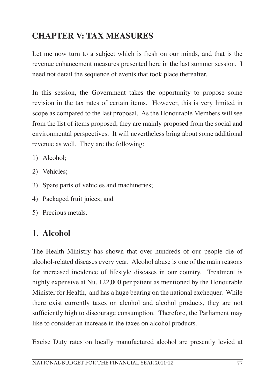# **CHAPTER V: TAX MEASURES**

Let me now turn to a subject which is fresh on our minds, and that is the revenue enhancement measures presented here in the last summer session. I need not detail the sequence of events that took place thereafter.

In this session, the Government takes the opportunity to propose some revision in the tax rates of certain items. However, this is very limited in scope as compared to the last proposal. As the Honourable Members will see from the list of items proposed, they are mainly proposed from the social and environmental perspectives. It will nevertheless bring about some additional revenue as well. They are the following:

- 1) Alcohol;
- 2) Vehicles;
- 3) Spare parts of vehicles and machineries;
- 4) Packaged fruit juices; and
- 5) Precious metals.

## 1. **Alcohol**

The Health Ministry has shown that over hundreds of our people die of alcohol-related diseases every year. Alcohol abuse is one of the main reasons for increased incidence of lifestyle diseases in our country. Treatment is highly expensive at Nu. 122,000 per patient as mentioned by the Honourable Minister for Health, and has a huge bearing on the national exchequer. While there exist currently taxes on alcohol and alcohol products, they are not sufficiently high to discourage consumption. Therefore, the Parliament may like to consider an increase in the taxes on alcohol products.

Excise Duty rates on locally manufactured alcohol are presently levied at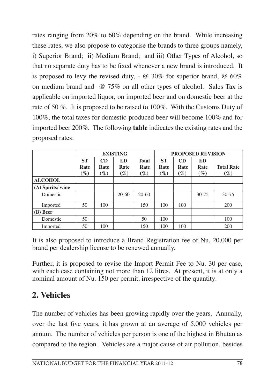rates ranging from 20% to 60% depending on the brand. While increasing these rates, we also propose to categorise the brands to three groups namely, i) Superior Brand; ii) Medium Brand; and iii) Other Types of Alcohol, so that no separate duty has to be fixed whenever a new brand is introduced. It is proposed to levy the revised duty,  $\sim \omega$  30% for superior brand,  $\omega$  60% on medium brand and @ 75% on all other types of alcohol. Sales Tax is applicable on imported liquor, on imported beer and on domestic beer at the rate of 50 %. It is proposed to be raised to 100%. With the Customs Duty of 100%, the total taxes for domestic-produced beer will become 100% and for imported beer 200%. The following **table** indicates the existing rates and the proposed rates:

|                  |                                      | <b>EXISTING</b>                 |                      |                                |                             | <b>PROPOSED REVISION</b> |                      |                             |  |
|------------------|--------------------------------------|---------------------------------|----------------------|--------------------------------|-----------------------------|--------------------------|----------------------|-----------------------------|--|
|                  | <b>ST</b><br>Rate<br>$\mathscr{G}_o$ | CD<br>Rate<br>$\left(\%\right)$ | ED<br>Rate<br>$(\%)$ | <b>Total</b><br>Rate<br>$(\%)$ | <b>ST</b><br>Rate<br>$(\%)$ | CD<br>Rate<br>$(\%)$     | ED<br>Rate<br>$(\%)$ | <b>Total Rate</b><br>$(\%)$ |  |
| <b>ALCOHOL</b>   |                                      |                                 |                      |                                |                             |                          |                      |                             |  |
| (A) Spirits/wine |                                      |                                 |                      |                                |                             |                          |                      |                             |  |
| Domestic         |                                      |                                 | $20-60$              | $20-60$                        |                             |                          | $30 - 75$            | $30 - 75$                   |  |
| Imported         | 50                                   | 100                             |                      | 150                            | 100                         | 100                      |                      | 200                         |  |
| (B) Beer         |                                      |                                 |                      |                                |                             |                          |                      |                             |  |
| Domestic         | 50                                   |                                 |                      | 50                             | 100                         |                          |                      | 100                         |  |
| Imported         | 50                                   | 100                             |                      | 150                            | 100                         | 100                      |                      | 200                         |  |

It is also proposed to introduce a Brand Registration fee of Nu. 20,000 per brand per dealership license to be renewed annually.

Further, it is proposed to revise the Import Permit Fee to Nu. 30 per case, with each case containing not more than 12 litres. At present, it is at only a nominal amount of Nu. 150 per permit, irrespective of the quantity.

# **2. Vehicles**

The number of vehicles has been growing rapidly over the years. Annually, over the last five years, it has grown at an average of 5,000 vehicles per annum. The number of vehicles per person is one of the highest in Bhutan as compared to the region. Vehicles are a major cause of air pollution, besides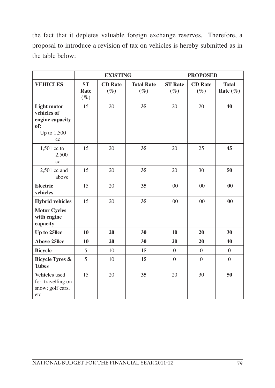the fact that it depletes valuable foreign exchange reserves. Therefore, a proposal to introduce a revision of tax on vehicles is hereby submitted as in the table below:

|                                                                                  |                             | <b>EXISTING</b>          |                             |                          | <b>PROPOSED</b>          |                              |
|----------------------------------------------------------------------------------|-----------------------------|--------------------------|-----------------------------|--------------------------|--------------------------|------------------------------|
| <b>VEHICLES</b>                                                                  | <b>ST</b><br>Rate<br>$(\%)$ | <b>CD</b> Rate<br>$(\%)$ | <b>Total Rate</b><br>$(\%)$ | <b>ST Rate</b><br>$(\%)$ | <b>CD</b> Rate<br>$(\%)$ | <b>Total</b><br>Rate $(\% )$ |
| <b>Light motor</b><br>vehicles of<br>engine capacity<br>of:<br>Up to 1,500<br>cc | 15                          | 20                       | 35                          | 20                       | 20                       | 40                           |
| $1,501$ cc to<br>2,500<br>cc                                                     | 15                          | 20                       | 35                          | 20                       | 25                       | 45                           |
| 2,501 cc and<br>above                                                            | 15                          | 20                       | 35                          | 20                       | 30                       | 50                           |
| <b>Electric</b><br>vehicles                                                      | 15                          | 20                       | 35                          | 00                       | $00\,$                   | $\bf{00}$                    |
| <b>Hybrid vehicles</b>                                                           | 15                          | 20                       | 35                          | $00\,$                   | 0 <sub>0</sub>           | 0 <sub>0</sub>               |
| <b>Motor Cycles</b><br>with engine<br>capacity                                   |                             |                          |                             |                          |                          |                              |
| Up to 250cc                                                                      | 10                          | 20                       | 30                          | 10                       | 20                       | 30                           |
| Above 250cc                                                                      | 10                          | 20                       | 30                          | 20                       | 20                       | 40                           |
| <b>Bicycle</b>                                                                   | 5                           | 10                       | 15                          | $\Omega$                 | $\theta$                 | $\bf{0}$                     |
| <b>Bicycle Tyres &amp;</b><br><b>Tubes</b>                                       | 5                           | 10                       | 15                          | $\boldsymbol{0}$         | $\overline{0}$           | $\bf{0}$                     |
| Vehicles used<br>for travelling on<br>snow; golf cars,<br>etc.                   | 15                          | 20                       | 35                          | 20                       | 30                       | 50                           |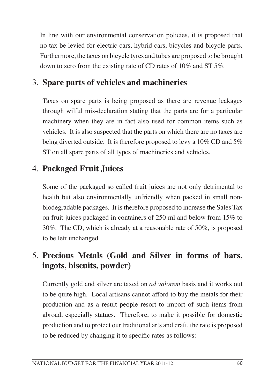In line with our environmental conservation policies, it is proposed that no tax be levied for electric cars, hybrid cars, bicycles and bicycle parts. Furthermore, the taxes on bicycle tyres and tubes are proposed to be brought down to zero from the existing rate of CD rates of 10% and ST 5%.

## 3. **Spare parts of vehicles and machineries**

Taxes on spare parts is being proposed as there are revenue leakages through wilful mis-declaration stating that the parts are for a particular machinery when they are in fact also used for common items such as vehicles. It is also suspected that the parts on which there are no taxes are being diverted outside. It is therefore proposed to levy a 10% CD and 5% ST on all spare parts of all types of machineries and vehicles.

## 4. **Packaged Fruit Juices**

Some of the packaged so called fruit juices are not only detrimental to health but also environmentally unfriendly when packed in small nonbiodegradable packages. It is therefore proposed to increase the Sales Tax on fruit juices packaged in containers of 250 ml and below from 15% to 30%. The CD, which is already at a reasonable rate of 50%, is proposed to be left unchanged.

# 5. **Precious Metals (Gold and Silver in forms of bars, ingots, biscuits, powder)**

Currently gold and silver are taxed on *ad valorem* basis and it works out to be quite high. Local artisans cannot afford to buy the metals for their production and as a result people resort to import of such items from abroad, especially statues. Therefore, to make it possible for domestic production and to protect our traditional arts and craft, the rate is proposed to be reduced by changing it to specific rates as follows: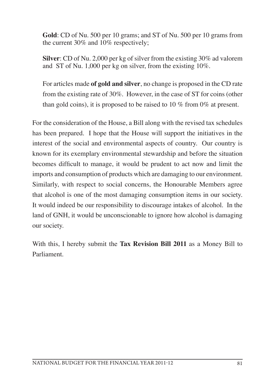**Gold**: CD of Nu. 500 per 10 grams; and ST of Nu. 500 per 10 grams from the current 30% and 10% respectively;

**Silver**: CD of Nu. 2,000 per kg of silver from the existing 30% ad valorem and ST of Nu. 1,000 per kg on silver, from the existing 10%.

For articles made **of gold and silver**, no change is proposed in the CD rate from the existing rate of 30%. However, in the case of ST for coins (other than gold coins), it is proposed to be raised to 10 % from 0% at present.

For the consideration of the House, a Bill along with the revised tax schedules has been prepared. I hope that the House will support the initiatives in the interest of the social and environmental aspects of country. Our country is known for its exemplary environmental stewardship and before the situation becomes difficult to manage, it would be prudent to act now and limit the imports and consumption of products which are damaging to our environment. Similarly, with respect to social concerns, the Honourable Members agree that alcohol is one of the most damaging consumption items in our society. It would indeed be our responsibility to discourage intakes of alcohol. In the land of GNH, it would be unconscionable to ignore how alcohol is damaging our society.

With this, I hereby submit the **Tax Revision Bill 2011** as a Money Bill to Parliament.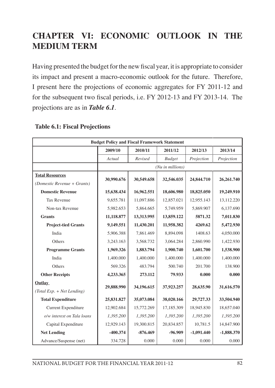# **CHAPTER VI: ECONOMIC OUTLOOK IN THE MEDIUM TERM**

Having presented the budget for the new fiscal year, it is appropriate to consider its impact and present a macro-economic outlook for the future. Therefore, I present here the projections of economic aggregates for FY 2011-12 and for the subsequent two fiscal periods, i.e. FY 2012-13 and FY 2013-14. The projections are as in *Table 6.1*.

|                              | <b>Budget Policy and Fiscal Framework Statement</b>               |            |                    |              |              |  |
|------------------------------|-------------------------------------------------------------------|------------|--------------------|--------------|--------------|--|
|                              | 2009/10                                                           | 2010/11    | 2011/12            | 2012/13      | 2013/14      |  |
|                              | Actual                                                            | Revised    | <b>Budget</b>      | Projection   | Projection   |  |
|                              |                                                                   |            | $(Nu$ in millions) |              |              |  |
| <b>Total Resources</b>       | 30,990.676                                                        |            |                    |              |              |  |
| (Domestic Revenue + Grants)  |                                                                   | 30,549.658 | 32,546.035         | 24,844.710   | 26,261.740   |  |
| <b>Domestic Revenue</b>      | 15,638.434                                                        | 16,962.551 | 18,606.980         | 18,825.050   | 19,249.910   |  |
| <b>Tax Revenue</b>           | 9,655.781                                                         | 11,097.886 | 12,857.021         | 12,955.143   | 13,112.220   |  |
| Non-tax Revenue              | 5,982.653                                                         | 5,864.665  | 5,749.959          | 5,869.907    | 6,137.690    |  |
| <b>Grants</b>                | 11,118.877                                                        | 13,313.995 | 13,859.122         | 5871.32      | 7,011.830    |  |
| <b>Project-tied Grants</b>   | 9,149.551                                                         | 11,430.201 | 11,958.382         | 4269.62      | 5,472.930    |  |
| India                        | 5.906.388                                                         | 7.861.469  | 8.894.098          | 1408.63      | 4,050.000    |  |
| Others                       | 3,243.163                                                         | 3.568.732  | 3.064.284          | 2,860.990    | 1,422.930    |  |
| <b>Programme Grants</b>      | 1,969.326                                                         | 1,883.794  | 1,900.740          | 1,601.700    | 1,538.900    |  |
| India                        | 1,400,000                                                         | 1,400,000  | 1,400,000          | 1,400,000    | 1,400.000    |  |
| Others                       | 569.326                                                           | 483.794    | 500.740            | 201.700      | 138.900      |  |
| <b>Other Receipts</b>        | 4,233.365                                                         | 273.112    | 79.933             | 0.000        | 0.000        |  |
| Outlay                       |                                                                   |            |                    |              |              |  |
| $(Total Exp. + Net Lending)$ | 29,888.990<br>34,196.615<br>31,616.570<br>37,923.257<br>28,635.90 |            |                    |              |              |  |
| <b>Total Expenditure</b>     | 25,831.827                                                        | 35,073.084 | 38,020.166         | 29,727.33    | 33,504.940   |  |
| <b>Current Expenditure</b>   | 12,902.684                                                        | 15,772.269 | 17,185.309         | 18,945.830   | 18,657.040   |  |
| o/w interest on Tala loans   | 1,395.200                                                         | 1,395.200  | 1,395.200          | 1,395.200    | 1,395.200    |  |
| Capital Expenditure          | 12,929.143                                                        | 19,300.815 | 20,834.857         | 10,781.5     | 14,847.900   |  |
| <b>Net Lending</b>           | $-400.374$                                                        | $-876.469$ | $-96.909$          | $-1,091.440$ | $-1,888.370$ |  |
| Advance/Suspense (net)       | 334.728                                                           | 0.000      | 0.000              | 0.000        | 0.000        |  |

#### **Table 6.1: Fiscal Projections**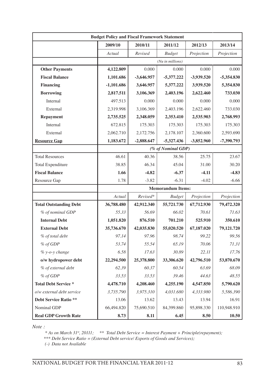|                               | <b>Budget Policy and Fiscal Framework Statement</b> |              |                    |            |              |  |
|-------------------------------|-----------------------------------------------------|--------------|--------------------|------------|--------------|--|
|                               | 2009/10                                             | 2010/11      | 2011/12            | 2012/13    | 2013/14      |  |
|                               | Actual                                              | Revised      | <b>Budget</b>      | Projection | Projection   |  |
|                               |                                                     |              | (Nu in millions)   |            |              |  |
| <b>Other Payments</b>         | 4,122.809                                           | 0.000        | 0.000              | 0.000      | 0.000        |  |
| <b>Fiscal Balance</b>         | 1,101.686                                           | $-3,646,957$ | $-5.377.222$       | -3.939.520 | $-5.354.830$ |  |
| <b>Financing</b>              | $-1,101.686$                                        | 3,646.957    | 5,377.222          | 3,939.520  | 5,354.830    |  |
| <b>Borrowing</b>              | 2,817.511                                           | 3,106.369    | 2,403.196          | 2,622.460  | 733.030      |  |
| Internal                      | 497.513                                             | 0.000        | 0.000              | 0.000      | 0.000        |  |
| External                      | 2,319.998                                           | 3,106.369    | 2,403.196          | 2,622.460  | 733.030      |  |
| <b>Repayment</b>              | 2,735.525                                           | 2,348.059    | 2,353.410          | 2,535.903  | 2,768.993    |  |
| Internal                      | 672.815                                             | 175.303      | 175.303            | 175.303    | 175.303      |  |
| External                      | 2,062.710                                           | 2,172.756    | 2,178.107          | 2,360.600  | 2,593.690    |  |
| <b>Resource Gap</b>           | 1,183.672                                           | $-2,888.647$ | $-5,327.436$       | -3,852.960 | -7,390.793   |  |
|                               |                                                     |              | (% of Nominal GDP) |            |              |  |
| <b>Total Resources</b>        | 46.61                                               | 40.36        | 38.56              | 25.75      | 23.67        |  |
| <b>Total Expenditure</b>      | 38.85                                               | 46.34        | 45.04              | 31.00      | 30.20        |  |
| <b>Fiscal Balance</b>         | 1.66                                                | $-4.82$      | $-6.37$            | $-4.11$    | $-4.83$      |  |
| Resource Gap                  | 1.78                                                | $-3.82$      | $-6.31$            | $-4.02$    | $-6.66$      |  |
|                               | <b>Memorandum Items:</b>                            |              |                    |            |              |  |
|                               | Actual                                              | Revised*     | <b>Budget</b>      | Projection | Projection   |  |
| <b>Total Outstanding Debt</b> | 36,788.480                                          | 42,912.340   | 55,721.730         | 67,712.930 | 79,472.320   |  |
| % of nominal GDP              | 55.33                                               | 56.69        | 66.02              | 70.61      | 71.63        |  |
| <b>Internal Debt</b>          | 1,051.820                                           | 876.510      | 701.210            | 525.910    | 350.610      |  |
| <b>External Debt</b>          | 35,736.670                                          | 42,035.830   | 55,020.520         | 67,187.020 | 79,121.720   |  |
| % of total debt               | 97.14                                               | 97.96        | 98.74              | 99.22      | 99.56        |  |
| % of GDP                      | 53.74                                               | 55.54        | 65.19              | 70.06      | 71.31        |  |
| $\%$ y-o-y change             | 6.58                                                | 17.63        | 30.89              | 22.11      | 17.76        |  |
| o/w hydropower debt           | 22,294.500                                          | 25,378.800   | 33,306.620         | 42,796.510 | 53,870.670   |  |
| % of external debt            | 62.39                                               | 60.37        | 60.54              | 63.69      | 68.09        |  |
| % of GDP                      | 33.53                                               | 33.53        | 39.46              | 44.63      | 48.55        |  |
| <b>Total Debt Service *</b>   | 4,478.710                                           | 4,208.460    | 4,255.190          | 4,547.850  | 5,790.620    |  |
| o/w external debt service     | 3,735.790                                           | 3,975.310    | 4,031.680          | 4,333.980  | 5,586.390    |  |
| <b>Debt Service Ratio **</b>  | 13.06                                               | 13.62        | 13.43              | 13.94      | 16.91        |  |
| Nominal GDP                   | 66,494.820                                          | 75,690.510   | 84,399.860         | 95.898.330 | 110,948.910  |  |
| <b>Real GDP Growth Rate</b>   | 8.73                                                | 8.11         | 6.45               | 8.50       | 10.50        |  |

*Note :*

 *\* As on March 31st, 20111; \*\* Total Debt Service = Interest Payment + Principle(repayment);*

 *\*\*\* Debt Service Ratio = (External Debt service/ Exports of Goods and Services);* 

 *(-) Data not Available*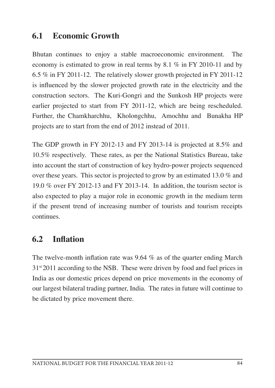#### **6.1 Economic Growth**

Bhutan continues to enjoy a stable macroeconomic environment. The economy is estimated to grow in real terms by 8.1 % in FY 2010-11 and by 6.5 % in FY 2011-12. The relatively slower growth projected in FY 2011-12 is influenced by the slower projected growth rate in the electricity and the construction sectors. The Kuri-Gongri and the Sunkosh HP projects were earlier projected to start from FY 2011-12, which are being rescheduled. Further, the Chamkharchhu, Kholongchhu, Amochhu and Bunakha HP projects are to start from the end of 2012 instead of 2011.

The GDP growth in FY 2012-13 and FY 2013-14 is projected at 8.5% and 10.5% respectively. These rates, as per the National Statistics Bureau, take into account the start of construction of key hydro-power projects sequenced over these years. This sector is projected to grow by an estimated 13.0 % and 19.0 % over FY 2012-13 and FY 2013-14. In addition, the tourism sector is also expected to play a major role in economic growth in the medium term if the present trend of increasing number of tourists and tourism receipts continues.

#### **6.2 Inflation**

The twelve-month inflation rate was 9.64 % as of the quarter ending March  $31<sup>st</sup>2011$  according to the NSB. These were driven by food and fuel prices in India as our domestic prices depend on price movements in the economy of our largest bilateral trading partner, India. The rates in future will continue to be dictated by price movement there.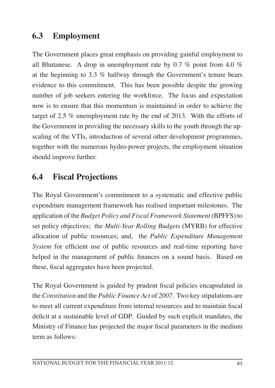### **6.3 Employment**

The Government places great emphasis on providing gainful employment to all Bhutanese. A drop in unemployment rate by 0.7 % point from 4.0 % at the beginning to 3.3 % halfway through the Government's tenure bears evidence to this commitment. This has been possible despite the growing number of job seekers entering the workforce. The focus and expectation now is to ensure that this momentum is maintained in order to achieve the target of 2.5 % unemployment rate by the end of 2013. With the efforts of the Government in providing the necessary skills to the youth through the upscaling of the VTIs, introduction of several other development programmes, together with the numerous hydro-power projects, the employment situation should improve further.

### **6.4 Fiscal Projections**

The Royal Government's commitment to a systematic and effective public expenditure management framework has realised important milestones. The application of the *Budget Policy and Fiscal Framework Statement* (BPFFS) to set policy objectives; the *Multi-Year Rolling Budgets* (MYRB) for effective allocation of public resources; and, the *Public Expenditure Management System* for efficient use of public resources and real-time reporting have helped in the management of public finances on a sound basis. Based on these, fiscal aggregates have been projected.

The Royal Government is guided by prudent fiscal policies encapsulated in the *Constitution* and the *Public Finance Act* of *2007*. Two key stipulations are to meet all current expenditure from internal resources and to maintain fiscal deficit at a sustainable level of GDP. Guided by such explicit mandates, the Ministry of Finance has projected the major fiscal parameters in the medium term as follows: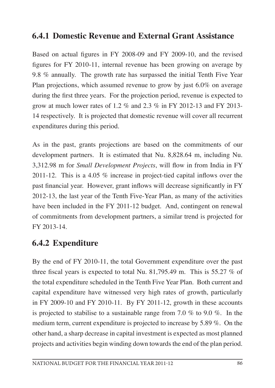#### **6.4.1 Domestic Revenue and External Grant Assistance**

Based on actual figures in FY 2008-09 and FY 2009-10, and the revised figures for FY 2010-11, internal revenue has been growing on average by 9.8 % annually. The growth rate has surpassed the initial Tenth Five Year Plan projections, which assumed revenue to grow by just 6.0% on average during the first three years. For the projection period, revenue is expected to grow at much lower rates of 1.2  $\%$  and 2.3  $\%$  in FY 2012-13 and FY 2013-14 respectively. It is projected that domestic revenue will cover all recurrent expenditures during this period.

As in the past, grants projections are based on the commitments of our development partners. It is estimated that Nu. 8,828.64 m, including Nu. 3,312.98 m for *Small Development Projects*, will flow in from India in FY 2011-12. This is a 4.05 % increase in project-tied capital inflows over the past financial year. However, grant inflows will decrease significantly in FY 2012-13, the last year of the Tenth Five-Year Plan, as many of the activities have been included in the FY 2011-12 budget. And, contingent on renewal of commitments from development partners, a similar trend is projected for FY 2013-14.

## **6.4.2 Expenditure**

By the end of FY 2010-11, the total Government expenditure over the past three fiscal years is expected to total Nu. 81,795.49 m. This is 55.27 % of the total expenditure scheduled in the Tenth Five Year Plan. Both current and capital expenditure have witnessed very high rates of growth, particularly in FY 2009-10 and FY 2010-11. By FY 2011-12, growth in these accounts is projected to stabilise to a sustainable range from 7.0 % to 9.0 %. In the medium term, current expenditure is projected to increase by 5.89 %. On the other hand, a sharp decrease in capital investment is expected as most planned projects and activities begin winding down towards the end of the plan period.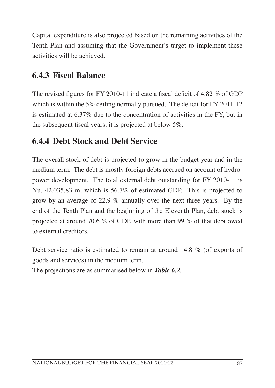Capital expenditure is also projected based on the remaining activities of the Tenth Plan and assuming that the Government's target to implement these activities will be achieved.

## **6.4.3 Fiscal Balance**

The revised figures for FY 2010-11 indicate a fiscal deficit of 4.82 % of GDP which is within the 5% ceiling normally pursued. The deficit for FY 2011-12 is estimated at 6.37% due to the concentration of activities in the FY, but in the subsequent fiscal years, it is projected at below 5%.

## **6.4.4 Debt Stock and Debt Service**

The overall stock of debt is projected to grow in the budget year and in the medium term. The debt is mostly foreign debts accrued on account of hydropower development. The total external debt outstanding for FY 2010-11 is Nu. 42,035.83 m, which is 56.7% of estimated GDP. This is projected to grow by an average of 22.9 % annually over the next three years. By the end of the Tenth Plan and the beginning of the Eleventh Plan, debt stock is projected at around 70.6 % of GDP, with more than 99 % of that debt owed to external creditors.

Debt service ratio is estimated to remain at around 14.8 % (of exports of goods and services) in the medium term.

The projections are as summarised below in *Table 6.2.*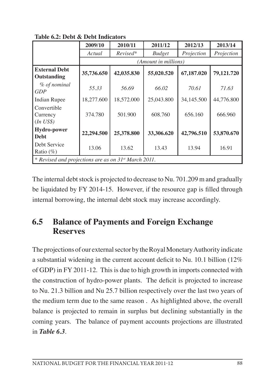|                                                                  | 2009/10    | 2010/11    | 2011/12              | 2012/13    | 2013/14    |
|------------------------------------------------------------------|------------|------------|----------------------|------------|------------|
|                                                                  | Actual     | Revised*   | <b>Budget</b>        | Projection | Projection |
|                                                                  |            |            | (Amount in millions) |            |            |
| <b>External Debt</b><br>Outstanding                              | 35,736.650 | 42,035.830 | 55,020.520           | 67,187.020 | 79,121.720 |
| % of nominal<br>GDP                                              | 55.33      | 56.69      | 66.02                | 70.61      | 71.63      |
| <b>Indian Rupee</b>                                              | 18,277.600 | 18,572.000 | 25,043.800           | 34,145.500 | 44,776.800 |
| Convertible<br>Currency<br>$(In\;US$)$                           | 374.780    | 501.900    | 608.760              | 656.160    | 666.960    |
| <b>Hydro-power</b><br><b>Debt</b>                                | 22,294.500 | 25,378.800 | 33,306.620           | 42,796.510 | 53,870.670 |
| Debt Service<br>Ratio $(\%)$                                     | 13.06      | 13.62      | 13.43                | 13.94      | 16.91      |
| * Revised and projections are as on 31 <sup>st</sup> March 2011. |            |            |                      |            |            |

**Table 6.2: Debt & Debt Indicators**

The internal debt stock is projected to decrease to Nu. 701.209 m and gradually be liquidated by FY 2014-15. However, if the resource gap is filled through internal borrowing, the internal debt stock may increase accordingly.

### **6.5 Balance of Payments and Foreign Exchange Reserves**

The projections of our external sector by the Royal Monetary Authority indicate a substantial widening in the current account deficit to Nu. 10.1 billion (12% of GDP) in FY 2011-12. This is due to high growth in imports connected with the construction of hydro-power plants. The deficit is projected to increase to Nu. 21.3 billion and Nu 25.7 billion respectively over the last two years of the medium term due to the same reason . As highlighted above, the overall balance is projected to remain in surplus but declining substantially in the coming years. The balance of payment accounts projections are illustrated in *Table 6.3*.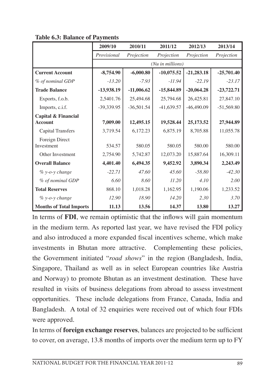|                                                  | 2009/10      | 2010/11      | 2011/12          | 2012/13      | 2013/14      |
|--------------------------------------------------|--------------|--------------|------------------|--------------|--------------|
|                                                  | Provisional  | Projection   | Projection       | Projection   | Projection   |
|                                                  |              |              | (Nu in millions) |              |              |
| <b>Current Account</b>                           | $-8,754.90$  | $-6,000.80$  | $-10,075.52$     | $-21,283.18$ | $-25,701.40$ |
| % of nominal GDP                                 | $-13.20$     | $-7.93$      | $-11.94$         | $-22.19$     | $-23.17$     |
| <b>Trade Balance</b>                             | $-13,938.19$ | $-11,006.62$ | $-15,844.89$     | $-20,064.28$ | $-23,722.71$ |
| Exports, f.o.b.                                  | 2,5401.76    | 25,494.68    | 25,794.68        | 26,425.81    | 27,847.10    |
| Imports, c.i.f.                                  | $-39,339.95$ | $-36,501.54$ | $-41,639.57$     | $-46,490.09$ | $-51,569.80$ |
| <b>Capital &amp; Financial</b><br><b>Account</b> | 7,009.00     | 12,495.15    | 19,528.44        | 25,173.52    | 27,944.89    |
| <b>Capital Transfers</b>                         | 3,719.54     | 6,172.23     | 6,875.19         | 8,705.88     | 11,055.78    |
| Foreign Direct<br>Investment                     | 534.57       | 580.05       | 580.05           | 580.00       | 580.00       |
| Other Investment                                 | 2,754.90     | 5,742.87     | 12,073.20        | 15,887.64    | 16,309.11    |
| <b>Overall Balance</b>                           | 4,401.40     | 6,494.35     | 9,452.92         | 3,890.34     | 2,243.49     |
| % y-o-y change                                   | $-22.71$     | 47.60        | 45.60            | $-58.80$     | $-42.30$     |
| % of nominal GDP                                 | 6.60         | 8.60         | 11.20            | 4.10         | 2.00         |
| <b>Total Reserves</b>                            | 868.10       | 1,018.28     | 1,162.95         | 1,190.06     | 1,233.52     |
| $\%$ y-o-y change                                | 12.90        | 18.90        | 14.20            | 2.30         | 3.70         |
| <b>Months of Total Imports</b>                   | 11.13        | 13.56        | 14.37            | 13.80        | 13.27        |

**Table 6.3: Balance of Payments**

In terms of **FDI**, we remain optimistic that the inflows will gain momentum in the medium term. As reported last year, we have revised the FDI policy and also introduced a more expanded fiscal incentives scheme, which make investments in Bhutan more attractive. Complementing these policies, the Government initiated "*road shows*" in the region (Bangladesh, India, Singapore, Thailand as well as in select European countries like Austria and Norway) to promote Bhutan as an investment destination. These have resulted in visits of business delegations from abroad to assess investment opportunities. These include delegations from France, Canada, India and Bangladesh. A total of 32 enquiries were received out of which four FDIs were approved.

In terms of **foreign exchange reserves**, balances are projected to be sufficient to cover, on average, 13.8 months of imports over the medium term up to FY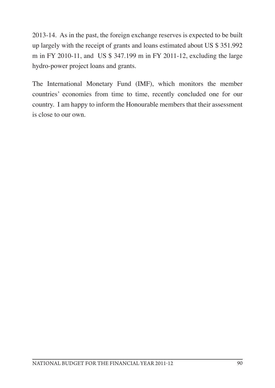2013-14. As in the past, the foreign exchange reserves is expected to be built up largely with the receipt of grants and loans estimated about US \$ 351.992 m in FY 2010-11, and US \$ 347.199 m in FY 2011-12, excluding the large hydro-power project loans and grants.

The International Monetary Fund (IMF), which monitors the member countries' economies from time to time, recently concluded one for our country. I am happy to inform the Honourable members that their assessment is close to our own.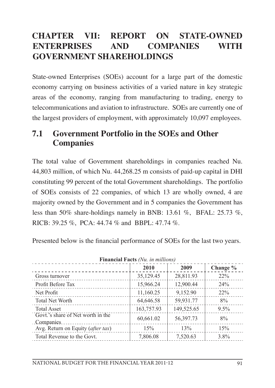## **CHAPTER VII: REPORT ON STATE-OWNED ENTERPRISES AND COMPANIES WITH GOVERNMENT SHAREHOLDINGS**

State-owned Enterprises (SOEs) account for a large part of the domestic economy carrying on business activities of a varied nature in key strategic areas of the economy, ranging from manufacturing to trading, energy to telecommunications and aviation to infrastructure. SOEs are currently one of the largest providers of employment, with approximately 10,097 employees.

#### **7.1 Government Portfolio in the SOEs and Other Companies**

The total value of Government shareholdings in companies reached Nu. 44,803 million, of which Nu. 44,268.25 m consists of paid-up capital in DHI constituting 99 percent of the total Government shareholdings. The portfolio of SOEs consists of 22 companies, of which 13 are wholly owned, 4 are majority owned by the Government and in 5 companies the Government has less than 50% share-holdings namely in BNB: 13.61 %, BFAL: 25.73 %, RICB: 39.25 %, PCA: 44.74 % and BBPL: 47.74 %.

Presented below is the financial performance of SOEs for the last two years.

|                                                | 2010       | 2009       | Change % |  |  |  |
|------------------------------------------------|------------|------------|----------|--|--|--|
| Gross turnover                                 | 35,129.45  | 28,811.93  | $22\%$   |  |  |  |
| Profit Before Tax                              | 15,966.24  | 12,900.44  | 24%      |  |  |  |
| Net Profit                                     | 11,160.25  | 9,152.90   | $22\%$   |  |  |  |
| Total Net Worth                                | 64,646.58  | 59,931.77  | 8%       |  |  |  |
| <b>Total Asset</b>                             | 163,757.93 | 149,525.65 | 9.5%     |  |  |  |
| Govt.'s share of Net worth in the<br>Companies | 60,661.02  | 56,397.73  | 8%       |  |  |  |
| Avg. Return on Equity (after tax)              | 15%        | 13%        | 15%      |  |  |  |
| Total Revenue to the Govt.                     | 7,806.08   | 7,520.63   | 3.8%     |  |  |  |

**Financial Facts** *(Nu. in millions)*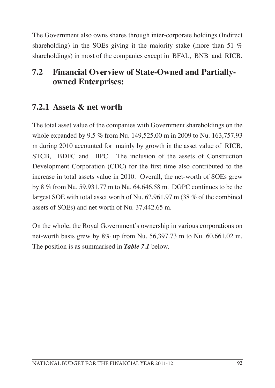The Government also owns shares through inter-corporate holdings (Indirect shareholding) in the SOEs giving it the majority stake (more than 51 % shareholdings) in most of the companies except in BFAL, BNB and RICB.

### **7.2 Financial Overview of State-Owned and Partiallyowned Enterprises:**

## **7.2.1 Assets & net worth**

The total asset value of the companies with Government shareholdings on the whole expanded by 9.5 % from Nu. 149,525.00 m in 2009 to Nu. 163,757.93 m during 2010 accounted for mainly by growth in the asset value of RICB, STCB, BDFC and BPC. The inclusion of the assets of Construction Development Corporation (CDC) for the first time also contributed to the increase in total assets value in 2010. Overall, the net-worth of SOEs grew by 8 % from Nu. 59,931.77 m to Nu. 64,646.58 m. DGPC continues to be the largest SOE with total asset worth of Nu. 62,961.97 m (38 % of the combined assets of SOEs) and net worth of Nu. 37,442.65 m.

On the whole, the Royal Government's ownership in various corporations on net-worth basis grew by 8% up from Nu. 56,397.73 m to Nu. 60,661.02 m. The position is as summarised in *Table 7.1* below.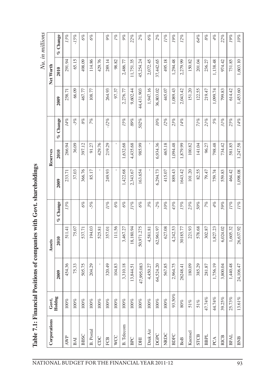| D                                          |
|--------------------------------------------|
| i                                          |
|                                            |
| $\tilde{ }$                                |
| į                                          |
| ֧֧֧֧ׅ֧֪֚֓֜֓<br>$\frac{1}{2}$<br>$\zeta$    |
|                                            |
| $\mathbf{I}$                               |
|                                            |
| <b>イサードド ひくりきょく くちょうこくしゃく</b><br>í         |
|                                            |
| Ì                                          |
|                                            |
| i                                          |
| 医心血管 医血管下腺<br>$h \sim 71 \cdot E_{\rm in}$ |
|                                            |
| $\ddot{\phantom{0}}$                       |
|                                            |
| $\frac{1}{2}$                              |

| Corporations      | Govt.     |            | Assets     |          |          | Reserves |                   |            | Net Worth |            |
|-------------------|-----------|------------|------------|----------|----------|----------|-------------------|------------|-----------|------------|
|                   | Holdng    | 2009       | 2010       | % Change | 2009     | 2010     | Change<br>ok<br>K | 2009       | 2010      | $%$ Change |
| <b>AWP</b>        | $100\%$   | 454.36     | 511.41     | 13%      | 233.71   | 266.94   | 14%               | 258.71     | 291.94    | 13%        |
| BAI               | $100\%$   | 75.33      | 75.07      |          | 37.03    | 36.09    | $-3%$             | 66.09      | 65.15     | $-15%$     |
| <b>BBSC</b>       | $100\%$   | 505.75     | 537.71     | 6%       | 366.76   | 397.12   | $8\%$             | 467.77     | 498.09    | 6%         |
| <b>B.</b> Postal  | $100\%$   | 204.29     | 194.03     | $-5%$    | 85.17    | 91.27    | 7%                | 108.77     | 114.86    | 6%         |
| CDC               | $100\%$   |            | 525.81     |          |          | 429.76   |                   |            | 429.76    |            |
| FCB               | $100\%$   | 320.49     | 357.01     | 11%      | 249.93   | 219.29   | $-12%$            | 264.93     | 289.14    | 9%         |
| <b>WCC</b>        | $100\%$   | 104.83     | 111.56     | 6%       |          |          |                   | 97.37      | 98.82     | 1%         |
| <b>B.</b> Telecom | $100\%$   | 3,310.18   | 3,467.27   | 6%       | 1,422.68 | 1,632.68 | 15%               | 2,276.77   | 2,486.77  | $9\%$      |
| BPC               | $100\%$   | 13,844.51  | 18,180.94  | 31%      | 2,343.67 | 4,435.68 | 89%               | 9,602.44   | 11,751.35 | 22%        |
| <b>FHO</b>        | $100\%$   | 47,995.083 | 50,971.275 | 6%       | 163.654  | 985.99   | 502%              | 44,431.903 | 45,254.24 | 2%         |
| Druk Air          | $100\%$   | 4,450.27   | 4,581.81   | 3%       |          |          |                   | 1,947.16   | 2,072.45  | 6%         |
| DGPC              | $100\%$   | 64,524.20  | 62,961.97  | $-2%$    | 6,294.73 | 6,934.36 | 10%               | 36,803.02  | 37,442.65 | 2%         |
| NRDC              | $100\%$   | 567.85     | 627.08     | 10%      | 415.07   | 465.18   | 12%               | 445.07     | 495.18    | 11%        |
| <b>BDFC</b>       | 93.50%    | 2,964.75   | 4,242.53   | 43%      | 889.43   | 1,094.48 | 23%               | 1,089.43   | 1,294.48  | 19%        |
| <b>BoB</b>        | $80\%$    | 26248.41   | 30185.77   | 15%      | 1643.42  | 1,879.99 | 14%               | 2,043.42   | 2,279.99  | 12%        |
| Kuensel           | $51\%$    | 180.09     | 221.93     | 23%      | 101.20   | 100.82   |                   | 151.20     | 150.82    |            |
| <b>STCB</b>       | 51%       | 385.29     | 578.68     | 50%      | 82.55    | 141.04   | 71%               | 122.55     | 201.04    | 64%        |
| <b>BBPL</b>       | 47.74%    | 281.87     | 302.87     | 7%       | 79.47    | 96.27    | 21%               | 219.47     | 236.27    | $8\%$      |
| PCA               | 44.74%    | 1,756.19   | 1,827.23   | 4%       | 759.74   | 798.48   | 5%                | 1,099.74   | 1,138.48  | 4%         |
| <b>RICB</b>       | 39.25%    | 3,800.04   | 6,024.02   | 59%      | 559.83   | 734.42   | 31%               | 799.83     | 974.42    | 22%        |
| <b>BFAL</b>       | 25.73%    | 1,440.48   | 1,605.32   | 11%      | 464.42   | 581.85   | 25%               | 614.42     | 731.85    | 19%        |
| BNB               | $13.61\%$ | 24,106.47  | 26,637.92  | 11%      | 1,098.08 | 1,247.58 | 14%               | 1,453.60   | 1,603.10  | $10\%$     |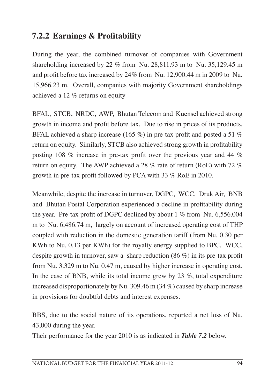### **7.2.2 Earnings & Profitability**

During the year, the combined turnover of companies with Government shareholding increased by 22 % from Nu. 28,811.93 m to Nu. 35,129.45 m and profit before tax increased by 24% from Nu. 12,900.44 m in 2009 to Nu. 15,966.23 m. Overall, companies with majority Government shareholdings achieved a 12 % returns on equity

BFAL, STCB, NRDC, AWP, Bhutan Telecom and Kuensel achieved strong growth in income and profit before tax. Due to rise in prices of its products, BFAL achieved a sharp increase (165 %) in pre-tax profit and posted a 51 % return on equity. Similarly, STCB also achieved strong growth in profitability posting 108 % increase in pre-tax profit over the previous year and 44 % return on equity. The AWP achieved a 28 % rate of return (RoE) with 72 % growth in pre-tax profit followed by PCA with 33 % RoE in 2010.

Meanwhile, despite the increase in turnover, DGPC, WCC, Druk Air, BNB and Bhutan Postal Corporation experienced a decline in profitability during the year. Pre-tax profit of DGPC declined by about 1 % from Nu. 6,556.004 m to Nu. 6,486.74 m, largely on account of increased operating cost of THP coupled with reduction in the domestic generation tariff (from Nu. 0.30 per KWh to Nu. 0.13 per KWh) for the royalty energy supplied to BPC. WCC, despite growth in turnover, saw a sharp reduction (86 %) in its pre-tax profit from Nu. 3.329 m to Nu. 0.47 m, caused by higher increase in operating cost. In the case of BNB, while its total income grew by 23  $\%$ , total expenditure increased disproportionately by Nu. 309.46 m (34 %) caused by sharp increase in provisions for doubtful debts and interest expenses.

BBS, due to the social nature of its operations, reported a net loss of Nu. 43,000 during the year.

Their performance for the year 2010 is as indicated in *Table 7.2* below.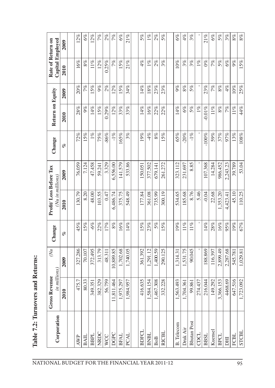| ١<br>ĭ                       |
|------------------------------|
| č<br>į                       |
| <b>Deal of a Second</b><br>j |
| ĺ                            |
| r<br>t                       |
|                              |
|                              |
| $\tilde{a}$<br>į             |

| Corporation | millions)<br><i>remue</i><br><b>Gross Rev</b><br>$\ddot{=}$ | $\check{\alpha}$ | Change | Profit/Loss Before Tax<br>(Nu in millions) |          | Change   | Return on Equity |        | Capital Employed<br>Rate of Return on |       |
|-------------|-------------------------------------------------------------|------------------|--------|--------------------------------------------|----------|----------|------------------|--------|---------------------------------------|-------|
|             | 2010                                                        | 2009             | of     | 2010                                       | 2009     | olo      | 2010             | 2009   | 2010                                  | 2009  |
|             | 475.7                                                       | 327.286          | 45%    | 130.79                                     | 76.059   | 72%      | 28%              | 20%    | 16%                                   | 12%   |
|             | 80.33                                                       | 70.107           | 15%    | 8.20                                       | 7.124    | 15%      | 9%               | 7%     | 8%                                    | 6%    |
|             | 351<br>349.                                                 | 372.495          | $-6\%$ | 48.00                                      | 47.458   | $1\%$    | $14\%$           | 15%    | $11\%$                                | 12%   |
|             | 329<br>382.                                                 | 313.79           | 22%    | 103.55                                     | 59.241   | 75%      | 15%              | 9%     | $12\%$                                | 7%    |
|             | 759<br>56.                                                  | 48.311           | 17%    | 0.47                                       | 3.329    | $-86%$   | 0.29%            | 2%     | 0.25%                                 | 2%    |
|             | 464<br>11,811                                               | 10,889.85        | $8\%$  | 6,486.74                                   | 6,556.00 | $-1\%$   | $12\%$           | 12%    | 7%                                    | 7%    |
|             | 297<br>1.975.                                               | 1,702.68         | 16%    | 375.75                                     | 141.579  | 165%     | 33%              | 15%    | 15%                                   | $6\%$ |
|             | 957<br>1,984.                                               | 1,740.05         | $14\%$ | 548.49                                     | 533.86   | 3%       | 33%              | 34%    | 21%                                   | 21%   |
|             | 635<br>416.                                                 | 361.392          | 15%    | 177.84                                     | 150.051  | 19%      | $14\%$           | $14\%$ | 4%                                    | 5%    |
|             | 154<br>1,584.                                               | 1.291.12         | 23%    | 361.08                                     | 377.502  | 4%       | 16%              | 18%    | $1\%$                                 | $1\%$ |
|             | 308<br>1,467.                                               | 1,400.59         | 5%     | 735.99                                     | 679.141  | $8\%$    | 22%              | 23%    | 2%                                    | 2%    |
|             | 228<br>332.                                                 | 290.125          | 15%    | 300.19                                     | 261.272  | 15%      | 22%              | 23%    | $3\%$                                 | 5%    |
|             | 493<br>1,563.                                               | 1,314.31         | 19%    | 534.65                                     | 323.112  | 65%      | $14\%$           | 9%     | $10\%$                                | $6\%$ |
|             | .361<br>1,704.                                              | 1,531.75         | $11\%$ | 185.68                                     | 231.697  | $-20%$   | $6\%$            | $8\%$  | 3%                                    | 4%    |
|             | .861<br>99.                                                 | 90.045           | $11\%$ | 8.76                                       | 8.85     | $-1\%$   | 5%               | 5%     | 3%                                    | 3%    |
|             | 437<br>274.                                                 |                  |        | 5.46                                       |          |          | $1\%$            |        | $1\%$                                 |       |
|             | 216.044                                                     | 188.869          | 14%    | $-0.04$                                    | 107.368  | $-100\%$ | $-0.01\%$        | 23%    | $0\%$                                 | 21%   |
|             | 292<br>149.                                                 | 116.397          | 28%    | 22.68                                      | 14.284   | 59%      | $11\%$           | 7%     | 7%                                    | $6\%$ |
|             | 3,366.153                                                   | 2,899.49         | 16%    | 1,353.20                                   | 986.452  | 37%      | $8\%$            | $8\%$  | 5%                                    | 5%    |
|             | 4468.69                                                     | 2,287.68         | 95%    | 4,423.41                                   | 2,243.23 | 97%      | 7%               | 4%     | $6\%$                                 | $3\%$ |
|             | 516<br>647.                                                 | 545.781          | 19%    | 45.10                                      | 39.789   | 13%      | $11\%$           | $10\%$ | 9%                                    | $8\%$ |
|             | 1,723.092                                                   | 1,029.81         | 67%    | 110.25                                     | 53.04    | $108\%$  | 44%              | 25%    | 15%                                   | $8\%$ |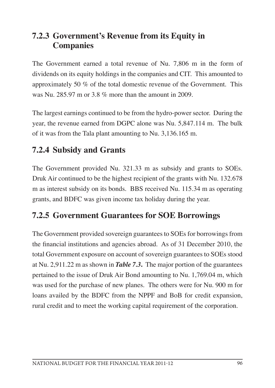### **7.2.3 Government's Revenue from its Equity in Companies**

The Government earned a total revenue of Nu. 7,806 m in the form of dividends on its equity holdings in the companies and CIT. This amounted to approximately 50 % of the total domestic revenue of the Government. This was Nu. 285.97 m or 3.8 % more than the amount in 2009.

The largest earnings continued to be from the hydro-power sector. During the year, the revenue earned from DGPC alone was Nu. 5,847.114 m. The bulk of it was from the Tala plant amounting to Nu. 3,136.165 m.

# **7.2.4 Subsidy and Grants**

The Government provided Nu. 321.33 m as subsidy and grants to SOEs. Druk Air continued to be the highest recipient of the grants with Nu. 132.678 m as interest subsidy on its bonds. BBS received Nu. 115.34 m as operating grants, and BDFC was given income tax holiday during the year.

# **7.2.5 Government Guarantees for SOE Borrowings**

The Government provided sovereign guarantees to SOEs for borrowings from the financial institutions and agencies abroad. As of 31 December 2010, the total Government exposure on account of sovereign guarantees to SOEs stood at Nu. 2,911.22 m as shown in *Table 7.3***.** The major portion of the guarantees pertained to the issue of Druk Air Bond amounting to Nu. 1,769.04 m, which was used for the purchase of new planes. The others were for Nu. 900 m for loans availed by the BDFC from the NPPF and BoB for credit expansion, rural credit and to meet the working capital requirement of the corporation.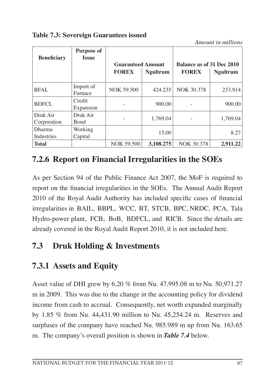**Table 7.3: Sovereign Guarantees issued** 

*Amount in millions*

| <b>Beneficiary</b> | <b>Purpose of</b><br><b>Issue</b> |                          |                 |                                  |                 |
|--------------------|-----------------------------------|--------------------------|-----------------|----------------------------------|-----------------|
|                    |                                   | <b>Guaranteed Amount</b> |                 | <b>Balance as of 31 Dec 2010</b> |                 |
|                    |                                   | <b>FOREX</b>             | <b>Ngultrum</b> | <b>FOREX</b>                     | <b>Ngultrum</b> |
|                    |                                   |                          |                 |                                  |                 |
| <b>BFAL</b>        | Import of                         | NOK 59.500               | 424.235         | NOK 30.378                       | 233.914         |
|                    | Furnace                           |                          |                 |                                  |                 |
| <b>BDFCL</b>       | Credit                            |                          | 900.00          |                                  | 900.00          |
|                    | Expansion                         |                          |                 |                                  |                 |
| Druk Air           | Druk Air                          |                          |                 |                                  |                 |
| Corporation        | <b>Bond</b>                       |                          | 1.769.04        |                                  | 1,769.04        |
| <b>Dharma</b>      | Working                           |                          |                 |                                  |                 |
| <b>Industries</b>  | Capital                           |                          | 15.00           |                                  | 8.27            |
| <b>Total</b>       |                                   | NOK 59.500               | 3.108.275       | NOK 30.378                       | 2,911.22        |

# **7.2.6 Report on Financial Irregularities in the SOEs**

As per Section 94 of the Public Finance Act 2007, the MoF is required to report on the financial irregularities in the SOEs. The Annual Audit Report 2010 of the Royal Audit Authority has included specific cases of financial irregularities in BAIL, BBPL, WCC, BT, STCB, BPC, NRDC, PCA, Tala Hydro-power plant, FCB, BoB, BDFCL, and RICB. Since the details are already covered in the Royal Audit Report 2010, it is not included here.

# **7.3 Druk Holding & Investments**

# **7.3.1 Assets and Equity**

Asset value of DHI grew by 6.20 % from Nu. 47,995.08 m to Nu. 50,971.27 m in 2009. This was due to the change in the accounting policy for dividend income from cash to accrual. Consequently, net worth expanded marginally by 1.85 % from Nu. 44,431.90 million to Nu. 45,254.24 m. Reserves and surpluses of the company have reached Nu. 985.989 m up from Nu. 163.65 m. The company's overall position is shown in *Table 7.4* below.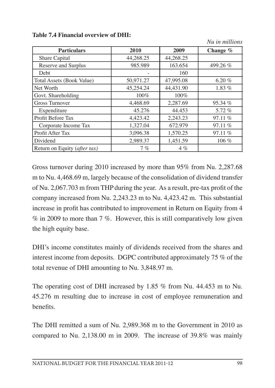|                                  |           |           | 1 <i>vu viv niveve</i> 0 1 vo |
|----------------------------------|-----------|-----------|-------------------------------|
| <b>Particulars</b>               | 2010      | 2009      | Change $\%$                   |
| Share Capital                    | 44,268.25 | 44,268.25 |                               |
| Reserve and Surplus              | 985.989   | 163.654   | 499.26 %                      |
| Debt                             |           | 160       |                               |
| <b>Total Assets (Book Value)</b> | 50,971.27 | 47,995.08 | 6.20 $%$                      |
| Net Worth                        | 45,254.24 | 44,431.90 | 1.83 %                        |
| Govt. Shareholding               | 100%      | 100%      |                               |
| <b>Gross Turnover</b>            | 4,468.69  | 2,287.69  | 95.34 %                       |
| Expenditure                      | 45.276    | 44.453    | $5.72\%$                      |
| Profit Before Tax                | 4,423.42  | 2,243.23  | 97.11 %                       |
| Corporate Income Tax             | 1,327.04  | 672.979   | 97.11 %                       |
| Profit After Tax                 | 3.096.38  | 1,570.25  | 97.11%                        |
| Dividend                         | 2,989.37  | 1,451.59  | $106\%$                       |
| Return on Equity (after tax)     | 7%        | $4\%$     |                               |

**Table 7.4 Financial overview of DHI:**

*Nu in millions*

Gross turnover during 2010 increased by more than 95% from Nu. 2,287.68 m to Nu. 4,468.69 m, largely because of the consolidation of dividend transfer of Nu. 2,067.703 m from THP during the year. As a result, pre-tax profit of the company increased from Nu. 2,243.23 m to Nu. 4,423.42 m. This substantial increase in profit has contributed to improvement in Return on Equity from 4 % in 2009 to more than 7 %. However, this is still comparatively low given the high equity base.

DHI's income constitutes mainly of dividends received from the shares and interest income from deposits. DGPC contributed approximately 75 % of the total revenue of DHI amounting to Nu. 3,848.97 m.

The operating cost of DHI increased by 1.85 % from Nu. 44.453 m to Nu. 45.276 m resulting due to increase in cost of employee remuneration and benefits.

The DHI remitted a sum of Nu. 2,989.368 m to the Government in 2010 as compared to Nu. 2,138.00 m in 2009. The increase of 39.8% was mainly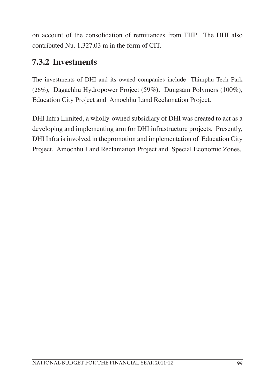on account of the consolidation of remittances from THP. The DHI also contributed Nu. 1,327.03 m in the form of CIT.

# **7.3.2 Investments**

The investments of DHI and its owned companies include Thimphu Tech Park (26%), Dagachhu Hydropower Project (59%), Dungsam Polymers (100%), Education City Project and Amochhu Land Reclamation Project.

DHI Infra Limited, a wholly-owned subsidiary of DHI was created to act as a developing and implementing arm for DHI infrastructure projects. Presently, DHI Infra is involved in thepromotion and implementation of Education City Project, Amochhu Land Reclamation Project and Special Economic Zones.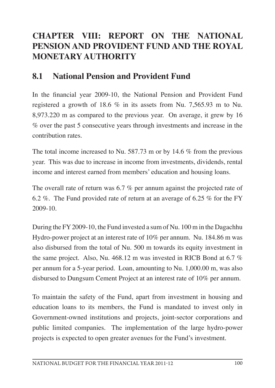# **CHAPTER VIII: REPORT ON THE NATIONAL PENSION AND PROVIDENT FUND AND THE ROYAL MONETARY AUTHORITY**

#### **8.1 National Pension and Provident Fund**

In the financial year 2009-10, the National Pension and Provident Fund registered a growth of 18.6 % in its assets from Nu. 7,565.93 m to Nu. 8,973.220 m as compared to the previous year. On average, it grew by 16 % over the past 5 consecutive years through investments and increase in the contribution rates.

The total income increased to Nu. 587.73 m or by 14.6 % from the previous year. This was due to increase in income from investments, dividends, rental income and interest earned from members' education and housing loans.

The overall rate of return was 6.7 % per annum against the projected rate of 6.2 %. The Fund provided rate of return at an average of 6.25 % for the FY 2009-10.

During the FY2009-10, the Fund invested a sum of Nu. 100 m in the Dagachhu Hydro-power project at an interest rate of 10% per annum. Nu. 184.86 m was also disbursed from the total of Nu. 500 m towards its equity investment in the same project. Also, Nu. 468.12 m was invested in RICB Bond at 6.7 % per annum for a 5-year period. Loan, amounting to Nu. 1,000.00 m, was also disbursed to Dungsum Cement Project at an interest rate of 10% per annum.

To maintain the safety of the Fund, apart from investment in housing and education loans to its members, the Fund is mandated to invest only in Government-owned institutions and projects, joint-sector corporations and public limited companies. The implementation of the large hydro-power projects is expected to open greater avenues for the Fund's investment.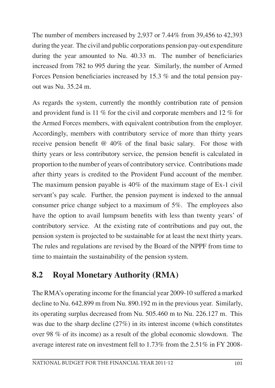The number of members increased by 2,937 or 7.44% from 39,456 to 42,393 during the year. The civil and public corporations pension pay-out expenditure during the year amounted to Nu. 40.33 m. The number of beneficiaries increased from 782 to 995 during the year. Similarly, the number of Armed Forces Pension beneficiaries increased by 15.3 % and the total pension payout was Nu. 35.24 m.

As regards the system, currently the monthly contribution rate of pension and provident fund is 11 % for the civil and corporate members and 12 % for the Armed Forces members, with equivalent contribution from the employer. Accordingly, members with contributory service of more than thirty years receive pension benefit @ 40% of the final basic salary. For those with thirty years or less contributory service, the pension benefit is calculated in proportion to the number of years of contributory service. Contributions made after thirty years is credited to the Provident Fund account of the member. The maximum pension payable is 40% of the maximum stage of Ex-1 civil servant's pay scale. Further, the pension payment is indexed to the annual consumer price change subject to a maximum of 5%. The employees also have the option to avail lumpsum benefits with less than twenty years' of contributory service. At the existing rate of contributions and pay out, the pension system is projected to be sustainable for at least the next thirty years. The rules and regulations are revised by the Board of the NPPF from time to time to maintain the sustainability of the pension system.

# **8.2 Royal Monetary Authority (RMA)**

The RMA's operating income for the financial year 2009-10 suffered a marked decline to Nu. 642.899 m from Nu. 890.192 m in the previous year. Similarly, its operating surplus decreased from Nu. 505.460 m to Nu. 226.127 m. This was due to the sharp decline (27%) in its interest income (which constitutes over 98 % of its income) as a result of the global economic slowdown. The average interest rate on investment fell to 1.73% from the 2.51% in FY 2008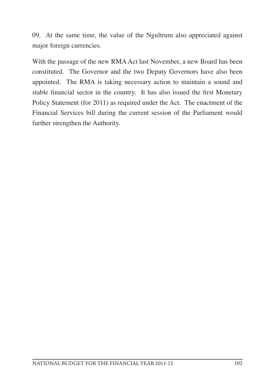09. At the same time, the value of the Ngultrum also appreciated against major foreign currencies.

With the passage of the new RMA Act last November, a new Board has been constituted. The Governor and the two Deputy Governors have also been appointed. The RMA is taking necessary action to maintain a sound and stable financial sector in the country. It has also issued the first Monetary Policy Statement (for 2011) as required under the Act. The enactment of the Financial Services bill during the current session of the Parliament would further strengthen the Authority.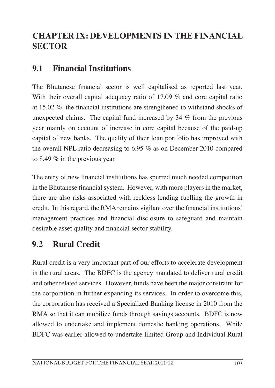# **CHAPTER IX: DEVELOPMENTS IN THE FINANCIAL SECTOR**

# **9.1 Financial Institutions**

The Bhutanese financial sector is well capitalised as reported last year. With their overall capital adequacy ratio of 17.09 % and core capital ratio at 15.02 %, the financial institutions are strengthened to withstand shocks of unexpected claims. The capital fund increased by 34 % from the previous year mainly on account of increase in core capital because of the paid-up capital of new banks. The quality of their loan portfolio has improved with the overall NPL ratio decreasing to 6.95 % as on December 2010 compared to 8.49 % in the previous year.

The entry of new financial institutions has spurred much needed competition in the Bhutanese financial system. However, with more players in the market, there are also risks associated with reckless lending fuelling the growth in credit. In this regard, the RMA remains vigilant over the financial institutions' management practices and financial disclosure to safeguard and maintain desirable asset quality and financial sector stability.

# **9.2 Rural Credit**

Rural credit is a very important part of our efforts to accelerate development in the rural areas. The BDFC is the agency mandated to deliver rural credit and other related services. However, funds have been the major constraint for the corporation in further expanding its services. In order to overcome this, the corporation has received a Specialized Banking license in 2010 from the RMA so that it can mobilize funds through savings accounts. BDFC is now allowed to undertake and implement domestic banking operations. While BDFC was earlier allowed to undertake limited Group and Individual Rural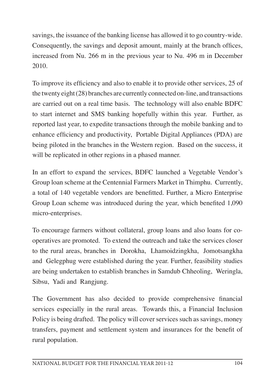savings, the issuance of the banking license has allowed it to go country-wide. Consequently, the savings and deposit amount, mainly at the branch offices, increased from Nu. 266 m in the previous year to Nu. 496 m in December 2010.

To improve its efficiency and also to enable it to provide other services, 25 of the twenty eight(28) branches are currently connected on-line, and transactions are carried out on a real time basis. The technology will also enable BDFC to start internet and SMS banking hopefully within this year. Further, as reported last year, to expedite transactions through the mobile banking and to enhance efficiency and productivity, Portable Digital Appliances (PDA) are being piloted in the branches in the Western region. Based on the success, it will be replicated in other regions in a phased manner.

In an effort to expand the services, BDFC launched a Vegetable Vendor's Group loan scheme at the Centennial Farmers Market in Thimphu. Currently, a total of 140 vegetable vendors are benefitted. Further, a Micro Enterprise Group Loan scheme was introduced during the year, which benefited 1,090 micro-enterprises.

To encourage farmers without collateral, group loans and also loans for cooperatives are promoted. To extend the outreach and take the services closer to the rural areas, branches in Dorokha, Lhamoidzingkha, Jomotsangkha and Gelegphug were established during the year. Further, feasibility studies are being undertaken to establish branches in Samdub Chheoling, Weringla, Sibsu, Yadi and Rangjung.

The Government has also decided to provide comprehensive financial services especially in the rural areas. Towards this, a Financial Inclusion Policy is being drafted. The policy will cover services such as savings, money transfers, payment and settlement system and insurances for the benefit of rural population.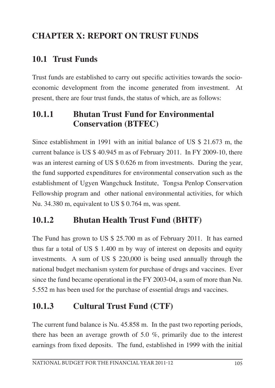# **CHAPTER X: REPORT ON TRUST FUNDS**

# **10.1 Trust Funds**

Trust funds are established to carry out specific activities towards the socioeconomic development from the income generated from investment. At present, there are four trust funds, the status of which, are as follows:

# **10.1.1 Bhutan Trust Fund for Environmental Conservation (BTFEC)**

Since establishment in 1991 with an initial balance of US \$ 21.673 m, the current balance is US \$ 40.945 m as of February 2011. In FY 2009-10, there was an interest earning of US \$ 0.626 m from investments. During the year, the fund supported expenditures for environmental conservation such as the establishment of Ugyen Wangchuck Institute, Tongsa Penlop Conservation Fellowship program and other national environmental activities, for which Nu. 34.380 m, equivalent to US \$ 0.764 m, was spent.

# **10.1.2 Bhutan Health Trust Fund (BHTF)**

The Fund has grown to US \$ 25.700 m as of February 2011. It has earned thus far a total of US \$ 1.400 m by way of interest on deposits and equity investments. A sum of US \$ 220,000 is being used annually through the national budget mechanism system for purchase of drugs and vaccines. Ever since the fund became operational in the FY 2003-04, a sum of more than Nu. 5.552 m has been used for the purchase of essential drugs and vaccines.

# **10.1.3 Cultural Trust Fund (CTF)**

The current fund balance is Nu. 45.858 m. In the past two reporting periods, there has been an average growth of 5.0 %, primarily due to the interest earnings from fixed deposits. The fund, established in 1999 with the initial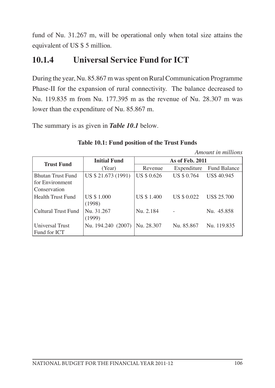fund of Nu. 31.267 m, will be operational only when total size attains the equivalent of US \$ 5 million.

# **10.1.4 Universal Service Fund for ICT**

During the year, Nu. 85.867 m was spent on Rural Communication Programme Phase-II for the expansion of rural connectivity. The balance decreased to Nu. 119.835 m from Nu. 177.395 m as the revenue of Nu. 28.307 m was lower than the expenditure of Nu. 85.867 m.

The summary is as given in *Table 10.1* below.

|                          |                     |                    |             | Amount in millions  |  |  |  |
|--------------------------|---------------------|--------------------|-------------|---------------------|--|--|--|
| <b>Trust Fund</b>        | <b>Initial Fund</b> | As of Feb. 2011    |             |                     |  |  |  |
|                          | (Year)              | Revenue            | Expenditure | <b>Fund Balance</b> |  |  |  |
| <b>Bhutan Trust Fund</b> | US \$ 21.673 (1991) | <b>US \$ 0.626</b> | US \$ 0.764 | <b>US\$ 40.945</b>  |  |  |  |
| for Environment          |                     |                    |             |                     |  |  |  |
| Conservation             |                     |                    |             |                     |  |  |  |
| Health Trust Fund        | <b>US \$1.000</b>   | <b>US \$1.400</b>  | US \$ 0.022 | US\$ 25.700         |  |  |  |
|                          | (1998)              |                    |             |                     |  |  |  |
| Cultural Trust Fund      | Nu. 31.267          | Nu. 2.184          |             | Nu. 45.858          |  |  |  |
|                          | (1999)              |                    |             |                     |  |  |  |
| Universal Trust          | Nu. 194.240 (2007)  | Nu. 28.307         | Nu. 85.867  | Nu. 119.835         |  |  |  |
| Fund for ICT             |                     |                    |             |                     |  |  |  |

## **Table 10.1: Fund position of the Trust Funds**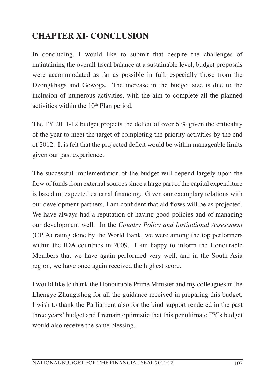# **CHAPTER XI- CONCLUSION**

In concluding, I would like to submit that despite the challenges of maintaining the overall fiscal balance at a sustainable level, budget proposals were accommodated as far as possible in full, especially those from the Dzongkhags and Gewogs. The increase in the budget size is due to the inclusion of numerous activities, with the aim to complete all the planned activities within the  $10<sup>th</sup>$  Plan period.

The FY 2011-12 budget projects the deficit of over 6 % given the criticality of the year to meet the target of completing the priority activities by the end of 2012. It is felt that the projected deficit would be within manageable limits given our past experience.

The successful implementation of the budget will depend largely upon the flow of funds from external sources since a large part of the capital expenditure is based on expected external financing. Given our exemplary relations with our development partners, I am confident that aid flows will be as projected. We have always had a reputation of having good policies and of managing our development well. In the *Country Policy and Institutional Assessment* (CPIA) rating done by the World Bank, we were among the top performers within the IDA countries in 2009. I am happy to inform the Honourable Members that we have again performed very well, and in the South Asia region, we have once again received the highest score.

I would like to thank the Honourable Prime Minister and my colleagues in the Lhengye Zhungtshog for all the guidance received in preparing this budget. I wish to thank the Parliament also for the kind support rendered in the past three years' budget and I remain optimistic that this penultimate FY's budget would also receive the same blessing.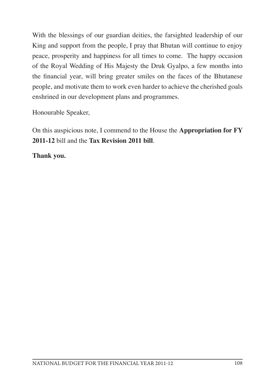With the blessings of our guardian deities, the farsighted leadership of our King and support from the people, I pray that Bhutan will continue to enjoy peace, prosperity and happiness for all times to come. The happy occasion of the Royal Wedding of His Majesty the Druk Gyalpo, a few months into the financial year, will bring greater smiles on the faces of the Bhutanese people, and motivate them to work even harder to achieve the cherished goals enshrined in our development plans and programmes.

Honourable Speaker,

On this auspicious note, I commend to the House the **Appropriation for FY 2011-12** bill and the **Tax Revision 2011 bill**.

**Thank you.**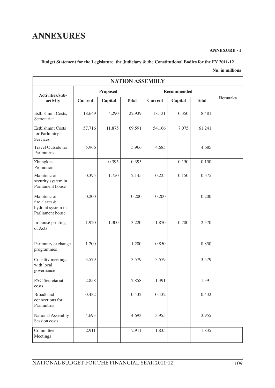# **ANNEXURES**

#### **ANNEXURE - I**

#### **Budget Statement for the Legislature, the Judiciary & the Constitutional Bodies for the FY 2011-12**

#### **Nu. in millions**

| <b>NATION ASSEMBLY</b>                                               |                 |         |              |                    |         |              |                |  |
|----------------------------------------------------------------------|-----------------|---------|--------------|--------------------|---------|--------------|----------------|--|
| Activities/sub-                                                      | <b>Proposed</b> |         |              | <b>Recommended</b> |         |              |                |  |
| activity                                                             | <b>Current</b>  | Capital | <b>Total</b> | <b>Current</b>     | Capital | <b>Total</b> | <b>Remarks</b> |  |
| Estblshmnt Costs,<br>Secretariat                                     | 18.649          | 4.290   | 22.939       | 18.131             | 0.350   | 18.481       |                |  |
| <b>Estblshmnt Costs</b><br>for Parlmntry<br>Services                 | 57.716          | 11.875  | 69.591       | 54.166             | 7.075   | 61.241       |                |  |
| Travel Outside for<br>Parlmntrns                                     | 5.966           |         | 5.966        | 4.685              |         | 4.685        |                |  |
| Zhungkha<br>Promotion                                                |                 | 0.395   | 0.395        |                    | 0.150   | 0.150        |                |  |
| Maintnne of<br>security system in<br>Parliament house                | 0.395           | 1.750   | 2.145        | 0.225              | 0.150   | 0.375        |                |  |
| Maintnne of<br>fire alarm &<br>hydrant system in<br>Parliament house | 0.200           |         | 0.200        | 0.200              |         | 0.200        |                |  |
| In-house printing<br>of Acts                                         | 1.920           | 1.300   | 3.220        | 1.870              | 0.700   | 2.570        |                |  |
| Parlmntry exchange<br>programmes                                     | 1.200           |         | 1.200        | 0.850              |         | 0.850        |                |  |
| Conslttv meetings<br>with local<br>governance                        | 3.579           |         | 3.579        | 3.579              |         | 3.579        |                |  |
| PAC Secretariat<br>costs                                             | 2.858           |         | 2.858        | 1.391              |         | 1.391        |                |  |
| <b>Broadband</b><br>connections for<br>Parlmntrns                    | 0.432           |         | 0.432        | 0.432              |         | 0.432        |                |  |
| National Assembly<br>Session costs                                   | 4.693           |         | 4.693        | 3.955              |         | 3.955        |                |  |
| Committee<br>Meetings                                                | 2.911           |         | 2.911        | 1.835              |         | 1.835        |                |  |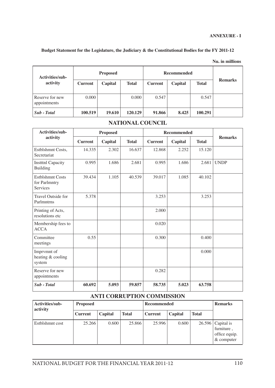### **Budget Statement for the Legislature, the Judiciary & the Constitutional Bodies for the FY 2011-12**

| Nu. in millions |
|-----------------|
|-----------------|

| Activities/sub-                 |                | <b>Proposed</b> |              |                | <b>Recommended</b> |              |                |  |
|---------------------------------|----------------|-----------------|--------------|----------------|--------------------|--------------|----------------|--|
| activity                        | <b>Current</b> | Capital         | <b>Total</b> | <b>Current</b> | Capital            | <b>Total</b> | <b>Remarks</b> |  |
| Reserve for new<br>appointments | 0.000          |                 | 0.000        | 0.547          |                    | 0.547        |                |  |
| Sub - Total                     | 100.519        | 19.610          | 120.129      | 91.866         | 8.425              | 100.291      |                |  |

### **NATIONAL COUNCIL**

| Activities/sub-                                             |                | <b>Proposed</b> |              | <b>Recommended</b> |         |              |                |
|-------------------------------------------------------------|----------------|-----------------|--------------|--------------------|---------|--------------|----------------|
| activity                                                    | <b>Current</b> | Capital         | <b>Total</b> | <b>Current</b>     | Capital | <b>Total</b> | <b>Remarks</b> |
| Estblshmnt Costs,<br>Secretariat                            | 14.335         | 2.302           | 16.637       | 12.868             | 2.252   | 15.120       |                |
| <b>Institul Capacity</b><br><b>Building</b>                 | 0.995          | 1.686           | 2.681        | 0.995              | 1.686   | 2.681        | <b>UNDP</b>    |
| <b>Estblshmnt Costs</b><br>for Parlmntry<br><b>Services</b> | 39.434         | 1.105           | 40.539       | 39.017             | 1.085   | 40.102       |                |
| Travel Outside for<br>Parlmntrns                            | 5.378          |                 |              | 3.253              |         | 3.253        |                |
| Printing of Acts,<br>resolutions etc                        |                |                 |              | 2.000              |         |              |                |
| Membership fees to<br><b>ACCA</b>                           |                |                 |              | 0.020              |         |              |                |
| Committee<br>meetings                                       | 0.55           |                 |              | 0.300              |         | 0.400        |                |
| Imprymnt of<br>heating & cooling<br>system                  |                |                 |              |                    |         | 0.000        |                |
| Reserve for new<br>appointments                             |                |                 |              | 0.282              |         |              |                |
| Sub - Total                                                 | 60.692         | 5.093           | 59.857       | 58.735             | 5.023   | 63.758       |                |

#### **ANTI CORRUPTION COMMISSION**

| Activities/sub-<br>activity | <b>Proposed</b> |         |              | Recommended    | <b>Remarks</b> |              |                                                                    |
|-----------------------------|-----------------|---------|--------------|----------------|----------------|--------------|--------------------------------------------------------------------|
|                             | <b>Current</b>  | Capital | <b>Total</b> | <b>Current</b> | Capital        | <b>Total</b> |                                                                    |
| Estblshmnt cost             | 25.266          | 0.600   | 25.866       | 25.996         | 0.600          |              | $26.596$ Capital is<br>furniture,<br>office equip.<br>$&$ computer |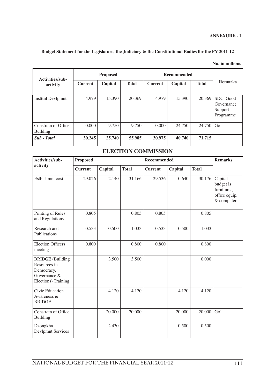#### **Budget Statement for the Legislature, the Judiciary & the Constitutional Bodies for the FY 2011-12**

| Activities/sub-                 |                | <b>Recommended</b><br><b>Proposed</b> |              |                |         |              |                                                 |
|---------------------------------|----------------|---------------------------------------|--------------|----------------|---------|--------------|-------------------------------------------------|
| activity                        | <b>Current</b> | Capital                               | <b>Total</b> | <b>Current</b> | Capital | <b>Total</b> | <b>Remarks</b>                                  |
| <b>Institul Devlpmnt</b>        | 4.979          | 15.390                                | 20.369       | 4.979          | 15.390  | 20.369       | SDC. Good<br>Governance<br>Support<br>Programme |
| Constreth of Office<br>Building | 0.000          | 9.750                                 | 9.750        | 0.000          | 24.750  | 24.750       | GoI                                             |
| Sub - Total                     | 30.245         | 25,740                                | 55.985       | 30.975         | 40.740  | 71.715       |                                                 |

#### **Nu. in millions**

### **ELECTION COMMISSION**

| Activities/sub-                                                                              | <b>Proposed</b> |         |              | <b>Recommended</b> | <b>Remarks</b> |              |                                                                   |
|----------------------------------------------------------------------------------------------|-----------------|---------|--------------|--------------------|----------------|--------------|-------------------------------------------------------------------|
| activity                                                                                     | <b>Current</b>  | Capital | <b>Total</b> | <b>Current</b>     | Capital        | <b>Total</b> |                                                                   |
| Estblshmnt cost                                                                              | 29.026          | 2.140   | 31.166       | 29.536             | 0.640          | 30.176       | Capital<br>budget is<br>furniture,<br>office equip.<br>& computer |
| Printing of Rules<br>and Regulations                                                         | 0.805           |         | 0.805        | 0.805              |                | 0.805        |                                                                   |
| Research and<br>Publications                                                                 | 0.533           | 0.500   | 1.033        | 0.533              | 0.500          | 1.033        |                                                                   |
| <b>Election Officers</b><br>meeting                                                          | 0.800           |         | 0.800        | 0.800              |                | 0.800        |                                                                   |
| <b>BRIDGE</b> (Building<br>Resources in<br>Democracy,<br>Governance &<br>Elections) Training |                 | 3.500   | 3.500        |                    |                | 0.000        |                                                                   |
| Civic Education<br>Awareness &<br><b>BRIDGE</b>                                              |                 | 4.120   | 4.120        |                    | 4.120          | 4.120        |                                                                   |
| Constretn of Office<br>Building                                                              |                 | 20.000  | 20.000       |                    | 20.000         | 20.000       | GoI                                                               |
| Dzongkha<br>Devlpmnt Services                                                                |                 | 2.430   |              |                    | 0.500          | 0.500        |                                                                   |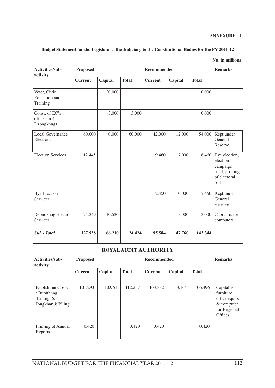| Activities/sub-<br>activity                      | <b>Proposed</b> |         |              | Recommended    | <b>Remarks</b> |              |                                                                                 |
|--------------------------------------------------|-----------------|---------|--------------|----------------|----------------|--------------|---------------------------------------------------------------------------------|
|                                                  | <b>Current</b>  | Capital | <b>Total</b> | <b>Current</b> | Capital        | <b>Total</b> |                                                                                 |
| Voter, Civic<br><b>Education</b> and<br>Training |                 | 20.000  |              |                |                | 0.000        |                                                                                 |
| Const. of EC's<br>offices in 4<br>Dzongkhags     |                 | 3.000   | 3.000        |                |                | 0.000        |                                                                                 |
| Local Governance<br>Elections                    | 60.000          | 0.000   | 60.000       | 42.000         | 12.000         | 54.000       | Kept under<br>General<br>Reserve                                                |
| <b>Election Services</b>                         | 12.445          |         |              | 9.460          | 7.000          | 16.460       | Bye election,<br>election<br>campaign<br>fund, printing<br>of electoral<br>roll |
| <b>Bye Election</b><br>Services                  |                 |         |              | 12.450         | 0.000          | 12.450       | Kept under<br>General<br>Reserve                                                |
| Dzongkhag Election<br>Services                   | 24.349          | 10.520  |              |                | 3.000          | 3.000        | Capital is for<br>computers                                                     |
| Sub - Total                                      | 127.958         | 66.210  | 124.424      | 95.584         | 47.760         | 143.344      |                                                                                 |

#### **Budget Statement for the Legislature, the Judiciary & the Constitutional Bodies for the FY 2011-12**

#### **Nu. in millions**

### **ROYALAUDIT AUTHORITY**

| Activities/sub-<br>activity                                         | <b>Proposed</b> |         |              | <b>Recommended</b> | <b>Remarks</b> |              |                                                                                      |
|---------------------------------------------------------------------|-----------------|---------|--------------|--------------------|----------------|--------------|--------------------------------------------------------------------------------------|
|                                                                     | <b>Current</b>  | Capital | <b>Total</b> | <b>Current</b>     | Capital        | <b>Total</b> |                                                                                      |
| Estblshmnt Costs<br>: Bumthang,<br>Tsirang, S/<br>Jongkhar & P'ling | 101.293         | 10.964  | 112.257      | 103.332            | 3.164          | 106.496      | Capital is<br>furniture,<br>office equip.<br>$&$ computer<br>for Regional<br>Offices |
| Printing of Annual<br>Reports                                       | 0.420           |         | 0.420        | 0.420              |                | 0.420        |                                                                                      |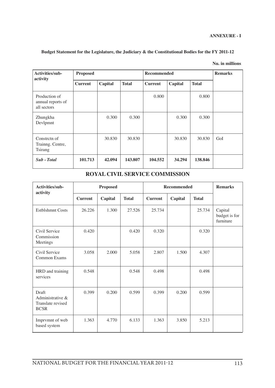**Nu. in millions**

| Activities/sub-<br>activity                       | <b>Proposed</b> |         |              | Recommended    |         |              | <b>Remarks</b> |
|---------------------------------------------------|-----------------|---------|--------------|----------------|---------|--------------|----------------|
|                                                   | <b>Current</b>  | Capital | <b>Total</b> | <b>Current</b> | Capital | <b>Total</b> |                |
| Production of<br>annual reports of<br>all sectors |                 |         |              | 0.800          |         | 0.800        |                |
| Zhungkha<br>Devlpmnt                              |                 | 0.300   | 0.300        |                | 0.300   | 0.300        |                |
| Constrete of<br>Trainng. Centre,<br>Tsirang       |                 | 30.830  | 30.830       |                | 30.830  | 30.830       | GoI            |
| Sub - Total                                       | 101.713         | 42.094  | 143.807      | 104.552        | 34.294  | 138.846      |                |

| Activities/sub-                                               | <b>Proposed</b> |         |              | <b>Recommended</b> | <b>Remarks</b> |              |                                       |
|---------------------------------------------------------------|-----------------|---------|--------------|--------------------|----------------|--------------|---------------------------------------|
| activity                                                      | <b>Current</b>  | Capital | <b>Total</b> | <b>Current</b>     | Capital        | <b>Total</b> |                                       |
| <b>Estblshmnt Costs</b>                                       | 26.226          | 1.300   | 27.526       | 25.734             |                | 25.734       | Capital<br>budget is for<br>furniture |
| Civil Service<br>Commission<br>Meetings                       | 0.420           |         | 0.420        | 0.320              |                | 0.320        |                                       |
| Civil Service<br>Common Exams                                 | 3.058           | 2.000   | 5.058        | 2.807              | 1.500          | 4.307        |                                       |
| HRD and training<br>services                                  | 0.548           |         | 0.548        | 0.498              |                | 0.498        |                                       |
| Draft<br>Administrative &<br>Translate revised<br><b>BCSR</b> | 0.399           | 0.200   | 0.599        | 0.399              | 0.200          | 0.599        |                                       |
| Imprvmnt of web<br>based system                               | 1.363           | 4.770   | 6.133        | 1.363              | 3.850          | 5.213        |                                       |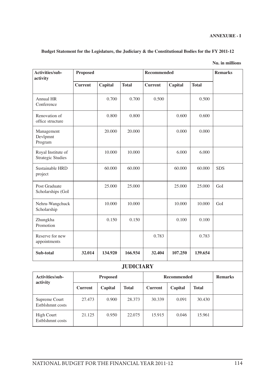|  |  | Nu. in millions |
|--|--|-----------------|
|--|--|-----------------|

| <b>Proposed</b> |                 |              |                | <b>Remarks</b>   |                    |             |
|-----------------|-----------------|--------------|----------------|------------------|--------------------|-------------|
| <b>Current</b>  | Capital         | <b>Total</b> | <b>Current</b> | Capital          | <b>Total</b>       |             |
|                 | 0.700           | 0.700        | 0.500          |                  | 0.500              |             |
|                 | 0.800           | 0.800        |                | 0.600            | 0.600              |             |
|                 | 20.000          | 20.000       |                | 0.000            | 0.000              |             |
|                 | 10.000          | 10.000       |                | 6,000            | 6.000              |             |
|                 | 60.000          | 60.000       |                | 60.000           | 60.000             | <b>SDS</b>  |
|                 | 25.000          | 25,000       |                | 25.000           | 25.000             | GoI         |
|                 | 10.000          | 10.000       |                | 10.000           | 10.000             | GoI         |
|                 | 0.150           | 0.150        |                | 0.100            | 0.100              |             |
|                 |                 |              | 0.783          |                  | 0.783              |             |
| 32.014          | 134.920         | 166.934      | 32.404         | 107.250          | 139.654            |             |
|                 |                 |              |                |                  |                    |             |
|                 | <b>Proposed</b> |              |                | <b>Remarks</b>   |                    |             |
|                 |                 |              |                | <b>JUDICIARY</b> | <b>Recommended</b> | Recommended |

| Activities/sub-<br>activity           | <b>Proposed</b> |         |              | <b>Recommended</b> | <b>Remarks</b> |              |  |
|---------------------------------------|-----------------|---------|--------------|--------------------|----------------|--------------|--|
|                                       | <b>Current</b>  | Capital | <b>Total</b> | <b>Current</b>     | Capital        | <b>Total</b> |  |
| Supreme Court<br>Estblshmnt costs     | 27.473          | 0.900   | 28.373       | 30.339             | 0.091          | 30.430       |  |
| <b>High Court</b><br>Estblshmnt costs | 21.125          | 0.950   | 22,075       | 15.915             | 0.046          | 15.961       |  |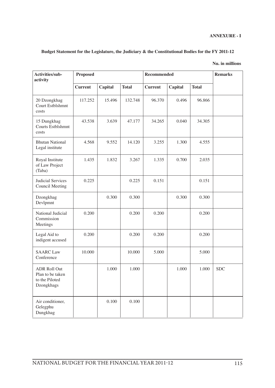### **Budget Statement for the Legislature, the Judiciary & the Constitutional Bodies for the FY 2011-12**

#### **Nu. in millions**

| Activities/sub-<br>activity                                             | <b>Proposed</b> |         |              | Recommended    | <b>Remarks</b> |              |            |
|-------------------------------------------------------------------------|-----------------|---------|--------------|----------------|----------------|--------------|------------|
|                                                                         | <b>Current</b>  | Capital | <b>Total</b> | <b>Current</b> | Capital        | <b>Total</b> |            |
| 20 Dzongkhag<br>Court Estblshmnt<br>costs                               | 117.252         | 15.496  | 132.748      | 96.370         | 0.496          | 96.866       |            |
| 15 Dungkhag<br>Courts Estblshmnt<br>costs                               | 43.538          | 3.639   | 47.177       | 34.265         | 0.040          | 34.305       |            |
| <b>Bhutan National</b><br>Legal institute                               | 4.568           | 9.552   | 14.120       | 3.255          | 1.300          | 4.555        |            |
| Royal Institute<br>of Law Project<br>(Taba)                             | 1.435           | 1.832   | 3.267        | 1.335          | 0.700          | 2.035        |            |
| <b>Judicial Services</b><br>Council Meeting                             | 0.225           |         | 0.225        | 0.151          |                | 0.151        |            |
| Dzongkhag<br>Devlpmnt                                                   |                 | 0.300   | 0.300        |                | 0.300          | 0.300        |            |
| National Judicial<br>Commission<br>Meetings                             | 0.200           |         | 0.200        | 0.200          |                | 0.200        |            |
| Legal Aid to<br>indigent accused                                        | 0.200           |         | 0.200        | 0.200          |                | 0.200        |            |
| <b>SAARC</b> Law<br>Conference                                          | 10.000          |         | 10.000       | 5.000          |                | 5.000        |            |
| <b>ADR Roll Out</b><br>Plan to be taken<br>to the Piloted<br>Dzongkhags |                 | 1.000   | 1.000        |                | 1.000          | 1.000        | <b>SDC</b> |
| Air conditioner,<br>Gelegphu<br>Dungkhag                                |                 | 0.100   | 0.100        |                |                |              |            |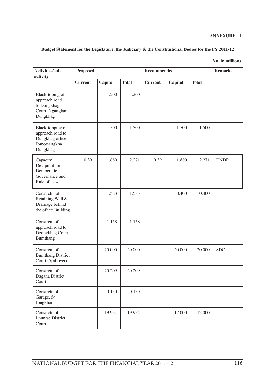| Activities/sub-<br>activity                                                          | Proposed       |         |              | Recommended    | <b>Remarks</b> |              |             |
|--------------------------------------------------------------------------------------|----------------|---------|--------------|----------------|----------------|--------------|-------------|
|                                                                                      | <b>Current</b> | Capital | <b>Total</b> | <b>Current</b> | Capital        | <b>Total</b> |             |
| Black-toping of<br>approach road<br>to Dungkhag<br>Court, Nganglam<br>Dungkhag       |                | 1.200   | 1.200        |                |                |              |             |
| Black-topping of<br>approach road to<br>Dungkhag office,<br>Jomotsangkha<br>Dungkhag |                | 1.500   | 1.500        |                | 1.500          | 1.500        |             |
| Capacity<br>Devlpmnt for<br>Democratic<br>Governance and<br>Rule of Law              | 0.391          | 1.880   | 2.271        | 0.391          | 1.880          | 2.271        | <b>UNDP</b> |
| Constretn of<br>Retaining Wall &<br>Drainage behind<br>the office Building           |                | 1.583   | 1.583        |                | 0.400          | 0.400        |             |
| Constretn of<br>approach road to<br>Dzongkhag Court,<br>Bumthang                     |                | 1.158   | 1.158        |                |                |              |             |
| Constretn of<br><b>Bumthang District</b><br>Court (Spillover)                        |                | 20.000  | 20.000       |                | 20.000         | 20.000       | <b>SDC</b>  |
| Constretn of<br>Dagana District<br>Court                                             |                | 20.209  | 20.209       |                |                |              |             |
| Constretn of<br>Garage, S/<br>Jongkhar                                               |                | 0.150   | 0.150        |                |                |              |             |
| Constretn of<br><b>Lhuntse District</b><br>Court                                     |                | 19.934  | 19.934       |                | 12.000         | 12.000       |             |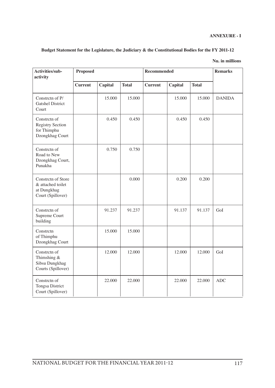| Activities/sub-<br>activity                                                 | <b>Proposed</b> |         |              | Recommended    | <b>Remarks</b> |              |               |
|-----------------------------------------------------------------------------|-----------------|---------|--------------|----------------|----------------|--------------|---------------|
|                                                                             | <b>Current</b>  | Capital | <b>Total</b> | <b>Current</b> | Capital        | <b>Total</b> |               |
| Constretn of P/<br><b>Gatshel District</b><br>Court                         |                 | 15.000  | 15.000       |                | 15.000         | 15.000       | <b>DANIDA</b> |
| Constretn of<br><b>Registry Section</b><br>for Thimphu<br>Dzongkhag Court   |                 | 0.450   | 0.450        |                | 0.450          | 0.450        |               |
| Constretn of<br>Road to New<br>Dzongkhag Court,<br>Punakha                  |                 | 0.750   | 0.750        |                |                |              |               |
| Constretn of Store<br>& attached toilet<br>at Dungkhag<br>Court (Spillover) |                 |         | 0.000        |                | 0.200          | 0.200        |               |
| Constretn of<br>Supreme Court<br>building                                   |                 | 91.237  | 91.237       |                | 91.137         | 91.137       | GoI           |
| Constretn<br>of Thimphu<br>Dzongkhag Court                                  |                 | 15.000  | 15.000       |                |                |              |               |
| Constretn of<br>Thimshing &<br>Sibsu Dungkhag<br>Courts (Spillover)         |                 | 12.000  | 12.000       |                | 12.000         | 12.000       | GoI           |
| Constretn of<br>Tongsa District<br>Court (Spillover)                        |                 | 22.000  | 22.000       |                | 22.000         | 22.000       | <b>ADC</b>    |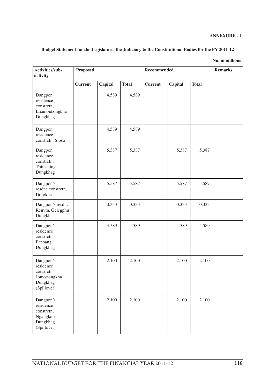| Activities/sub-<br>activity                                                     | Proposed       |         |              | Recommended    | <b>Remarks</b> |              |  |
|---------------------------------------------------------------------------------|----------------|---------|--------------|----------------|----------------|--------------|--|
|                                                                                 | <b>Current</b> | Capital | <b>Total</b> | <b>Current</b> | Capital        | <b>Total</b> |  |
| Dangpon<br>residence<br>constretn,<br>Lhamoidzingkha<br>Dungkhag                |                | 4.589   | 4.589        |                |                |              |  |
| Dangpon<br>residence<br>constretn, Sibsu                                        |                | 4.589   | 4.589        |                |                |              |  |
| Dangpon<br>residence<br>constretn,<br>Thimshing<br>Dungkhag                     |                | 5.387   | 5.387        |                | 5.387          | 5.387        |  |
| Dangpon's<br>resdnc constrctn,<br>Dorokha                                       |                | 5.587   | 5.587        |                | 5.587          | 5.587        |  |
| Dangpon's resdnc<br>Renvtn, Gelegphu<br>Dungkha                                 |                | 0.333   | 0.333        |                | 0.333          | 0.333        |  |
| Dangpon's<br>residence<br>constretn,<br>Panbang<br>Dungkhag                     |                | 4.589   | 4.589        |                | 4.589          | 4.589        |  |
| Dangpon's<br>residence<br>constrctn,<br>Jomotsangkha<br>Dungkhag<br>(Spillover) |                | 2.100   | 2.100        |                | 2.100          | 2.100        |  |
| Dangpon's<br>residence<br>constretn,<br>Nganglam<br>Dungkhag<br>(Spillover)     |                | 2.100   | 2.100        |                | 2.100          | 2.100        |  |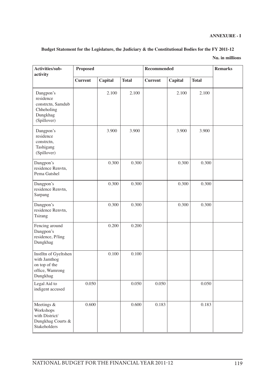| Activities/sub-<br>activity                                                           | <b>Proposed</b> |         |              | Recommended    | <b>Remarks</b> |              |  |
|---------------------------------------------------------------------------------------|-----------------|---------|--------------|----------------|----------------|--------------|--|
|                                                                                       | <b>Current</b>  | Capital | <b>Total</b> | <b>Current</b> | Capital        | <b>Total</b> |  |
| Dangpon's<br>residence<br>constrctn, Samdub<br>Chheholing<br>Dungkhag<br>(Spillover)  |                 | 2.100   | 2.100        |                | 2.100          | 2.100        |  |
| Dangpon's<br>residence<br>constretn,<br>Tashigang<br>(Spillover)                      |                 | 3.900   | 3.900        |                | 3.900          | 3.900        |  |
| Dangpon's<br>residence Renvtn,<br>Pema Gatshel                                        |                 | 0.300   | 0.300        |                | 0.300          | 0.300        |  |
| Dangpon's<br>residence Renvtn,<br>Sarpang                                             |                 | 0.300   | 0.300        |                | 0.300          | 0.300        |  |
| Dangpon's<br>residence Renvtn,<br>Tsirang                                             |                 | 0.300   | 0.300        |                | 0.300          | 0.300        |  |
| Fencing around<br>Dangpon's<br>residence, P/ling<br>Dungkhag                          |                 | 0.200   | 0.200        |                |                |              |  |
| Instlltn of Gyeltshen<br>with Jamthog<br>on top of the<br>office, Wamrong<br>Dungkhag |                 | 0.100   | 0.100        |                |                |              |  |
| Legal Aid to<br>indigent accused                                                      | 0.050           |         | 0.050        | 0.050          |                | 0.050        |  |
| Meetings &<br>Workshops<br>with District/<br>Dungkhag Courts &<br>Stakeholders        | 0.600           |         | 0.600        | 0.183          |                | 0.183        |  |